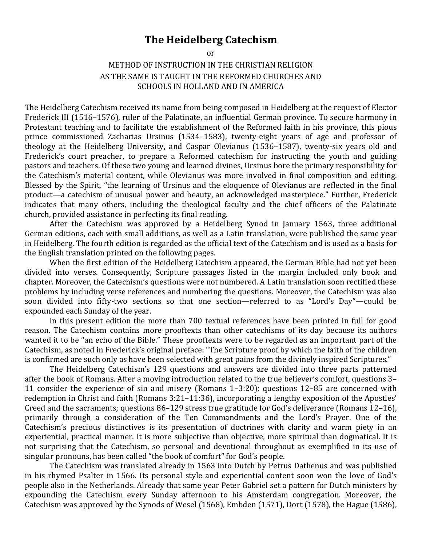# **The Heidelberg Catechism**

or

## METHOD OF INSTRUCTION IN THE CHRISTIAN RELIGION AS THE SAME IS TAUGHT IN THE REFORMED CHURCHES AND SCHOOLS IN HOLLAND AND IN AMERICA

The Heidelberg Catechism received its name from being composed in Heidelberg at the request of Elector Frederick III (1516–1576), ruler of the Palatinate, an influential German province. To secure harmony in Protestant teaching and to facilitate the establishment of the Reformed faith in his province, this pious prince commissioned Zacharias Ursinus (1534–1583), twenty-eight years of age and professor of theology at the Heidelberg University, and Caspar Olevianus (1536–1587), twenty-six years old and Frederick's court preacher, to prepare a Reformed catechism for instructing the youth and guiding pastors and teachers. Of these two young and learned divines, Ursinus bore the primary responsibility for the Catechism's material content, while Olevianus was more involved in final composition and editing. Blessed by the Spirit, "the learning of Ursinus and the eloquence of Olevianus are reflected in the final product—a catechism of unusual power and beauty, an acknowledged masterpiece." Further, Frederick indicates that many others, including the theological faculty and the chief officers of the Palatinate church, provided assistance in perfecting its final reading.

After the Catechism was approved by a Heidelberg Synod in January 1563, three additional German editions, each with small additions, as well as a Latin translation, were published the same year in Heidelberg. The fourth edition is regarded as the official text of the Catechism and is used as a basis for the English translation printed on the following pages.

When the first edition of the Heidelberg Catechism appeared, the German Bible had not yet been divided into verses. Consequently, Scripture passages listed in the margin included only book and chapter. Moreover, the Catechism's questions were not numbered. A Latin translation soon rectified these problems by including verse references and numbering the questions. Moreover, the Catechism was also soon divided into fifty-two sections so that one section—referred to as "Lord's Day"—could be expounded each Sunday of the year.

In this present edition the more than 700 textual references have been printed in full for good reason. The Catechism contains more prooftexts than other catechisms of its day because its authors wanted it to be "an echo of the Bible." These prooftexts were to be regarded as an important part of the Catechism, as noted in Frederick's original preface: "The Scripture proof by which the faith of the children is confirmed are such only as have been selected with great pains from the divinely inspired Scriptures."

The Heidelberg Catechism's 129 questions and answers are divided into three parts patterned after the book of Romans. After a moving introduction related to the true believer's comfort, questions 3– 11 consider the experience of sin and misery (Romans 1–3:20); questions 12–85 are concerned with redemption in Christ and faith (Romans 3:21–11:36), incorporating a lengthy exposition of the Apostles' Creed and the sacraments; questions 86–129 stress true gratitude for God's deliverance (Romans 12–16), primarily through a consideration of the Ten Commandments and the Lord's Prayer. One of the Catechism's precious distinctives is its presentation of doctrines with clarity and warm piety in an experiential, practical manner. It is more subjective than objective, more spiritual than dogmatical. It is not surprising that the Catechism, so personal and devotional throughout as exemplified in its use of singular pronouns, has been called "the book of comfort" for God's people.

The Catechism was translated already in 1563 into Dutch by Petrus Dathenus and was published in his rhymed Psalter in 1566. Its personal style and experiential content soon won the love of God's people also in the Netherlands. Already that same year Peter Gabriel set a pattern for Dutch ministers by expounding the Catechism every Sunday afternoon to his Amsterdam congregation. Moreover, the Catechism was approved by the Synods of Wesel (1568), Embden (1571), Dort (1578), the Hague (1586),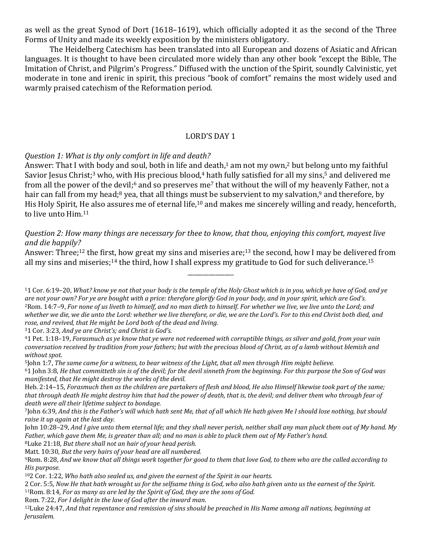as well as the great Synod of Dort (1618–1619), which officially adopted it as the second of the Three Forms of Unity and made its weekly exposition by the ministers obligatory.

The Heidelberg Catechism has been translated into all European and dozens of Asiatic and African languages. It is thought to have been circulated more widely than any other book "except the Bible, The Imitation of Christ, and Pilgrim's Progress." Diffused with the unction of the Spirit, soundly Calvinistic, yet moderate in tone and irenic in spirit, this precious "book of comfort" remains the most widely used and warmly praised catechism of the Reformation period.

## LORD'S DAY 1

#### *Question 1: What is thy only comfort in life and death?*

Answer: That I with body and soul, both in life and death, $1$  am not my own, $2$  but belong unto my faithful Savior Jesus Christ;<sup>3</sup> who, with His precious blood,<sup>4</sup> hath fully satisfied for all my sins,<sup>5</sup> and delivered me from all the power of the devil;6 and so preserves me7 that without the will of my heavenly Father, not a hair can fall from my head;<sup>8</sup> yea, that all things must be subservient to my salvation,<sup>9</sup> and therefore, by His Holy Spirit, He also assures me of eternal life,<sup>10</sup> and makes me sincerely willing and ready, henceforth, to live unto Him.11

#### *Question 2: How many things are necessary for thee to know, that thou, enjoying this comfort, mayest live and die happily?*

Answer: Three;<sup>12</sup> the first, how great my sins and miseries are;<sup>13</sup> the second, how I may be delivered from all my sins and miseries;<sup>14</sup> the third, how I shall express my gratitude to God for such deliverance.<sup>15</sup>

\_\_\_\_\_\_\_\_\_\_\_\_\_\_\_

31 Cor. 3:23, *And ye are Christ's; and Christ is God's.*

5John 1:7, *The same came for a witness, to bear witness of the Light, that all men through Him might believe.*

8Luke 21:18, *But there shall not an hair of your head perish.*

Rom. 7:22, *For I delight in the law of God after the inward man.*

<sup>11</sup> Cor. 6:19–20, *What? know ye not that your body is the temple of the Holy Ghost which is in you, which ye have of God, and ye are not your own? For ye are bought with a price: therefore glorify God in your body, and in your spirit, which are God's.* 2Rom. 14:7–9, *For none of us liveth to himself, and no man dieth to himself. For whether we live, we live unto the Lord; and whether we die, we die unto the Lord: whether we live therefore, or die, we are the Lord's. For to this end Christ both died, and rose, and revived, that He might be Lord both of the dead and living.*

<sup>41</sup> Pet. 1:18–19, *Forasmuch as ye know that ye were not redeemed with corruptible things, as silver and gold, from your vain conversation received by tradition from your fathers; but with the precious blood of Christ, as of a lamb without blemish and without spot.*

<sup>61</sup> John 3:8, *He that committeth sin is of the devil; for the devil sinneth from the beginning. For this purpose the Son of God was manifested, that He might destroy the works of the devil.*

Heb. 2:14–15, *Forasmuch then as the children are partakers of flesh and blood, He also Himself likewise took part of the same; that through death He might destroy him that had the power of death, that is, the devil; and deliver them who through fear of death were all their lifetime subject to bondage.*

<sup>7</sup>John 6:39, *And this is the Father's will which hath sent Me, that of all which He hath given Me I should lose nothing, but should raise it up again at the last day.*

John 10:28–29, *And I give unto them eternal life; and they shall never perish, neither shall any man pluck them out of My hand. My Father, which gave them Me, is greater than all; and no man is able to pluck them out of My Father's hand.*

Matt. 10:30, *But the very hairs of your head are all numbered.*

<sup>9</sup>Rom. 8:28, *And we know that all things work together for good to them that love God, to them who are the called according to His purpose.*

<sup>102</sup> Cor. 1:22, *Who hath also sealed us, and given the earnest of the Spirit in our hearts.*

<sup>2</sup> Cor. 5:5, *Now He that hath wrought us for the selfsame thing is God, who also hath given unto us the earnest of the Spirit.* 11Rom. 8:14, *For as many as are led by the Spirit of God, they are the sons of God.*

<sup>12</sup>Luke 24:47, *And that repentance and remission of sins should be preached in His Name among all nations, beginning at Jerusalem.*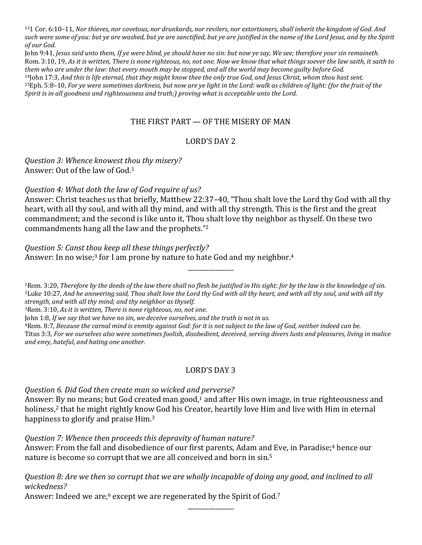131 Cor. 6:10–11, *Nor thieves, nor covetous, nor drunkards, nor revilers, nor extortioners, shall inherit the kingdom of God. And such were some of you: but ye are washed, but ye are sanctified, but ye are justified in the name of the Lord Jesus, and by the Spirit of our God.*

John 9:41, *Jesus said unto them, If ye were blind, ye should have no sin: but now ye say, We see; therefore your sin remaineth.* Rom. 3:10, 19, *As it is written, There is none righteous, no, not one. Now we know that what things soever the law saith, it saith to them who are under the law: that every mouth may be stopped, and all the world may become guilty before God.* 14John 17:3, *And this is life eternal, that they might know thee the only true God, and Jesus Christ, whom thou hast sent.* 15Eph. 5:8–10, *For ye were sometimes darkness, but now are ye light in the Lord: walk as children of light: (for the fruit of the Spirit is in all goodness and righteousness and truth;) proving what is acceptable unto the Lord.*

## THE FIRST PART — OF THE MISERY OF MAN

## LORD'S DAY 2

*Question 3: Whence knowest thou thy misery?* Answer: Out of the law of God.1

#### *Question 4: What doth the law of God require of us?*

Answer: Christ teaches us that briefly, Matthew 22:37–40, "Thou shalt love the Lord thy God with all thy heart, with all thy soul, and with all thy mind, and with all thy strength. This is the first and the great commandment; and the second is like unto it, Thou shalt love thy neighbor as thyself. On these two commandments hang all the law and the prophets."2

#### *Question 5: Canst thou keep all these things perfectly?*

Answer: In no wise;<sup>3</sup> for I am prone by nature to hate God and my neighbor.<sup>4</sup>

1Rom. 3:20, *Therefore by the deeds of the law there shall no flesh be justified in His sight: for by the law is the knowledge of sin.* 2Luke 10:27, *And he answering said, Thou shalt love the Lord thy God with all thy heart, and with all thy soul, and with all thy strength, and with all thy mind; and thy neighbor as thyself.*

\_\_\_\_\_\_\_\_\_\_\_\_\_\_\_

3Rom. 3:10, *As it is written, There is none righteous, no, not one.*

John 1:8, *If we say that we have no sin, we deceive ourselves, and the truth is not in us.*

4Rom. 8:7, *Because the carnal mind is enmity against God: for it is not subject to the law of God, neither indeed can be.*

Titus 3:3, *For we ourselves also were sometimes foolish, disobedient, deceived, serving divers lusts and pleasures, living in malice and envy, hateful, and hating one another.*

## LORD'S DAY 3

*Question 6. Did God then create man so wicked and perverse?*

Answer: By no means; but God created man good,<sup>1</sup> and after His own image, in true righteousness and holiness,<sup>2</sup> that he might rightly know God his Creator, heartily love Him and live with Him in eternal happiness to glorify and praise Him.<sup>3</sup>

## *Question 7: Whence then proceeds this depravity of human nature?*

Answer: From the fall and disobedience of our first parents, Adam and Eve, in Paradise;<sup>4</sup> hence our nature is become so corrupt that we are all conceived and born in sin.<sup>5</sup>

*Question 8: Are we then so corrupt that we are wholly incapable of doing any good, and inclined to all wickedness?*

\_\_\_\_\_\_\_\_\_\_\_\_\_\_\_

Answer: Indeed we are,<sup>6</sup> except we are regenerated by the Spirit of God.<sup>7</sup>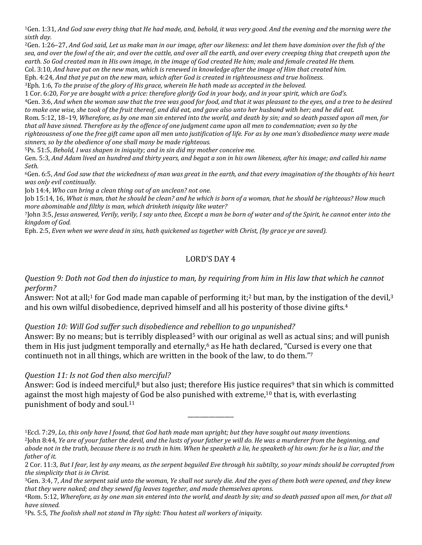1Gen. 1:31, *And God saw every thing that He had made, and, behold, it was very good. And the evening and the morning were the sixth day.*

2Gen. 1:26–27, *And God said, Let us make man in our image, after our likeness: and let them have dominion over the fish of the sea, and over the fowl of the air, and over the cattle, and over all the earth, and over every creeping thing that creepeth upon the earth. So God created man in His own image, in the image of God created He him; male and female created He them.*

Col. 3:10, *And have put on the new man, which is renewed in knowledge after the image of Him that created him.*

Eph. 4:24, *And that ye put on the new man, which after God is created in righteousness and true holiness.*

3Eph. 1:6, *To the praise of the glory of His grace, wherein He hath made us accepted in the beloved.*

1 Cor. 6:20, *For ye are bought with a price: therefore glorify God in your body, and in your spirit, which are God's.*

4Gen. 3:6, *And when the woman saw that the tree was good for food, and that it was pleasant to the eyes, and a tree to be desired to make one wise, she took of the fruit thereof, and did eat, and gave also unto her husband with her; and he did eat.*

Rom. 5:12, 18–19, *Wherefore, as by one man sin entered into the world, and death by sin; and so death passed upon all men, for that all have sinned. Therefore as by the offence of one judgment came upon all men to condemnation; even so by the* 

*righteousness of one the free gift came upon all men unto justification of life. For as by one man's disobedience many were made sinners, so by the obedience of one shall many be made righteous.*

5Ps. 51:5, *Behold, I was shapen in iniquity; and in sin did my mother conceive me.*

Gen. 5:3, *And Adam lived an hundred and thirty years, and begat a son in his own likeness, after his image; and called his name Seth.*

6Gen. 6:5, *And God saw that the wickedness of man was great in the earth, and that every imagination of the thoughts of his heart was only evil continually.*

Job 14:4, *Who can bring a clean thing out of an unclean? not one.*

Job 15:14, 16, *What is man, that he should be clean? and he which is born of a woman, that he should be righteous? How much more abominable and filthy is man, which drinketh iniquity like water?*

7John 3:5, *Jesus answered, Verily, verily, I say unto thee, Except a man be born of water and of the Spirit, he cannot enter into the kingdom of God.*

Eph. 2:5, *Even when we were dead in sins, hath quickened us together with Christ, (by grace ye are saved).*

## LORD'S DAY 4

*Question 9: Doth not God then do injustice to man, by requiring from him in His law that which he cannot perform?*

Answer: Not at all;<sup>1</sup> for God made man capable of performing it;<sup>2</sup> but man, by the instigation of the devil,<sup>3</sup> and his own wilful disobedience, deprived himself and all his posterity of those divine gifts.4

## *Question 10: Will God suffer such disobedience and rebellion to go unpunished?*

Answer: By no means; but is terribly displeased<sup>5</sup> with our original as well as actual sins; and will punish them in His just judgment temporally and eternally,<sup>6</sup> as He hath declared, "Cursed is every one that continueth not in all things, which are written in the book of the law, to do them."7

## *Question 11: Is not God then also merciful?*

Answer: God is indeed merciful,<sup>8</sup> but also just; therefore His justice requires<sup>9</sup> that sin which is committed against the most high majesty of God be also punished with extreme,<sup>10</sup> that is, with everlasting punishment of body and soul.11

\_\_\_\_\_\_\_\_\_\_\_\_\_\_\_

1Eccl. 7:29, *Lo, this only have I found, that God hath made man upright; but they have sought out many inventions.* 2John 8:44, *Ye are of your father the devil, and the lusts of your father ye will do. He was a murderer from the beginning, and*  abode not in the truth, because there is no truth in him. When he speaketh a lie, he speaketh of his own: for he is a liar, and the *father of it.*

<sup>2</sup> Cor. 11:3, *But I fear, lest by any means, as the serpent beguiled Eve through his subtilty, so your minds should be corrupted from the simplicity that is in Christ.*

<sup>3</sup>Gen. 3:4, 7, *And the serpent said unto the woman, Ye shall not surely die. And the eyes of them both were opened, and they knew that they were naked; and they sewed fig leaves together, and made themselves aprons.*

<sup>4</sup>Rom. 5:12, *Wherefore, as by one man sin entered into the world, and death by sin; and so death passed upon all men, for that all have sinned.*

<sup>5</sup>Ps. 5:5, *The foolish shall not stand in Thy sight: Thou hatest all workers of iniquity.*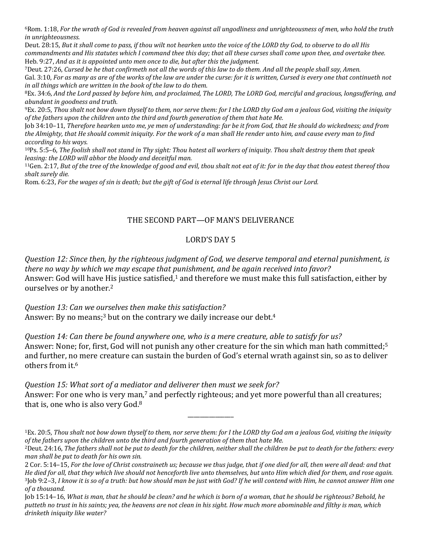6Rom. 1:18, *For the wrath of God is revealed from heaven against all ungodliness and unrighteousness of men, who hold the truth in unrighteousness.*

Deut. 28:15, *But it shall come to pass, if thou wilt not hearken unto the voice of the LORD thy God, to observe to do all His commandments and His statutes which I command thee this day; that all these curses shall come upon thee, and overtake thee.* Heb. 9:27, *And as it is appointed unto men once to die, but after this the judgment.*

7Deut. 27:26, *Cursed be he that confirmeth not all the words of this law to do them. And all the people shall say, Amen.* Gal. 3:10, *For as many as are of the works of the law are under the curse: for it is written, Cursed is every one that continueth not in all things which are written in the book of the law to do them.*

8Ex. 34:6, *And the Lord passed by before him, and proclaimed, The LORD, The LORD God, merciful and gracious, longsuffering, and abundant in goodness and truth.*

9Ex. 20:5, *Thou shalt not bow down thyself to them, nor serve them: for I the LORD thy God am a jealous God, visiting the iniquity of the fathers upon the children unto the third and fourth generation of them that hate Me.*

Job 34:10–11, *Therefore hearken unto me, ye men of understanding: far be it from God, that He should do wickedness; and from the Almighty, that He should commit iniquity. For the work of a man shall He render unto him, and cause every man to find according to his ways.*

10Ps. 5:5–6, *The foolish shall not stand in Thy sight: Thou hatest all workers of iniquity. Thou shalt destroy them that speak leasing: the LORD will abhor the bloody and deceitful man.*

11Gen. 2:17, *But of the tree of the knowledge of good and evil, thou shalt not eat of it: for in the day that thou eatest thereof thou shalt surely die.*

Rom. 6:23, *For the wages of sin is death; but the gift of God is eternal life through Jesus Christ our Lord.*

## THE SECOND PART—OF MAN'S DELIVERANCE

## LORD'S DAY 5

*Question 12: Since then, by the righteous judgment of God, we deserve temporal and eternal punishment, is there no way by which we may escape that punishment, and be again received into favor?* Answer: God will have His justice satisfied,<sup>1</sup> and therefore we must make this full satisfaction, either by ourselves or by another.2

*Question 13: Can we ourselves then make this satisfaction?* Answer: By no means;<sup>3</sup> but on the contrary we daily increase our debt.<sup>4</sup>

*Question 14: Can there be found anywhere one, who is a mere creature, able to satisfy for us?* Answer: None; for, first, God will not punish any other creature for the sin which man hath committed;<sup>5</sup> and further, no mere creature can sustain the burden of God's eternal wrath against sin, so as to deliver others from it.6

*Question 15: What sort of a mediator and deliverer then must we seek for?* Answer: For one who is very man,<sup>7</sup> and perfectly righteous; and yet more powerful than all creatures; that is, one who is also very God.<sup>8</sup>

1Ex. 20:5, *Thou shalt not bow down thyself to them, nor serve them: for I the LORD thy God am a jealous God, visiting the iniquity of the fathers upon the children unto the third and fourth generation of them that hate Me.*

<sup>2</sup>Deut. 24:16, *The fathers shall not be put to death for the children, neither shall the children be put to death for the fathers: every man shall be put to death for his own sin.*

<sup>2</sup> Cor. 5:14–15, *For the love of Christ constraineth us; because we thus judge, that if one died for all, then were all dead: and that He died for all, that they which live should not henceforth live unto themselves, but unto Him which died for them, and rose again.* 3Job 9:2–3, *I know it is so of a truth: but how should man be just with God? If he will contend with Him, he cannot answer Him one of a thousand.*

Job 15:14–16, *What is man, that he should be clean? and he which is born of a woman, that he should be righteous? Behold, he putteth no trust in his saints; yea, the heavens are not clean in his sight. How much more abominable and filthy is man, which drinketh iniquity like water?*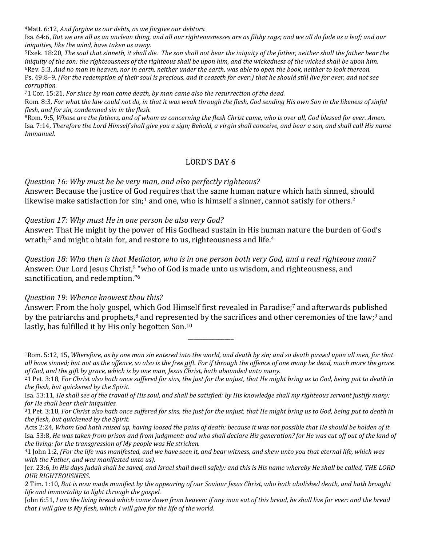4Matt. 6:12, *And forgive us our debts, as we forgive our debtors.*

Isa. 64:6, *But we are all as an unclean thing, and all our righteousnesses are as filthy rags; and we all do fade as a leaf; and our iniquities, like the wind, have taken us away.*

5Ezek. 18:20, *The soul that sinneth, it shall die. The son shall not bear the iniquity of the father, neither shall the father bear the iniquity of the son: the righteousness of the righteous shall be upon him, and the wickedness of the wicked shall be upon him.* 6Rev. 5:3, *And no man in heaven, nor in earth, neither under the earth, was able to open the book, neither to look thereon.* Ps. 49:8–9, *(For the redemption of their soul is precious, and it ceaseth for ever:) that he should still live for ever, and not see corruption.*

71 Cor. 15:21, *For since by man came death, by man came also the resurrection of the dead.*

Rom. 8:3, *For what the law could not do, in that it was weak through the flesh, God sending His own Son in the likeness of sinful flesh, and for sin, condemned sin in the flesh.*

8Rom. 9:5, *Whose are the fathers, and of whom as concerning the flesh Christ came, who is over all, God blessed for ever. Amen.* Isa. 7:14, *Therefore the Lord Himself shall give you a sign; Behold, a virgin shall conceive, and bear a son, and shall call His name Immanuel.*

## LORD'S DAY 6

*Question 16: Why must he be very man, and also perfectly righteous?* Answer: Because the justice of God requires that the same human nature which hath sinned, should likewise make satisfaction for sin;<sup>1</sup> and one, who is himself a sinner, cannot satisfy for others.<sup>2</sup>

#### *Question 17: Why must He in one person be also very God?*

Answer: That He might by the power of His Godhead sustain in His human nature the burden of God's wrath;<sup>3</sup> and might obtain for, and restore to us, righteousness and life.<sup>4</sup>

*Question 18: Who then is that Mediator, who is in one person both very God, and a real righteous man?* Answer: Our Lord Jesus Christ,<sup>5</sup> "who of God is made unto us wisdom, and righteousness, and sanctification, and redemption."6

#### *Question 19: Whence knowest thou this?*

Answer: From the holy gospel, which God Himself first revealed in Paradise;7 and afterwards published by the patriarchs and prophets, $8$  and represented by the sacrifices and other ceremonies of the law; $9$  and lastly, has fulfilled it by His only begotten Son.<sup>10</sup>

1Rom. 5:12, 15, *Wherefore, as by one man sin entered into the world, and death by sin; and so death passed upon all men, for that all have sinned; but not as the offence, so also is the free gift. For if through the offence of one many be dead, much more the grace of God, and the gift by grace, which is by one man, Jesus Christ, hath abounded unto many.*

\_\_\_\_\_\_\_\_\_\_\_\_\_\_\_

John 6:51, *I am the living bread which came down from heaven: if any man eat of this bread, he shall live for ever: and the bread that I will give is My flesh, which I will give for the life of the world.*

<sup>21</sup> Pet. 3:18, *For Christ also hath once suffered for sins, the just for the unjust, that He might bring us to God, being put to death in the flesh, but quickened by the Spirit.*

Isa. 53:11, *He shall see of the travail of His soul, and shall be satisfied: by His knowledge shall my righteous servant justify many; for He shall bear their iniquities.*

<sup>31</sup> Pet. 3:18, *For Christ also hath once suffered for sins, the just for the unjust, that He might bring us to God, being put to death in the flesh, but quickened by the Spirit.*

Acts 2:24, *Whom God hath raised up, having loosed the pains of death: because it was not possible that He should be holden of it.* Isa. 53:8, *He was taken from prison and from judgment: and who shall declare His generation? for He was cut off out of the land of the living: for the transgression of My people was He stricken.*

<sup>41</sup> John 1:2, *(For the life was manifested, and we have seen it, and bear witness, and shew unto you that eternal life, which was with the Father, and was manifested unto us).*

Jer. 23:6, *In His days Judah shall be saved, and Israel shall dwell safely: and this is His name whereby He shall be called, THE LORD OUR RIGHTEOUSNESS.*

<sup>2</sup> Tim. 1:10, *But is now made manifest by the appearing of our Saviour Jesus Christ, who hath abolished death, and hath brought life and immortality to light through the gospel.*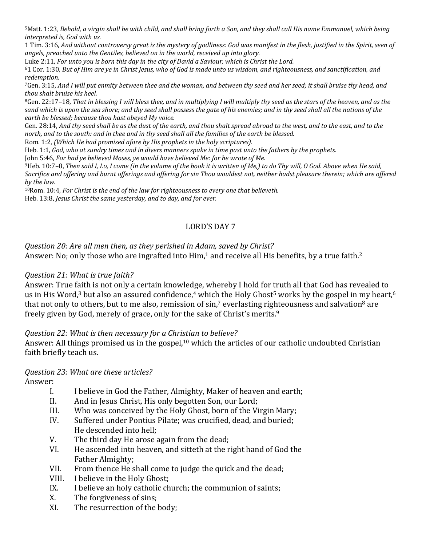5Matt. 1:23, *Behold, a virgin shall be with child, and shall bring forth a Son, and they shall call His name Emmanuel, which being interpreted is, God with us.*

1 Tim. 3:16, *And without controversy great is the mystery of godliness: God was manifest in the flesh, justified in the Spirit, seen of angels, preached unto the Gentiles, believed on in the world, received up into glory.*

Luke 2:11, *For unto you is born this day in the city of David a Saviour, which is Christ the Lord.*

61 Cor. 1:30, *But of Him are ye in Christ Jesus, who of God is made unto us wisdom, and righteousness, and sanctification, and redemption.*

7Gen. 3:15, *And I will put enmity between thee and the woman, and between thy seed and her seed; it shall bruise thy head, and thou shalt bruise his heel.*

8Gen. 22:17–18, *That in blessing I will bless thee, and in multiplying I will multiply thy seed as the stars of the heaven, and as the sand which is upon the sea shore; and thy seed shall possess the gate of his enemies; and in thy seed shall all the nations of the earth be blessed; because thou hast obeyed My voice.*

Gen. 28:14, *And thy seed shall be as the dust of the earth, and thou shalt spread abroad to the west, and to the east, and to the north, and to the south: and in thee and in thy seed shall all the families of the earth be blessed.*

Rom. 1:2, *(Which He had promised afore by His prophets in the holy scriptures).*

Heb. 1:1, *God, who at sundry times and in divers manners spake in time past unto the fathers by the prophets.*

John 5:46, *For had ye believed Moses, ye would have believed Me: for he wrote of Me.*

9Heb. 10:7–8, *Then said I, Lo, I come (in the volume of the book it is written of Me,) to do Thy will, O God. Above when He said, Sacrifice and offering and burnt offerings and offering for sin Thou wouldest not, neither hadst pleasure therein; which are offered by the law.*

10Rom. 10:4, *For Christ is the end of the law for righteousness to every one that believeth.* Heb. 13:8, *Jesus Christ the same yesterday, and to day, and for ever.*

## LORD'S DAY 7

## *Question 20: Are all men then, as they perished in Adam, saved by Christ?*

Answer: No; only those who are ingrafted into  $\text{Him},1$  and receive all His benefits, by a true faith.<sup>2</sup>

## *Question 21: What is true faith?*

Answer: True faith is not only a certain knowledge, whereby I hold for truth all that God has revealed to us in His Word,<sup>3</sup> but also an assured confidence,<sup>4</sup> which the Holy Ghost<sup>5</sup> works by the gospel in my heart,<sup>6</sup> that not only to others, but to me also, remission of  $\sin$ , everlasting righteousness and salvation<sup>8</sup> are freely given by God, merely of grace, only for the sake of Christ's merits.9

## *Question 22: What is then necessary for a Christian to believe?*

Answer: All things promised us in the gospel,<sup>10</sup> which the articles of our catholic undoubted Christian faith briefly teach us.

## *Question 23: What are these articles?*

Answer:

- I. I believe in God the Father, Almighty, Maker of heaven and earth;<br>II. And in Jesus Christ. His only begotten Son. our Lord:
- II. And in Jesus Christ, His only begotten Son, our Lord;<br>III. Who was conceived by the Holy Ghost, born of the Vi
- III. Who was conceived by the Holy Ghost, born of the Virgin Mary;<br>IV. Suffered under Pontius Pilate: was crucified, dead, and buried:
- Suffered under Pontius Pilate; was crucified, dead, and buried; He descended into hell;
- V. The third day He arose again from the dead;<br>VI. He ascended into heaven, and sitteth at the r
- He ascended into heaven, and sitteth at the right hand of God the Father Almighty;
- VII. From thence He shall come to judge the quick and the dead;<br>VIII. I believe in the Holy Ghost:
- VIII. I believe in the Holy Ghost;<br>IX. I believe an holy catholic ch
- IX. I believe an holy catholic church; the communion of saints;<br>X. The forgiveness of sins:
- X. The forgiveness of sins;<br>XI. The resurrection of the l
- The resurrection of the body;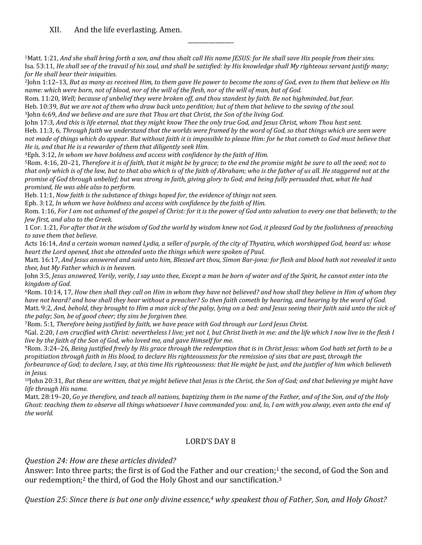## XII. And the life everlasting. Amen.

1Matt. 1:21, *And she shall bring forth a son, and thou shalt call His name JESUS: for He shall save His people from their sins.* Isa. 53:11, *He shall see of the travail of his soul, and shall be satisfied: by His knowledge shall My righteous servant justify many; for He shall bear their iniquities.*

\_\_\_\_\_\_\_\_\_\_\_\_\_\_\_

2John 1:12–13, *But as many as received Him, to them gave He power to become the sons of God, even to them that believe on His name: which were born, not of blood, nor of the will of the flesh, nor of the will of man, but of God.*

Rom. 11:20, *Well; because of unbelief they were broken off, and thou standest by faith. Be not highminded, but fear.*

Heb. 10:39, *But we are not of them who draw back unto perdition; but of them that believe to the saving of the soul.*

3John 6:69, *And we believe and are sure that Thou art that Christ, the Son of the living God.*

John 17:3, *And this is life eternal, that they might know Thee the only true God, and Jesus Christ, whom Thou hast sent.* Heb. 11:3, 6, *Through faith we understand that the worlds were framed by the word of God, so that things which are seen were not made of things which do appear. But without faith it is impossible to please Him: for he that cometh to God must believe that He is, and that He is a rewarder of them that diligently seek Him.*

4Eph. 3:12, *In whom we have boldness and access with confidence by the faith of Him.*

5Rom. 4:16, 20–21, *Therefore it is of faith, that it might be by grace; to the end the promise might be sure to all the seed; not to that only which is of the law, but to that also which is of the faith of Abraham; who is the father of us all. He staggered not at the promise of God through unbelief; but was strong in faith, giving glory to God; and being fully persuaded that, what He had promised, He was able also to perform.*

Heb. 11:1, *Now faith is the substance of things hoped for, the evidence of things not seen.*

Eph. 3:12, *In whom we have boldness and access with confidence by the faith of Him.*

Rom. 1:16, *For I am not ashamed of the gospel of Christ: for it is the power of God unto salvation to every one that believeth; to the Jew first, and also to the Greek.*

1 Cor. 1:21, *For after that in the wisdom of God the world by wisdom knew not God, it pleased God by the foolishness of preaching to save them that believe.*

Acts 16:14, *And a certain woman named Lydia, a seller of purple, of the city of Thyatira, which worshipped God, heard us: whose heart the Lord opened, that she attended unto the things which were spoken of Paul.*

Matt. 16:17, *And Jesus answered and said unto him, Blessed art thou, Simon Bar-jona: for flesh and blood hath not revealed it unto thee, but My Father which is in heaven.*

John 3:5, *Jesus answered, Verily, verily, I say unto thee, Except a man be born of water and of the Spirit, he cannot enter into the kingdom of God.*

6Rom. 10:14, 17, *How then shall they call on Him in whom they have not believed? and how shall they believe in Him of whom they have not heard? and how shall they hear without a preacher? So then faith cometh by hearing, and hearing by the word of God.* Matt. 9:2, *And, behold, they brought to Him a man sick of the palsy, lying on a bed: and Jesus seeing their faith said unto the sick of the palsy; Son, be of good cheer; thy sins be forgiven thee.*

7Rom. 5:1, *Therefore being justified by faith, we have peace with God through our Lord Jesus Christ.*

8Gal. 2:20, *I am crucified with Christ: nevertheless I live; yet not I, but Christ liveth in me: and the life which I now live in the flesh I live by the faith of the Son of God, who loved me, and gave Himself for me.*

9Rom. 3:24–26, *Being justified freely by His grace through the redemption that is in Christ Jesus: whom God hath set forth to be a propitiation through faith in His blood, to declare His righteousness for the remission of sins that are past, through the* 

*forbearance of God; to declare, I say, at this time His righteousness: that He might be just, and the justifier of him which believeth in Jesus.*

10John 20:31, *But these are written, that ye might believe that Jesus is the Christ, the Son of God; and that believing ye might have life through His name.*

Matt. 28:19–20, *Go ye therefore, and teach all nations, baptizing them in the name of the Father, and of the Son, and of the Holy Ghost: teaching them to observe all things whatsoever I have commanded you: and, lo, I am with you alway, even unto the end of the world.*

## LORD'S DAY 8

*Question 24: How are these articles divided?*

Answer: Into three parts; the first is of God the Father and our creation;<sup>1</sup> the second, of God the Son and our redemption;2 the third, of God the Holy Ghost and our sanctification.3

*Question 25: Since there is but one only divine essence,4 why speakest thou of Father, Son, and Holy Ghost?*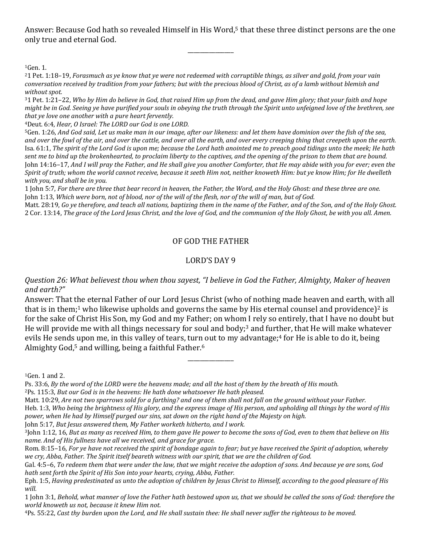Answer: Because God hath so revealed Himself in His Word,<sup>5</sup> that these three distinct persons are the one only true and eternal God.

\_\_\_\_\_\_\_\_\_\_\_\_\_\_\_

1Gen. 1.

21 Pet. 1:18–19, *Forasmuch as ye know that ye were not redeemed with corruptible things, as silver and gold, from your vain conversation received by tradition from your fathers; but with the precious blood of Christ, as of a lamb without blemish and without spot.*

31 Pet. 1:21–22, *Who by Him do believe in God, that raised Him up from the dead, and gave Him glory; that your faith and hope might be in God. Seeing ye have purified your souls in obeying the truth through the Spirit unto unfeigned love of the brethren, see that ye love one another with a pure heart fervently.*

4Deut. 6:4, *Hear, O Israel: The LORD our God is one LORD.*

5Gen. 1:26, *And God said, Let us make man in our image, after our likeness: and let them have dominion over the fish of the sea, and over the fowl of the air, and over the cattle, and over all the earth, and over every creeping thing that creepeth upon the earth.* Isa. 61:1, *The spirit of the Lord God is upon me; because the Lord hath anointed me to preach good tidings unto the meek; He hath sent me to bind up the brokenhearted, to proclaim liberty to the captives, and the opening of the prison to them that are bound.* John 14:16–17, *And I will pray the Father, and He shall give you another Comforter, that He may abide with you for ever; even the Spirit of truth; whom the world cannot receive, because it seeth Him not, neither knoweth Him: but ye know Him; for He dwelleth with you, and shall be in you.*

1 John 5:7, *For there are three that bear record in heaven, the Father, the Word, and the Holy Ghost: and these three are one.* John 1:13, *Which were born, not of blood, nor of the will of the flesh, nor of the will of man, but of God.*

Matt. 28:19, *Go ye therefore, and teach all nations, baptizing them in the name of the Father, and of the Son, and of the Holy Ghost.* 2 Cor. 13:14, *The grace of the Lord Jesus Christ, and the love of God, and the communion of the Holy Ghost, be with you all. Amen.*

## OF GOD THE FATHER

## LORD'S DAY 9

*Question 26: What believest thou when thou sayest, "I believe in God the Father, Almighty, Maker of heaven and earth?"*

Answer: That the eternal Father of our Lord Jesus Christ (who of nothing made heaven and earth, with all that is in them;<sup>1</sup> who likewise upholds and governs the same by His eternal counsel and providence)<sup>2</sup> is for the sake of Christ His Son, my God and my Father; on whom I rely so entirely, that I have no doubt but He will provide me with all things necessary for soul and body;<sup>3</sup> and further, that He will make whatever evils He sends upon me, in this valley of tears, turn out to my advantage;<sup>4</sup> for He is able to do it, being Almighty God,<sup>5</sup> and willing, being a faithful Father.<sup>6</sup>

\_\_\_\_\_\_\_\_\_\_\_\_\_\_\_

1Gen. 1 and 2.

Ps. 33:6, *By the word of the LORD were the heavens made; and all the host of them by the breath of His mouth.*

2Ps. 115:3, *But our God is in the heavens: He hath done whatsoever He hath pleased.*

Matt. 10:29, *Are not two sparrows sold for a farthing? and one of them shall not fall on the ground without your Father.*

John 5:17, *But Jesus answered them, My Father worketh hitherto, and I work.*

Heb. 1:3, *Who being the brightness of His glory, and the express image of His person, and upholding all things by the word of His power, when He had by Himself purged our sins, sat down on the right hand of the Majesty on high.*

<sup>3</sup>John 1:12, 16, *But as many as received Him, to them gave He power to become the sons of God, even to them that believe on His name. And of His fullness have all we received, and grace for grace.*

Rom. 8:15–16, *For ye have not received the spirit of bondage again to fear; but ye have received the Spirit of adoption, whereby we cry, Abba, Father. The Spirit itself beareth witness with our spirit, that we are the children of God.*

Gal. 4:5–6, *To redeem them that were under the law, that we might receive the adoption of sons. And because ye are sons, God hath sent forth the Spirit of His Son into your hearts, crying, Abba, Father.*

Eph. 1:5, *Having predestinated us unto the adoption of children by Jesus Christ to Himself, according to the good pleasure of His will.*

<sup>1</sup> John 3:1, *Behold, what manner of love the Father hath bestowed upon us, that we should be called the sons of God: therefore the world knoweth us not, because it knew Him not.*

<sup>4</sup>Ps. 55:22, *Cast thy burden upon the Lord, and He shall sustain thee: He shall never suffer the righteous to be moved.*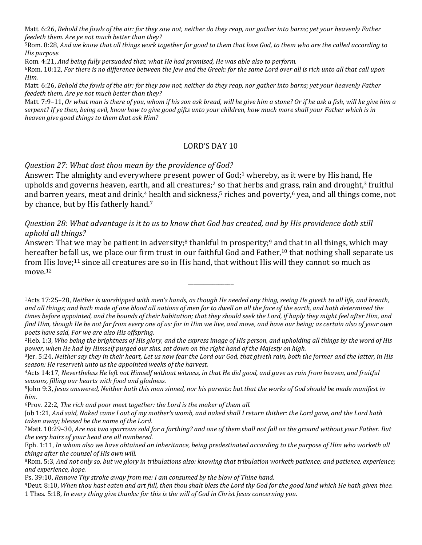Matt. 6:26, *Behold the fowls of the air: for they sow not, neither do they reap, nor gather into barns; yet your heavenly Father feedeth them. Are ye not much better than they?*

5Rom. 8:28, *And we know that all things work together for good to them that love God, to them who are the called according to His purpose.*

Rom. 4:21, *And being fully persuaded that, what He had promised, He was able also to perform.*

6Rom. 10:12, *For there is no difference between the Jew and the Greek: for the same Lord over all is rich unto all that call upon Him.*

Matt. 6:26, *Behold the fowls of the air: for they sow not, neither do they reap, nor gather into barns; yet your heavenly Father feedeth them. Are ye not much better than they?*

Matt. 7:9–11, *Or what man is there of you, whom if his son ask bread, will he give him a stone? Or if he ask a fish, will he give him a serpent? If ye then, being evil, know how to give good gifts unto your children, how much more shall your Father which is in heaven give good things to them that ask Him?*

## LORD'S DAY 10

*Question 27: What dost thou mean by the providence of God?*

Answer: The almighty and everywhere present power of God;<sup>1</sup> whereby, as it were by His hand, He upholds and governs heaven, earth, and all creatures;<sup>2</sup> so that herbs and grass, rain and drought,<sup>3</sup> fruitful and barren years, meat and drink,<sup>4</sup> health and sickness,<sup>5</sup> riches and poverty,<sup>6</sup> yea, and all things come, not by chance, but by His fatherly hand.<sup>7</sup>

*Question 28: What advantage is it to us to know that God has created, and by His providence doth still uphold all things?*

Answer: That we may be patient in adversity;<sup>8</sup> thankful in prosperity;<sup>9</sup> and that in all things, which may hereafter befall us, we place our firm trust in our faithful God and Father,<sup>10</sup> that nothing shall separate us from His love;<sup>11</sup> since all creatures are so in His hand, that without His will they cannot so much as move.12

\_\_\_\_\_\_\_\_\_\_\_\_\_\_\_

1Acts 17:25–28, *Neither is worshipped with men's hands, as though He needed any thing, seeing He giveth to all life, and breath, and all things; and hath made of one blood all nations of men for to dwell on all the face of the earth, and hath determined the times before appointed, and the bounds of their habitation; that they should seek the Lord, if haply they might feel after Him, and find Him, though He be not far from every one of us: for in Him we live, and move, and have our being; as certain also of your own poets have said, For we are also His offspring.*

6Prov. 22:2, *The rich and poor meet together: the Lord is the maker of them all.*

Ps. 39:10, *Remove Thy stroke away from me: I am consumed by the blow of Thine hand.*

<sup>2</sup>Heb. 1:3, *Who being the brightness of His glory, and the express image of His person, and upholding all things by the word of His power, when He had by Himself purged our sins, sat down on the right hand of the Majesty on high.*

<sup>3</sup>Jer. 5:24, *Neither say they in their heart, Let us now fear the Lord our God, that giveth rain, both the former and the latter, in His season: He reserveth unto us the appointed weeks of the harvest.*

<sup>4</sup>Acts 14:17, *Nevertheless He left not Himself without witness, in that He did good, and gave us rain from heaven, and fruitful seasons, filling our hearts with food and gladness.*

<sup>5</sup>John 9:3, *Jesus answered, Neither hath this man sinned, nor his parents: but that the works of God should be made manifest in him.*

Job 1:21, *And said, Naked came I out of my mother's womb, and naked shall I return thither: the Lord gave, and the Lord hath taken away; blessed be the name of the Lord.*

<sup>7</sup>Matt. 10:29–30, *Are not two sparrows sold for a farthing? and one of them shall not fall on the ground without your Father. But the very hairs of your head are all numbered.*

Eph. 1:11, *In whom also we have obtained an inheritance, being predestinated according to the purpose of Him who worketh all things after the counsel of His own will.*

<sup>8</sup>Rom. 5:3, *And not only so, but we glory in tribulations also: knowing that tribulation worketh patience; and patience, experience; and experience, hope.*

<sup>9</sup>Deut. 8:10, *When thou hast eaten and art full, then thou shalt bless the Lord thy God for the good land which He hath given thee.* 1 Thes. 5:18, *In every thing give thanks: for this is the will of God in Christ Jesus concerning you.*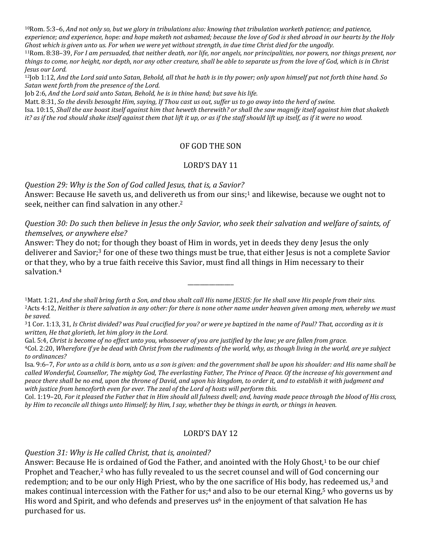10Rom. 5:3–6, *And not only so, but we glory in tribulations also: knowing that tribulation worketh patience; and patience, experience; and experience, hope: and hope maketh not ashamed; because the love of God is shed abroad in our hearts by the Holy Ghost which is given unto us. For when we were yet without strength, in due time Christ died for the ungodly.*

11Rom. 8:38–39, *For I am persuaded, that neither death, nor life, nor angels, nor principalities, nor powers, nor things present, nor things to come, nor height, nor depth, nor any other creature, shall be able to separate us from the love of God, which is in Christ Jesus our Lord.*

12Job 1:12, *And the Lord said unto Satan, Behold, all that he hath is in thy power; only upon himself put not forth thine hand. So Satan went forth from the presence of the Lord.*

Job 2:6, *And the Lord said unto Satan, Behold, he is in thine hand; but save his life.*

Matt. 8:31, *So the devils besought Him, saying, If Thou cast us out, suffer us to go away into the herd of swine.*

Isa. 10:15, *Shall the axe boast itself against him that heweth therewith? or shall the saw magnify itself against him that shaketh it? as if the rod should shake itself against them that lift it up, or as if the staff should lift up itself, as if it were no wood.*

## OF GOD THE SON

## LORD'S DAY 11

*Question 29: Why is the Son of God called Jesus, that is, a Savior?*

Answer: Because He saveth us, and delivereth us from our sins;<sup>1</sup> and likewise, because we ought not to seek, neither can find salvation in any other.2

*Question 30: Do such then believe in Jesus the only Savior, who seek their salvation and welfare of saints, of themselves, or anywhere else?*

Answer: They do not; for though they boast of Him in words, yet in deeds they deny Jesus the only deliverer and Savior;3 for one of these two things must be true, that either Jesus is not a complete Savior or that they, who by a true faith receive this Savior, must find all things in Him necessary to their salvation.4

\_\_\_\_\_\_\_\_\_\_\_\_\_\_\_

Gal. 5:4, *Christ is become of no effect unto you, whosoever of you are justified by the law; ye are fallen from grace.*

4Col. 2:20, *Wherefore if ye be dead with Christ from the rudiments of the world, why, as though living in the world, are ye subject to ordinances?*

Isa. 9:6–7, *For unto us a child is born, unto us a son is given: and the government shall be upon his shoulder: and His name shall be called Wonderful, Counsellor, The mighty God, The everlasting Father, The Prince of Peace. Of the increase of his government and peace there shall be no end, upon the throne of David, and upon his kingdom, to order it, and to establish it with judgment and with justice from henceforth even for ever. The zeal of the Lord of hosts will perform this.*

Col. 1:19–20, *For it pleased the Father that in Him should all fulness dwell; and, having made peace through the blood of His cross, by Him to reconcile all things unto Himself; by Him, I say, whether they be things in earth, or things in heaven.*

## LORD'S DAY 12

*Question 31: Why is He called Christ, that is, anointed?*

Answer: Because He is ordained of God the Father, and anointed with the Holy Ghost,<sup>1</sup> to be our chief Prophet and Teacher,<sup>2</sup> who has fully revealed to us the secret counsel and will of God concerning our redemption; and to be our only High Priest, who by the one sacrifice of His body, has redeemed us,<sup>3</sup> and makes continual intercession with the Father for us;<sup>4</sup> and also to be our eternal King,<sup>5</sup> who governs us by His word and Spirit, and who defends and preserves us<sup>6</sup> in the enjoyment of that salvation He has purchased for us.

<sup>1</sup>Matt. 1:21, *And she shall bring forth a Son, and thou shalt call His name JESUS: for He shall save His people from their sins.* 2Acts 4:12, *Neither is there salvation in any other: for there is none other name under heaven given among men, whereby we must be saved.*

<sup>31</sup> Cor. 1:13, 31, *Is Christ divided? was Paul crucified for you? or were ye baptized in the name of Paul? That, according as it is written, He that glorieth, let him glory in the Lord.*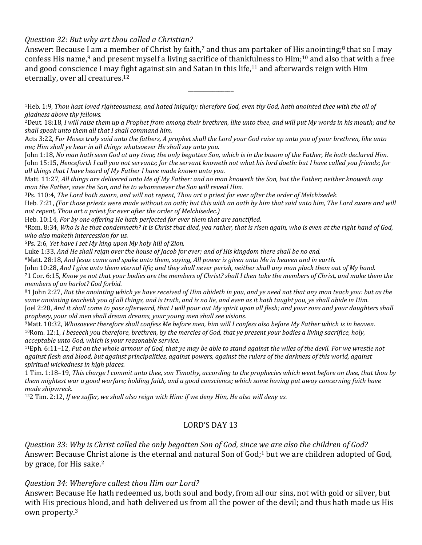#### *Question 32: But why art thou called a Christian?*

Answer: Because I am a member of Christ by faith,<sup>7</sup> and thus am partaker of His anointing;<sup>8</sup> that so I may confess His name,<sup>9</sup> and present myself a living sacrifice of thankfulness to Him;<sup>10</sup> and also that with a free and good conscience I may fight against sin and Satan in this life,<sup>11</sup> and afterwards reign with Him eternally, over all creatures.12

\_\_\_\_\_\_\_\_\_\_\_\_\_\_\_

1Heb. 1:9, *Thou hast loved righteousness, and hated iniquity; therefore God, even thy God, hath anointed thee with the oil of gladness above thy fellows.*

2Deut. 18:18, *I will raise them up a Prophet from among their brethren, like unto thee, and will put My words in his mouth; and he shall speak unto them all that I shall command him.*

Acts 3:22, *For Moses truly said unto the fathers, A prophet shall the Lord your God raise up unto you of your brethren, like unto me; Him shall ye hear in all things whatsoever He shall say unto you.*

John 1:18, *No man hath seen God at any time; the only begotten Son, which is in the bosom of the Father, He hath declared Him.* John 15:15, *Henceforth I call you not servants; for the servant knoweth not what his lord doeth: but I have called you friends; for all things that I have heard of My Father I have made known unto you.*

Matt. 11:27, *All things are delivered unto Me of My Father: and no man knoweth the Son, but the Father; neither knoweth any man the Father, save the Son, and he to whomsoever the Son will reveal Him.*

3Ps. 110:4, *The Lord hath sworn, and will not repent, Thou art a priest for ever after the order of Melchizedek.*

Heb. 7:21, *(For those priests were made without an oath; but this with an oath by him that said unto him, The Lord sware and will not repent, Thou art a priest for ever after the order of Melchisedec.)*

Heb. 10:14, *For by one offering He hath perfected for ever them that are sanctified.*

4Rom. 8:34, *Who is he that condemneth? It is Christ that died, yea rather, that is risen again, who is even at the right hand of God, who also maketh intercession for us.*

5Ps. 2:6, *Yet have I set My king upon My holy hill of Zion.*

Luke 1:33, *And He shall reign over the house of Jacob for ever; and of His kingdom there shall be no end.*

6Matt. 28:18, *And Jesus came and spake unto them, saying, All power is given unto Me in heaven and in earth.*

John 10:28, *And I give unto them eternal life; and they shall never perish, neither shall any man pluck them out of My hand.*

71 Cor. 6:15, *Know ye not that your bodies are the members of Christ? shall I then take the members of Christ, and make them the members of an harlot? God forbid.*

81 John 2:27, *But the anointing which ye have received of Him abideth in you, and ye need not that any man teach you: but as the same anointing teacheth you of all things, and is truth, and is no lie, and even as it hath taught you, ye shall abide in Him.* Joel 2:28, *And it shall come to pass afterward, that I will pour out My spirit upon all flesh; and your sons and your daughters shall prophesy, your old men shall dream dreams, your young men shall see visions.*

9Matt. 10:32, *Whosoever therefore shall confess Me before men, him will I confess also before My Father which is in heaven.* 10Rom. 12:1, *I beseech you therefore, brethren, by the mercies of God, that ye present your bodies a living sacrifice, holy, acceptable unto God, which is your reasonable service.*

11Eph. 6:11–12, *Put on the whole armour of God, that ye may be able to stand against the wiles of the devil. For we wrestle not against flesh and blood, but against principalities, against powers, against the rulers of the darkness of this world, against spiritual wickedness in high places.*

1 Tim. 1:18–19, *This charge I commit unto thee, son Timothy, according to the prophecies which went before on thee, that thou by them mightest war a good warfare; holding faith, and a good conscience; which some having put away concerning faith have made shipwreck.*

122 Tim. 2:12, *If we suffer, we shall also reign with Him: if we deny Him, He also will deny us.*

## LORD'S DAY 13

*Question 33: Why is Christ called the only begotten Son of God, since we are also the children of God?* Answer: Because Christ alone is the eternal and natural Son of God;<sup>1</sup> but we are children adopted of God, by grace, for His sake.2

## *Question 34: Wherefore callest thou Him our Lord?*

Answer: Because He hath redeemed us, both soul and body, from all our sins, not with gold or silver, but with His precious blood, and hath delivered us from all the power of the devil; and thus hath made us His own property.3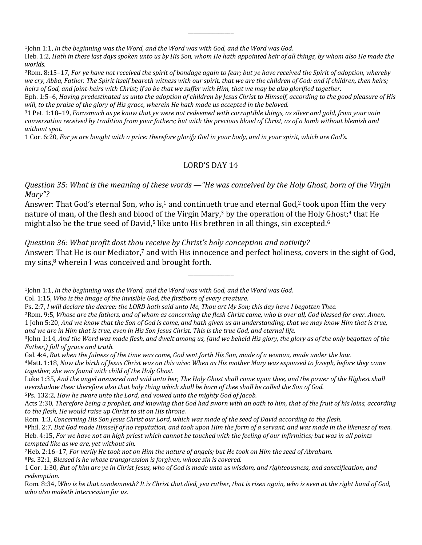1John 1:1, *In the beginning was the Word, and the Word was with God, and the Word was God.*

Heb. 1:2, *Hath in these last days spoken unto us by His Son, whom He hath appointed heir of all things, by whom also He made the worlds.*

\_\_\_\_\_\_\_\_\_\_\_\_\_\_\_

2Rom. 8:15–17, *For ye have not received the spirit of bondage again to fear; but ye have received the Spirit of adoption, whereby we cry, Abba, Father. The Spirit itself beareth witness with our spirit, that we are the children of God: and if children, then heirs; heirs of God, and joint-heirs with Christ; if so be that we suffer with Him, that we may be also glorified together.*

Eph. 1:5–6, *Having predestinated us unto the adoption of children by Jesus Christ to Himself, according to the good pleasure of His will, to the praise of the glory of His grace, wherein He hath made us accepted in the beloved.*

31 Pet. 1:18–19, *Forasmuch as ye know that ye were not redeemed with corruptible things, as silver and gold, from your vain conversation received by tradition from your fathers; but with the precious blood of Christ, as of a lamb without blemish and without spot.*

1 Cor. 6:20, *For ye are bought with a price: therefore glorify God in your body, and in your spirit, which are God's.*

#### LORD'S DAY 14

*Question 35: What is the meaning of these words —"He was conceived by the Holy Ghost, born of the Virgin Mary"?*

Answer: That God's eternal Son, who is,<sup>1</sup> and continueth true and eternal God,<sup>2</sup> took upon Him the very nature of man, of the flesh and blood of the Virgin Mary,<sup>3</sup> by the operation of the Holy Ghost;<sup>4</sup> that He might also be the true seed of David,<sup>5</sup> like unto His brethren in all things, sin excepted.<sup>6</sup>

#### *Question 36: What profit dost thou receive by Christ's holy conception and nativity?*

Answer: That He is our Mediator,<sup>7</sup> and with His innocence and perfect holiness, covers in the sight of God, my sins,<sup>8</sup> wherein I was conceived and brought forth.

\_\_\_\_\_\_\_\_\_\_\_\_\_\_\_

1John 1:1, *In the beginning was the Word, and the Word was with God, and the Word was God.*

Col. 1:15, *Who is the image of the invisible God, the firstborn of every creature.*

- Ps. 2:7, *I will declare the decree: the LORD hath said unto Me, Thou art My Son; this day have I begotten Thee.*
- 2Rom. 9:5, *Whose are the fathers, and of whom as concerning the flesh Christ came, who is over all, God blessed for ever. Amen.* 1 John 5:20, *And we know that the Son of God is come, and hath given us an understanding, that we may know Him that is true, and we are in Him that is true, even in His Son Jesus Christ. This is the true God, and eternal life.*

Luke 1:35, *And the angel answered and said unto her, The Holy Ghost shall come upon thee, and the power of the Highest shall overshadow thee: therefore also that holy thing which shall be born of thee shall be called the Son of God.*

5Ps. 132:2, *How he sware unto the Lord, and vowed unto the mighty God of Jacob.*

Acts 2:30, *Therefore being a prophet, and knowing that God had sworn with an oath to him, that of the fruit of his loins, according to the flesh, He would raise up Christ to sit on His throne.*

Rom. 1:3, *Concerning His Son Jesus Christ our Lord, which was made of the seed of David according to the flesh.*

6Phil. 2:7, *But God made Himself of no reputation, and took upon Him the form of a servant, and was made in the likeness of men.* Heb. 4:15, *For we have not an high priest which cannot be touched with the feeling of our infirmities; but was in all points tempted like as we are, yet without sin.*

7Heb. 2:16–17, *For verily He took not on Him the nature of angels; but He took on Him the seed of Abraham.* 8Ps. 32:1, *Blessed is he whose transgression is forgiven, whose sin is covered.*

Rom. 8:34, *Who is he that condemneth? It is Christ that died, yea rather, that is risen again, who is even at the right hand of God, who also maketh intercession for us.*

<sup>3</sup>John 1:14, *And the Word was made flesh, and dwelt among us, (and we beheld His glory, the glory as of the only begotten of the Father,) full of grace and truth.*

Gal. 4:4, *But when the fulness of the time was come, God sent forth His Son, made of a woman, made under the law.*

<sup>4</sup>Matt. 1:18, *Now the birth of Jesus Christ was on this wise: When as His mother Mary was espoused to Joseph, before they came together, she was found with child of the Holy Ghost.*

<sup>1</sup> Cor. 1:30, *But of him are ye in Christ Jesus, who of God is made unto us wisdom, and righteousness, and sanctification, and redemption.*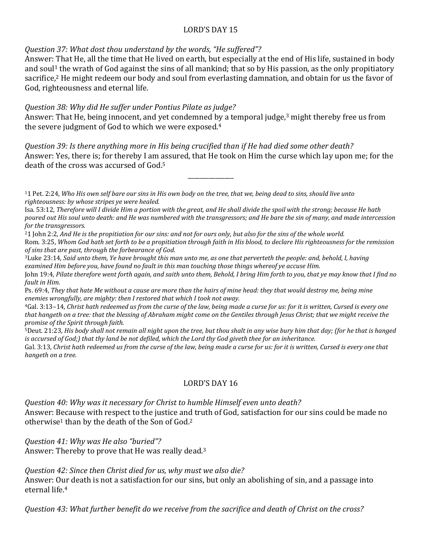## LORD'S DAY 15

#### *Question 37: What dost thou understand by the words, "He suffered"?*

Answer: That He, all the time that He lived on earth, but especially at the end of His life, sustained in body and soul<sup>1</sup> the wrath of God against the sins of all mankind; that so by His passion, as the only propitiatory sacrifice,<sup>2</sup> He might redeem our body and soul from everlasting damnation, and obtain for us the favor of God, righteousness and eternal life.

## *Question 38: Why did He suffer under Pontius Pilate as judge?*

Answer: That He, being innocent, and yet condemned by a temporal judge,<sup>3</sup> might thereby free us from the severe judgment of God to which we were exposed.4

*Question 39: Is there anything more in His being crucified than if He had died some other death?* Answer: Yes, there is; for thereby I am assured, that He took on Him the curse which lay upon me; for the death of the cross was accursed of God.5

\_\_\_\_\_\_\_\_\_\_\_\_\_\_\_

11 Pet. 2:24, *Who His own self bare our sins in His own body on the tree, that we, being dead to sins, should live unto righteousness: by whose stripes ye were healed.*

21 John 2:2, *And He is the propitiation for our sins: and not for ours only, but also for the sins of the whole world.* Rom. 3:25, *Whom God hath set forth to be a propitiation through faith in His blood, to declare His righteousness for the remission of sins that are past, through the forbearance of God.*

3Luke 23:14, *Said unto them, Ye have brought this man unto me, as one that perverteth the people: and, behold, I, having examined Him before you, have found no fault in this man touching those things whereof ye accuse Him.*

John 19:4, *Pilate therefore went forth again, and saith unto them, Behold, I bring Him forth to you, that ye may know that I find no fault in Him.*

Ps. 69:4, *They that hate Me without a cause are more than the hairs of mine head: they that would destroy me, being mine enemies wrongfully, are mighty: then I restored that which I took not away.*

4Gal. 3:13–14, *Christ hath redeemed us from the curse of the law, being made a curse for us: for it is written, Cursed is every one that hangeth on a tree: that the blessing of Abraham might come on the Gentiles through Jesus Christ; that we might receive the promise of the Spirit through faith.*

5Deut. 21:23, *His body shall not remain all night upon the tree, but thou shalt in any wise bury him that day; (for he that is hanged is accursed of God;) that thy land be not defiled, which the Lord thy God giveth thee for an inheritance.*

Gal. 3:13, *Christ hath redeemed us from the curse of the law, being made a curse for us: for it is written, Cursed is every one that hangeth on a tree.*

## LORD'S DAY 16

*Question 40: Why was it necessary for Christ to humble Himself even unto death?* Answer: Because with respect to the justice and truth of God, satisfaction for our sins could be made no otherwise<sup>1</sup> than by the death of the Son of God.<sup>2</sup>

*Question 41: Why was He also "buried"?*

Answer: Thereby to prove that He was really dead.3

*Question 42: Since then Christ died for us, why must we also die?*

Answer: Our death is not a satisfaction for our sins, but only an abolishing of sin, and a passage into eternal life.4

*Question 43: What further benefit do we receive from the sacrifice and death of Christ on the cross?*

Isa. 53:12, *Therefore will I divide Him a portion with the great, and He shall divide the spoil with the strong; because He hath poured out His soul unto death: and He was numbered with the transgressors; and He bare the sin of many, and made intercession for the transgressors.*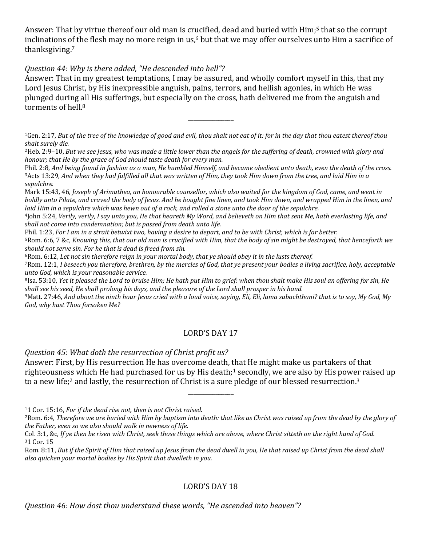Answer: That by virtue thereof our old man is crucified, dead and buried with Him;<sup>5</sup> that so the corrupt inclinations of the flesh may no more reign in us,<sup>6</sup> but that we may offer ourselves unto Him a sacrifice of thanksgiving.7

## *Question 44: Why is there added, "He descended into hell"?*

Answer: That in my greatest temptations, I may be assured, and wholly comfort myself in this, that my Lord Jesus Christ, by His inexpressible anguish, pains, terrors, and hellish agonies, in which He was plunged during all His sufferings, but especially on the cross, hath delivered me from the anguish and torments of hell.8

1Gen. 2:17, *But of the tree of the knowledge of good and evil, thou shalt not eat of it: for in the day that thou eatest thereof thou shalt surely die.*

\_\_\_\_\_\_\_\_\_\_\_\_\_\_\_

2Heb. 2:9–10, *But we see Jesus, who was made a little lower than the angels for the suffering of death, crowned with glory and honour; that He by the grace of God should taste death for every man.*

Phil. 2:8, *And being found in fashion as a man, He humbled Himself, and became obedient unto death, even the death of the cross.* 3Acts 13:29, *And when they had fulfilled all that was written of Him, they took Him down from the tree, and laid Him in a sepulchre.*

Mark 15:43, 46, *Joseph of Arimathea, an honourable counsellor, which also waited for the kingdom of God, came, and went in boldly unto Pilate, and craved the body of Jesus. And he bought fine linen, and took Him down, and wrapped Him in the linen, and laid Him in a sepulchre which was hewn out of a rock, and rolled a stone unto the door of the sepulchre.*

4John 5:24, *Verily, verily, I say unto you, He that heareth My Word, and believeth on Him that sent Me, hath everlasting life, and shall not come into condemnation; but is passed from death unto life.*

Phil. 1:23, *For I am in a strait betwixt two, having a desire to depart, and to be with Christ, which is far better.*

5Rom. 6:6, 7 &c, *Knowing this, that our old man is crucified with Him, that the body of sin might be destroyed, that henceforth we should not serve sin. For he that is dead is freed from sin.*

6Rom. 6:12, *Let not sin therefore reign in your mortal body, that ye should obey it in the lusts thereof.*

7Rom. 12:1, *I beseech you therefore, brethren, by the mercies of God, that ye present your bodies a living sacrifice, holy, acceptable unto God, which is your reasonable service.*

8Isa. 53:10, *Yet it pleased the Lord to bruise Him; He hath put Him to grief: when thou shalt make His soul an offering for sin, He shall see his seed, He shall prolong his days, and the pleasure of the Lord shall prosper in his hand.*

9Matt. 27:46, *And about the ninth hour Jesus cried with a loud voice, saying, Eli, Eli, lama sabachthani? that is to say, My God, My God, why hast Thou forsaken Me?*

## LORD'S DAY 17

*Question 45: What doth the resurrection of Christ profit us?*

Answer: First, by His resurrection He has overcome death, that He might make us partakers of that righteousness which He had purchased for us by His death;<sup>1</sup> secondly, we are also by His power raised up to a new life;<sup>2</sup> and lastly, the resurrection of Christ is a sure pledge of our blessed resurrection.<sup>3</sup>

\_\_\_\_\_\_\_\_\_\_\_\_\_\_\_

Rom. 8:11, *But if the Spirit of Him that raised up Jesus from the dead dwell in you, He that raised up Christ from the dead shall also quicken your mortal bodies by His Spirit that dwelleth in you.*

## LORD'S DAY 18

<sup>11</sup> Cor. 15:16, *For if the dead rise not, then is not Christ raised.*

<sup>2</sup>Rom. 6:4, *Therefore we are buried with Him by baptism into death: that like as Christ was raised up from the dead by the glory of the Father, even so we also should walk in newness of life.*

Col. 3:1, &c, *If ye then be risen with Christ, seek those things which are above, where Christ sitteth on the right hand of God.* 31 Cor. 15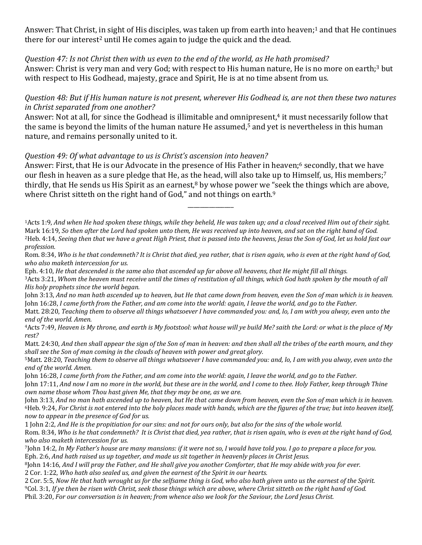Answer: That Christ, in sight of His disciples, was taken up from earth into heaven;<sup>1</sup> and that He continues there for our interest<sup>2</sup> until He comes again to judge the quick and the dead.

## *Question 47: Is not Christ then with us even to the end of the world, as He hath promised?*

Answer: Christ is very man and very God; with respect to His human nature, He is no more on earth;<sup>3</sup> but with respect to His Godhead, majesty, grace and Spirit, He is at no time absent from us.

*Question 48: But if His human nature is not present, wherever His Godhead is, are not then these two natures in Christ separated from one another?*

Answer: Not at all, for since the Godhead is illimitable and omnipresent,<sup>4</sup> it must necessarily follow that the same is beyond the limits of the human nature He assumed,<sup>5</sup> and yet is nevertheless in this human nature, and remains personally united to it.

#### *Question 49: Of what advantage to us is Christ's ascension into heaven?*

Answer: First, that He is our Advocate in the presence of His Father in heaven;<sup>6</sup> secondly, that we have our flesh in heaven as a sure pledge that He, as the head, will also take up to Himself, us, His members;7 thirdly, that He sends us His Spirit as an earnest, $8$  by whose power we "seek the things which are above, where Christ sitteth on the right hand of God," and not things on earth.<sup>9</sup>

\_\_\_\_\_\_\_\_\_\_\_\_\_\_\_

1Acts 1:9, *And when He had spoken these things, while they beheld, He was taken up; and a cloud received Him out of their sight.* Mark 16:19, *So then after the Lord had spoken unto them, He was received up into heaven, and sat on the right hand of God.* 2Heb. 4:14, *Seeing then that we have a great High Priest, that is passed into the heavens, Jesus the Son of God, let us hold fast our profession.*

Rom. 8:34, *Who is he that condemneth? It is Christ that died, yea rather, that is risen again, who is even at the right hand of God, who also maketh intercession for us.*

Eph. 4:10, *He that descended is the same also that ascended up far above all heavens, that He might fill all things.*

3Acts 3:21, *Whom the heaven must receive until the times of restitution of all things, which God hath spoken by the mouth of all His holy prophets since the world began.*

John 3:13, *And no man hath ascended up to heaven, but He that came down from heaven, even the Son of man which is in heaven.* John 16:28, *I came forth from the Father, and am come into the world: again, I leave the world, and go to the Father.*

Matt. 28:20, *Teaching them to observe all things whatsoever I have commanded you: and, lo, I am with you alway, even unto the end of the world. Amen.*

4Acts 7:49, *Heaven is My throne, and earth is My footstool: what house will ye build Me? saith the Lord: or what is the place of My rest?*

Matt. 24:30, *And then shall appear the sign of the Son of man in heaven: and then shall all the tribes of the earth mourn, and they shall see the Son of man coming in the clouds of heaven with power and great glory.*

5Matt. 28:20, *Teaching them to observe all things whatsoever I have commanded you: and, lo, I am with you alway, even unto the end of the world. Amen.*

John 16:28, *I came forth from the Father, and am come into the world: again, I leave the world, and go to the Father.*

John 17:11, *And now I am no more in the world, but these are in the world, and I come to thee. Holy Father, keep through Thine own name those whom Thou hast given Me, that they may be one, as we are.*

John 3:13, *And no man hath ascended up to heaven, but He that came down from heaven, even the Son of man which is in heaven.* 6Heb. 9:24, *For Christ is not entered into the holy places made with hands, which are the figures of the true; but into heaven itself, now to appear in the presence of God for us.*

1 John 2:2, *And He is the propitiation for our sins: and not for ours only, but also for the sins of the whole world.* Rom. 8:34, *Who is he that condemneth? It is Christ that died, yea rather, that is risen again, who is even at the right hand of God, who also maketh intercession for us.*

7John 14:2, *In My Father's house are many mansions: if it were not so, I would have told you. I go to prepare a place for you.* Eph. 2:6, *And hath raised us up together, and made us sit together in heavenly places in Christ Jesus.*

8John 14:16, *And I will pray the Father, and He shall give you another Comforter, that He may abide with you for ever.* 2 Cor. 1:22, *Who hath also sealed us, and given the earnest of the Spirit in our hearts.*

2 Cor. 5:5, *Now He that hath wrought us for the selfsame thing is God, who also hath given unto us the earnest of the Spirit.*

9Col. 3:1, *If ye then be risen with Christ, seek those things which are above, where Christ sitteth on the right hand of God.*

Phil. 3:20, *For our conversation is in heaven; from whence also we look for the Saviour, the Lord Jesus Christ.*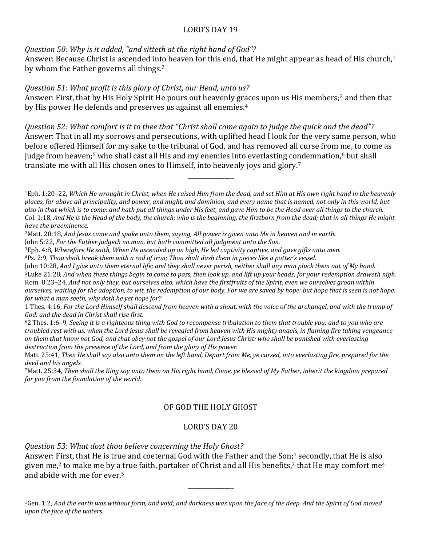## LORD'S DAY 19

## *Question 50: Why is it added, "and sitteth at the right hand of God"?*

Answer: Because Christ is ascended into heaven for this end, that He might appear as head of His church,<sup>1</sup> by whom the Father governs all things.<sup>2</sup>

## *Question 51: What profit is this glory of Christ, our Head, unto us?*

Answer: First, that by His Holy Spirit He pours out heavenly graces upon us His members;<sup>3</sup> and then that by His power He defends and preserves us against all enemies.<sup>4</sup>

*Question 52: What comfort is it to thee that "Christ shall come again to judge the quick and the dead"?* Answer: That in all my sorrows and persecutions, with uplifted head I look for the very same person, who before offered Himself for my sake to the tribunal of God, and has removed all curse from me, to come as judge from heaven;5 who shall cast all His and my enemies into everlasting condemnation,6 but shall translate me with all His chosen ones to Himself, into heavenly joys and glory.7

\_\_\_\_\_\_\_\_\_\_\_\_\_\_\_

1Eph. 1:20–22, *Which He wrought in Christ, when He raised Him from the dead, and set Him at His own right hand in the heavenly places, far above all principality, and power, and might, and dominion, and every name that is named, not only in this world, but also in that which is to come: and hath put all things under His feet, and gave Him to be the Head over all things to the church.* Col. 1:18, *And He is the Head of the body, the church: who is the beginning, the firstborn from the dead; that in all things He might have the preeminence.*

2Matt. 28:18, *And Jesus came and spake unto them, saying, All power is given unto Me in heaven and in earth.*

John 5:22, *For the Father judgeth no man, but hath committed all judgment unto the Son.*

3Eph. 4:8, *Wherefore He saith, When He ascended up on high, He led captivity captive, and gave gifts unto men.*

4Ps. 2:9, *Thou shalt break them with a rod of iron; Thou shalt dash them in pieces like a potter's vessel.*

John 10:28, *And I give unto them eternal life; and they shall never perish, neither shall any man pluck them out of My hand.* 5Luke 21:28, *And when these things begin to come to pass, then look up, and lift up your heads; for your redemption draweth nigh.* Rom. 8:23–24, *And not only they, but ourselves also, which have the firstfruits of the Spirit, even we ourselves groan within ourselves, waiting for the adoption, to wit, the redemption of our body. For we are saved by hope: but hope that is seen is not hope: for what a man seeth, why doth he yet hope for?*

1 Thes. 4:16, *For the Lord Himself shall descend from heaven with a shout, with the voice of the archangel, and with the trump of God: and the dead in Christ shall rise first.*

62 Thes. 1:6–9, *Seeing it is a righteous thing with God to recompense tribulation to them that trouble you; and to you who are troubled rest with us, when the Lord Jesus shall be revealed from heaven with His mighty angels, in flaming fire taking vengeance on them that know not God, and that obey not the gospel of our Lord Jesus Christ: who shall be punished with everlasting destruction from the presence of the Lord, and from the glory of His power.*

Matt. 25:41, *Then He shall say also unto them on the left hand, Depart from Me, ye cursed, into everlasting fire, prepared for the devil and his angels.*

7Matt. 25:34, *Then shall the King say unto them on His right hand, Come, ye blessed of My Father, inherit the kingdom prepared for you from the foundation of the world.*

## OF GOD THE HOLY GHOST

## LORD'S DAY 20

*Question 53: What dost thou believe concerning the Holy Ghost?*

Answer: First, that He is true and coeternal God with the Father and the Son;<sup>1</sup> secondly, that He is also given me,<sup>2</sup> to make me by a true faith, partaker of Christ and all His benefits,<sup>3</sup> that He may comfort me<sup>4</sup> and abide with me for ever.5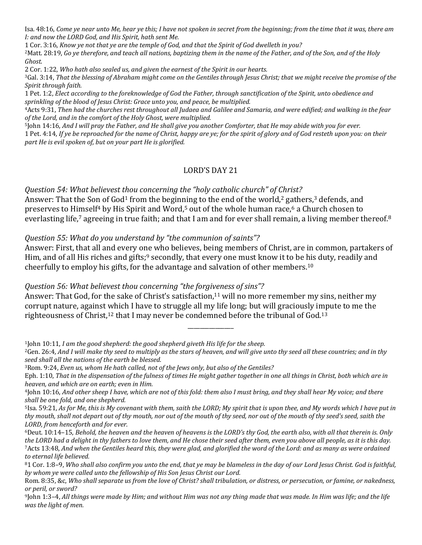Isa. 48:16, *Come ye near unto Me, hear ye this; I have not spoken in secret from the beginning; from the time that it was, there am I: and now the LORD God, and His Spirit, hath sent Me.*

1 Cor. 3:16, *Know ye not that ye are the temple of God, and that the Spirit of God dwelleth in you?*

2Matt. 28:19, *Go ye therefore, and teach all nations, baptizing them in the name of the Father, and of the Son, and of the Holy Ghost.*

2 Cor. 1:22, *Who hath also sealed us, and given the earnest of the Spirit in our hearts.*

3Gal. 3:14, *That the blessing of Abraham might come on the Gentiles through Jesus Christ; that we might receive the promise of the Spirit through faith.*

1 Pet. 1:2, *Elect according to the foreknowledge of God the Father, through sanctification of the Spirit, unto obedience and sprinkling of the blood of Jesus Christ: Grace unto you, and peace, be multiplied.*

4Acts 9:31, *Then had the churches rest throughout all Judaea and Galilee and Samaria, and were edified; and walking in the fear of the Lord, and in the comfort of the Holy Ghost, were multiplied.*

5John 14:16, *And I will pray the Father, and He shall give you another Comforter, that He may abide with you for ever.* 1 Pet. 4:14, *If ye be reproached for the name of Christ, happy are ye; for the spirit of glory and of God resteth upon you: on their part He is evil spoken of, but on your part He is glorified.*

## LORD'S DAY 21

*Question 54: What believest thou concerning the "holy catholic church" of Christ?* Answer: That the Son of God<sup>1</sup> from the beginning to the end of the world,<sup>2</sup> gathers,<sup>3</sup> defends, and preserves to Himself<sup>4</sup> by His Spirit and Word,<sup>5</sup> out of the whole human race,<sup>6</sup> a Church chosen to everlasting life,<sup>7</sup> agreeing in true faith; and that I am and for ever shall remain, a living member thereof.<sup>8</sup>

#### *Question 55: What do you understand by "the communion of saints"?*

Answer: First, that all and every one who believes, being members of Christ, are in common, partakers of Him, and of all His riches and gifts;<sup>9</sup> secondly, that every one must know it to be his duty, readily and cheerfully to employ his gifts, for the advantage and salvation of other members.10

*Question 56: What believest thou concerning "the forgiveness of sins"?* Answer: That God, for the sake of Christ's satisfaction,<sup>11</sup> will no more remember my sins, neither my corrupt nature, against which I have to struggle all my life long; but will graciously impute to me the righteousness of Christ,<sup>12</sup> that I may never be condemned before the tribunal of God.<sup>13</sup>

1John 10:11, *I am the good shepherd: the good shepherd giveth His life for the sheep.*

<sup>2</sup>Gen. 26:4, *And I will make thy seed to multiply as the stars of heaven, and will give unto thy seed all these countries; and in thy seed shall all the nations of the earth be blessed.*

<sup>3</sup>Rom. 9:24, *Even us, whom He hath called, not of the Jews only, but also of the Gentiles?*

Eph. 1:10, *That in the dispensation of the fulness of times He might gather together in one all things in Christ, both which are in heaven, and which are on earth; even in Him.*

<sup>4</sup>John 10:16, *And other sheep I have, which are not of this fold: them also I must bring, and they shall hear My voice; and there shall be one fold, and one shepherd.*

<sup>5</sup>Isa. 59:21, *As for Me, this is My covenant with them, saith the LORD; My spirit that is upon thee, and My words which I have put in thy mouth, shall not depart out of thy mouth, nor out of the mouth of thy seed, nor out of the mouth of thy seed's seed, saith the LORD, from henceforth and for ever.*

<sup>6</sup>Deut. 10:14–15, *Behold, the heaven and the heaven of heavens is the LORD's thy God, the earth also, with all that therein is. Only the LORD had a delight in thy fathers to love them, and He chose their seed after them, even you above all people, as it is this day.* 7Acts 13:48, *And when the Gentiles heard this, they were glad, and glorified the word of the Lord: and as many as were ordained to eternal life believed.*

<sup>81</sup> Cor. 1:8–9, *Who shall also confirm you unto the end, that ye may be blameless in the day of our Lord Jesus Christ. God is faithful, by whom ye were called unto the fellowship of His Son Jesus Christ our Lord.*

Rom. 8:35, &c, *Who shall separate us from the love of Christ? shall tribulation, or distress, or persecution, or famine, or nakedness, or peril, or sword?*

<sup>9</sup>John 1:3–4, *All things were made by Him; and without Him was not any thing made that was made. In Him was life; and the life was the light of men.*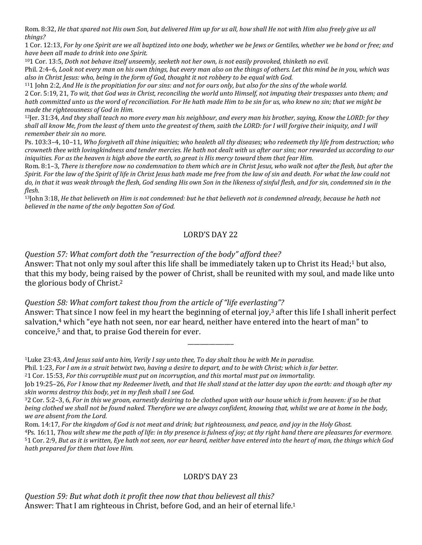Rom. 8:32, *He that spared not His own Son, but delivered Him up for us all, how shall He not with Him also freely give us all things?*

1 Cor. 12:13, *For by one Spirit are we all baptized into one body, whether we be Jews or Gentiles, whether we be bond or free; and have been all made to drink into one Spirit.*

101 Cor. 13:5, *Doth not behave itself unseemly, seeketh not her own, is not easily provoked, thinketh no evil.*

Phil. 2:4–6, *Look not every man on his own things, but every man also on the things of others. Let this mind be in you, which was also in Christ Jesus: who, being in the form of God, thought it not robbery to be equal with God.*

111 John 2:2, *And He is the propitiation for our sins: and not for ours only, but also for the sins of the whole world.*

2 Cor. 5:19, 21, *To wit, that God was in Christ, reconciling the world unto Himself, not imputing their trespasses unto them; and hath committed unto us the word of reconciliation. For He hath made Him to be sin for us, who knew no sin; that we might be made the righteousness of God in Him.*

12Jer. 31:34, *And they shall teach no more every man his neighbour, and every man his brother, saying, Know the LORD: for they shall all know Me, from the least of them unto the greatest of them, saith the LORD: for I will forgive their iniquity, and I will remember their sin no more.*

Ps. 103:3–4, 10–11, *Who forgiveth all thine iniquities; who healeth all thy diseases; who redeemeth thy life from destruction; who crowneth thee with lovingkindness and tender mercies. He hath not dealt with us after our sins; nor rewarded us according to our iniquities. For as the heaven is high above the earth, so great is His mercy toward them that fear Him.*

Rom. 8:1-3, *There is therefore now no condemnation to them which are in Christ Jesus, who walk not after the flesh, but after the Spirit. For the law of the Spirit of life in Christ Jesus hath made me free from the law of sin and death. For what the law could not*  do, in that it was weak through the flesh, God sending His own Son in the likeness of sinful flesh, and for sin, condemned sin in the *flesh.*

13John 3:18, *He that believeth on Him is not condemned: but he that believeth not is condemned already, because he hath not believed in the name of the only begotten Son of God.*

## LORD'S DAY 22

*Question 57: What comfort doth the "resurrection of the body" afford thee?*

Answer: That not only my soul after this life shall be immediately taken up to Christ its Head;<sup>1</sup> but also, that this my body, being raised by the power of Christ, shall be reunited with my soul, and made like unto the glorious body of Christ.2

*Question 58: What comfort takest thou from the article of "life everlasting"?* Answer: That since I now feel in my heart the beginning of eternal joy,<sup>3</sup> after this life I shall inherit perfect salvation,<sup>4</sup> which "eye hath not seen, nor ear heard, neither have entered into the heart of man" to conceive,5 and that, to praise God therein for ever.

\_\_\_\_\_\_\_\_\_\_\_\_\_\_\_

1Luke 23:43, *And Jesus said unto him, Verily I say unto thee, To day shalt thou be with Me in paradise.*

Phil. 1:23, *For I am in a strait betwixt two, having a desire to depart, and to be with Christ; which is far better.*

## LORD'S DAY 23

*Question 59: But what doth it profit thee now that thou believest all this?* Answer: That I am righteous in Christ, before God, and an heir of eternal life.<sup>1</sup>

<sup>21</sup> Cor. 15:53, *For this corruptible must put on incorruption, and this mortal must put on immortality.*

Job 19:25–26, *For I know that my Redeemer liveth, and that He shall stand at the latter day upon the earth: and though after my skin worms destroy this body, yet in my flesh shall I see God.*

<sup>32</sup> Cor. 5:2–3, 6, *For in this we groan, earnestly desiring to be clothed upon with our house which is from heaven: if so be that being clothed we shall not be found naked. Therefore we are always confident, knowing that, whilst we are at home in the body, we are absent from the Lord.*

Rom. 14:17, *For the kingdom of God is not meat and drink; but righteousness, and peace, and joy in the Holy Ghost.*

<sup>4</sup>Ps. 16:11, *Thou wilt shew me the path of life: in thy presence is fulness of joy; at thy right hand there are pleasures for evermore.* 51 Cor. 2:9, *But as it is written, Eye hath not seen, nor ear heard, neither have entered into the heart of man, the things which God hath prepared for them that love Him.*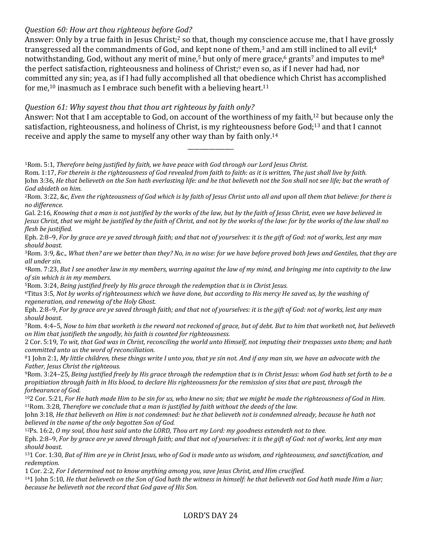## *Question 60: How art thou righteous before God?*

Answer: Only by a true faith in Jesus Christ;<sup>2</sup> so that, though my conscience accuse me, that I have grossly transgressed all the commandments of God, and kept none of them,<sup>3</sup> and am still inclined to all evil;<sup>4</sup> notwithstanding, God, without any merit of mine,<sup>5</sup> but only of mere grace,<sup>6</sup> grants<sup>7</sup> and imputes to me<sup>8</sup> the perfect satisfaction, righteousness and holiness of Christ;<sup>9</sup> even so, as if I never had had, nor committed any sin; yea, as if I had fully accomplished all that obedience which Christ has accomplished for me,<sup>10</sup> inasmuch as I embrace such benefit with a believing heart.<sup>11</sup>

#### *Question 61: Why sayest thou that thou art righteous by faith only?*

Answer: Not that I am acceptable to God, on account of the worthiness of my faith,<sup>12</sup> but because only the satisfaction, righteousness, and holiness of Christ, is my righteousness before God;13 and that I cannot receive and apply the same to myself any other way than by faith only.14

\_\_\_\_\_\_\_\_\_\_\_\_\_\_\_

1Rom. 5:1, *Therefore being justified by faith, we have peace with God through our Lord Jesus Christ.*

Rom. 1:17, *For therein is the righteousness of God revealed from faith to faith: as it is written, The just shall live by faith.* John 3:36, *He that believeth on the Son hath everlasting life: and he that believeth not the Son shall not see life; but the wrath of God abideth on him.*

2Rom. 3:22, &c, *Even the righteousness of God which is by faith of Jesus Christ unto all and upon all them that believe: for there is no difference.*

Gal. 2:16, *Knowing that a man is not justified by the works of the law, but by the faith of Jesus Christ, even we have believed in Jesus Christ, that we might be justified by the faith of Christ, and not by the works of the law: for by the works of the law shall no flesh be justified.*

Eph. 2:8–9, *For by grace are ye saved through faith; and that not of yourselves: it is the gift of God: not of works, lest any man should boast.*

3Rom. 3:9, &c., *What then? are we better than they? No, in no wise: for we have before proved both Jews and Gentiles, that they are all under sin.*

4Rom. 7:23, *But I see another law in my members, warring against the law of my mind, and bringing me into captivity to the law of sin which is in my members.*

5Rom. 3:24, *Being justified freely by His grace through the redemption that is in Christ Jesus.*

6Titus 3:5, *Not by works of righteousness which we have done, but according to His mercy He saved us, by the washing of regeneration, and renewing of the Holy Ghost.*

Eph. 2:8–9, *For by grace are ye saved through faith; and that not of yourselves: it is the gift of God: not of works, lest any man should boast.*

7Rom. 4:4–5, *Now to him that worketh is the reward not reckoned of grace, but of debt. But to him that worketh not, but believeth on Him that justifieth the ungodly, his faith is counted for righteousness.*

2 Cor. 5:19, *To wit, that God was in Christ, reconciling the world unto Himself, not imputing their trespasses unto them; and hath committed unto us the word of reconciliation.*

81 John 2:1, *My little children, these things write I unto you, that ye sin not. And if any man sin, we have an advocate with the Father, Jesus Christ the righteous.*

9Rom. 3:24–25, *Being justified freely by His grace through the redemption that is in Christ Jesus: whom God hath set forth to be a propitiation through faith in His blood, to declare His righteousness for the remission of sins that are past, through the forbearance of God.*

102 Cor. 5:21, *For He hath made Him to be sin for us, who knew no sin; that we might be made the righteousness of God in Him.* 11Rom. 3:28, *Therefore we conclude that a man is justified by faith without the deeds of the law.*

John 3:18, *He that believeth on Him is not condemned: but he that believeth not is condemned already, because he hath not believed in the name of the only begotten Son of God.*

12Ps. 16:2, *O my soul, thou hast said unto the LORD, Thou art my Lord: my goodness extendeth not to thee.*

Eph. 2:8–9, *For by grace are ye saved through faith; and that not of yourselves: it is the gift of God: not of works, lest any man should boast.*

131 Cor. 1:30, *But of Him are ye in Christ Jesus, who of God is made unto us wisdom, and righteousness, and sanctification, and redemption.*

1 Cor. 2:2, *For I determined not to know anything among you, save Jesus Christ, and Him crucified.*

141 John 5:10, *He that believeth on the Son of God hath the witness in himself: he that believeth not God hath made Him a liar; because he believeth not the record that God gave of His Son.*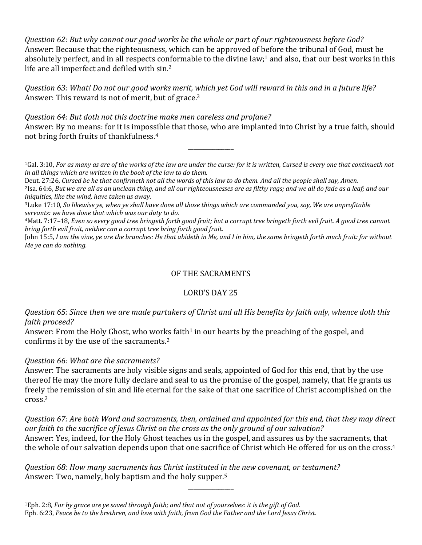*Question 62: But why cannot our good works be the whole or part of our righteousness before God?* Answer: Because that the righteousness, which can be approved of before the tribunal of God, must be absolutely perfect, and in all respects conformable to the divine law;<sup>1</sup> and also, that our best works in this life are all imperfect and defiled with sin.2

*Question 63: What! Do not our good works merit, which yet God will reward in this and in a future life?* Answer: This reward is not of merit, but of grace.3

*Question 64: But doth not this doctrine make men careless and profane?* Answer: By no means: for it is impossible that those, who are implanted into Christ by a true faith, should not bring forth fruits of thankfulness.4

\_\_\_\_\_\_\_\_\_\_\_\_\_\_\_

<sup>1</sup>Gal. 3:10, For as many as are of the works of the law are under the curse: for it is written, Cursed is every one that continueth not *in all things which are written in the book of the law to do them.*

Deut. 27:26, *Cursed be he that confirmeth not all the words of this law to do them. And all the people shall say, Amen.*

2Isa. 64:6, *But we are all as an unclean thing, and all our righteousnesses are as filthy rags; and we all do fade as a leaf; and our iniquities, like the wind, have taken us away.*

4Matt. 7:17–18, *Even so every good tree bringeth forth good fruit; but a corrupt tree bringeth forth evil fruit. A good tree cannot bring forth evil fruit, neither can a corrupt tree bring forth good fruit.*

John 15:5, *I am the vine, ye are the branches: He that abideth in Me, and I in him, the same bringeth forth much fruit: for without Me ye can do nothing.*

## OF THE SACRAMENTS

## LORD'S DAY 25

*Question 65: Since then we are made partakers of Christ and all His benefits by faith only, whence doth this faith proceed?*

Answer: From the Holy Ghost, who works faith<sup>1</sup> in our hearts by the preaching of the gospel, and confirms it by the use of the sacraments.2

## *Question 66: What are the sacraments?*

Answer: The sacraments are holy visible signs and seals, appointed of God for this end, that by the use thereof He may the more fully declare and seal to us the promise of the gospel, namely, that He grants us freely the remission of sin and life eternal for the sake of that one sacrifice of Christ accomplished on the cross.3

*Question 67: Are both Word and sacraments, then, ordained and appointed for this end, that they may direct our faith to the sacrifice of Jesus Christ on the cross as the only ground of our salvation?* Answer: Yes, indeed, for the Holy Ghost teaches us in the gospel, and assures us by the sacraments, that the whole of our salvation depends upon that one sacrifice of Christ which He offered for us on the cross.<sup>4</sup>

\_\_\_\_\_\_\_\_\_\_\_\_\_\_\_

*Question 68: How many sacraments has Christ instituted in the new covenant, or testament?* Answer: Two, namely, holy baptism and the holy supper.5

<sup>3</sup>Luke 17:10, *So likewise ye, when ye shall have done all those things which are commanded you, say, We are unprofitable servants: we have done that which was our duty to do.*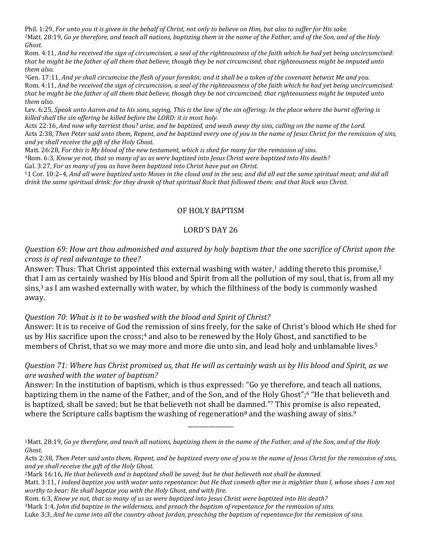Phil. 1:29, *For unto you it is given in the behalf of Christ, not only to believe on Him, but also to suffer for His sake.* 2Matt. 28:19, *Go ye therefore, and teach all nations, baptizing them in the name of the Father, and of the Son, and of the Holy Ghost.*

Rom. 4:11, *And he received the sign of circumcision, a seal of the righteousness of the faith which he had yet being uncircumcised: that he might be the father of all them that believe, though they be not circumcised; that righteousness might be imputed unto them also.*

3Gen. 17:11, *And ye shall circumcise the flesh of your foreskin; and it shall be a token of the covenant betwixt Me and you.* Rom. 4:11, *And he received the sign of circumcision, a seal of the righteousness of the faith which he had yet being uncircumcised: that he might be the father of all them that believe, though they be not circumcised; that righteousness might be imputed unto them also.*

Lev. 6:25, *Speak unto Aaron and to his sons, saying, This is the law of the sin offering: In the place where the burnt offering is killed shall the sin offering be killed before the LORD: it is most holy.*

Acts 22:16, *And now why tarriest thou? arise, and be baptized, and wash away thy sins, calling on the name of the Lord.* Acts 2:38, *Then Peter said unto them, Repent, and be baptized every one of you in the name of Jesus Christ for the remission of sins, and ye shall receive the gift of the Holy Ghost.*

Matt. 26:28, *For this is My blood of the new testament, which is shed for many for the remission of sins.*

4Rom. 6:3, *Know ye not, that so many of us as were baptized into Jesus Christ were baptized into His death?*

Gal. 3:27, *For as many of you as have been baptized into Christ have put on Christ.*

51 Cor. 10:2–4, *And all were baptized unto Moses in the cloud and in the sea; and did all eat the same spiritual meat; and did all drink the same spiritual drink: for they drank of that spiritual Rock that followed them: and that Rock was Christ.*

## OF HOLY BAPTISM

## LORD'S DAY 26

*Question 69: How art thou admonished and assured by holy baptism that the one sacrifice of Christ upon the cross is of real advantage to thee?*

Answer: Thus: That Christ appointed this external washing with water,<sup>1</sup> adding thereto this promise,<sup>2</sup> that I am as certainly washed by His blood and Spirit from all the pollution of my soul, that is, from all my sins,<sup>3</sup> as I am washed externally with water, by which the filthiness of the body is commonly washed away.

## *Question 70: What is it to be washed with the blood and Spirit of Christ?*

Answer: It is to receive of God the remission of sins freely, for the sake of Christ's blood which He shed for us by His sacrifice upon the cross;<sup>4</sup> and also to be renewed by the Holy Ghost, and sanctified to be members of Christ, that so we may more and more die unto sin, and lead holy and unblamable lives.<sup>5</sup>

## *Question 71: Where has Christ promised us, that He will as certainly wash us by His blood and Spirit, as we are washed with the water of baptism?*

Answer: In the institution of baptism, which is thus expressed: "Go ye therefore, and teach all nations, baptizing them in the name of the Father, and of the Son, and of the Holy Ghost";6 "He that believeth and is baptized, shall be saved; but he that believeth not shall be damned."7 This promise is also repeated, where the Scripture calls baptism the washing of regeneration<sup>8</sup> and the washing away of sins.<sup>9</sup>

<sup>1</sup>Matt. 28:19, *Go ye therefore, and teach all nations, baptizing them in the name of the Father, and of the Son, and of the Holy Ghost.*

Acts 2:38, *Then Peter said unto them, Repent, and be baptized every one of you in the name of Jesus Christ for the remission of sins, and ye shall receive the gift of the Holy Ghost.*

<sup>2</sup>Mark 16:16, *He that believeth and is baptized shall be saved; but he that believeth not shall be damned.*

Matt. 3:11, *I indeed baptize you with water unto repentance: but He that cometh after me is mightier than I, whose shoes I am not worthy to bear: He shall baptize you with the Holy Ghost, and with fire.*

Rom. 6:3, *Know ye not, that so many of us as were baptized into Jesus Christ were baptized into His death?*

<sup>3</sup>Mark 1:4, *John did baptize in the wilderness, and preach the baptism of repentance for the remission of sins.*

Luke 3:3, *And he came into all the country about Jordan, preaching the baptism of repentance for the remission of sins.*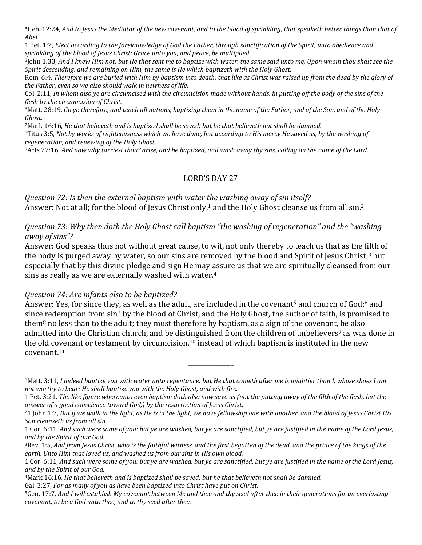4Heb. 12:24, *And to Jesus the Mediator of the new covenant, and to the blood of sprinkling, that speaketh better things than that of Abel.*

1 Pet. 1:2, *Elect according to the foreknowledge of God the Father, through sanctification of the Spirit, unto obedience and sprinkling of the blood of Jesus Christ: Grace unto you, and peace, be multiplied.*

5John 1:33, *And I knew Him not: but He that sent me to baptize with water, the same said unto me, Upon whom thou shalt see the Spirit descending, and remaining on Him, the same is He which baptizeth with the Holy Ghost.*

Rom. 6:4, *Therefore we are buried with Him by baptism into death: that like as Christ was raised up from the dead by the glory of the Father, even so we also should walk in newness of life.*

Col. 2:11, *In whom also ye are circumcised with the circumcision made without hands, in putting off the body of the sins of the flesh by the circumcision of Christ.*

6Matt. 28:19, *Go ye therefore, and teach all nations, baptizing them in the name of the Father, and of the Son, and of the Holy Ghost.*

7Mark 16:16, *He that believeth and is baptized shall be saved; but he that believeth not shall be damned.*

8Titus 3:5, *Not by works of righteousness which we have done, but according to His mercy He saved us, by the washing of regeneration, and renewing of the Holy Ghost.*

9Acts 22:16, *And now why tarriest thou? arise, and be baptized, and wash away thy sins, calling on the name of the Lord.*

## LORD'S DAY 27

*Question 72: Is then the external baptism with water the washing away of sin itself?* Answer: Not at all; for the blood of Jesus Christ only,<sup>1</sup> and the Holy Ghost cleanse us from all sin.<sup>2</sup>

*Question 73: Why then doth the Holy Ghost call baptism "the washing of regeneration" and the "washing away of sins"?*

Answer: God speaks thus not without great cause, to wit, not only thereby to teach us that as the filth of the body is purged away by water, so our sins are removed by the blood and Spirit of Jesus Christ;<sup>3</sup> but especially that by this divine pledge and sign He may assure us that we are spiritually cleansed from our sins as really as we are externally washed with water.4

## *Question 74: Are infants also to be baptized?*

Answer: Yes, for since they, as well as the adult, are included in the covenant<sup>5</sup> and church of God;<sup>6</sup> and since redemption from sin7 by the blood of Christ, and the Holy Ghost, the author of faith, is promised to them8 no less than to the adult; they must therefore by baptism, as a sign of the covenant, be also admitted into the Christian church, and be distinguished from the children of unbelievers<sup>9</sup> as was done in the old covenant or testament by circumcision, $10$  instead of which baptism is instituted in the new covenant.11

\_\_\_\_\_\_\_\_\_\_\_\_\_\_\_

Gal. 3:27, *For as many of you as have been baptized into Christ have put on Christ.*

5Gen. 17:7, *And I will establish My covenant between Me and thee and thy seed after thee in their generations for an everlasting covenant, to be a God unto thee, and to thy seed after thee.*

<sup>1</sup>Matt. 3:11, *I indeed baptize you with water unto repentance: but He that cometh after me is mightier than I, whose shoes I am not worthy to bear: He shall baptize you with the Holy Ghost, and with fire.*

<sup>1</sup> Pet. 3:21, *The like figure whereunto even baptism doth also now save us (not the putting away of the filth of the flesh, but the answer of a good conscience toward God,) by the resurrection of Jesus Christ.*

<sup>21</sup> John 1:7, *But if we walk in the light, as He is in the light, we have fellowship one with another, and the blood of Jesus Christ His Son cleanseth us from all sin.*

<sup>1</sup> Cor. 6:11, *And such were some of you: but ye are washed, but ye are sanctified, but ye are justified in the name of the Lord Jesus, and by the Spirit of our God.*

<sup>3</sup>Rev. 1:5, *And from Jesus Christ, who is the faithful witness, and the first begotten of the dead, and the prince of the kings of the earth. Unto Him that loved us, and washed us from our sins in His own blood.*

<sup>1</sup> Cor. 6:11, *And such were some of you: but ye are washed, but ye are sanctified, but ye are justified in the name of the Lord Jesus, and by the Spirit of our God.*

<sup>4</sup>Mark 16:16, *He that believeth and is baptized shall be saved; but he that believeth not shall be damned.*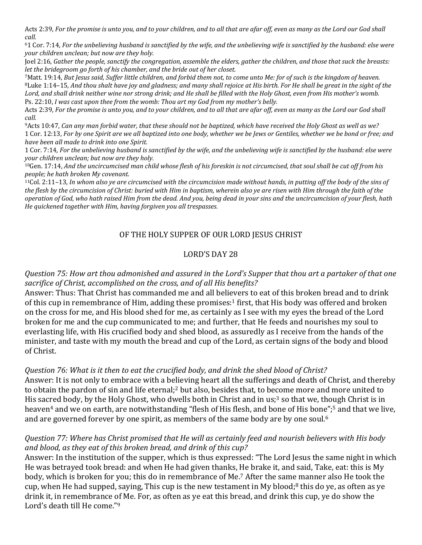Acts 2:39, *For the promise is unto you, and to your children, and to all that are afar off, even as many as the Lord our God shall call.*

61 Cor. 7:14, *For the unbelieving husband is sanctified by the wife, and the unbelieving wife is sanctified by the husband: else were your children unclean; but now are they holy.*

Joel 2:16, *Gather the people, sanctify the congregation, assemble the elders, gather the children, and those that suck the breasts: let the bridegroom go forth of his chamber, and the bride out of her closet.*

7Matt. 19:14, *But Jesus said, Suffer little children, and forbid them not, to come unto Me: for of such is the kingdom of heaven.* 8Luke 1:14–15, *And thou shalt have joy and gladness; and many shall rejoice at His birth. For He shall be great in the sight of the Lord, and shall drink neither wine nor strong drink; and He shall be filled with the Holy Ghost, even from His mother's womb.* Ps. 22:10, *I was cast upon thee from the womb: Thou art my God from my mother's belly.*

Acts 2:39, *For the promise is unto you, and to your children, and to all that are afar off, even as many as the Lord our God shall call.*

9Acts 10:47, *Can any man forbid water, that these should not be baptized, which have received the Holy Ghost as well as we?* 1 Cor. 12:13, *For by one Spirit are we all baptized into one body, whether we be Jews or Gentiles, whether we be bond or free; and have been all made to drink into one Spirit.*

1 Cor. 7:14, *For the unbelieving husband is sanctified by the wife, and the unbelieving wife is sanctified by the husband: else were your children unclean; but now are they holy.*

10Gen. 17:14, *And the uncircumcised man child whose flesh of his foreskin is not circumcised, that soul shall be cut off from his people; he hath broken My covenant.*

11Col. 2:11–13, *In whom also ye are circumcised with the circumcision made without hands, in putting off the body of the sins of the flesh by the circumcision of Christ: buried with Him in baptism, wherein also ye are risen with Him through the faith of the operation of God, who hath raised Him from the dead. And you, being dead in your sins and the uncircumcision of your flesh, hath He quickened together with Him, having forgiven you all trespasses.*

## OF THE HOLY SUPPER OF OUR LORD JESUS CHRIST

## LORD'S DAY 28

## *Question 75: How art thou admonished and assured in the Lord's Supper that thou art a partaker of that one sacrifice of Christ, accomplished on the cross, and of all His benefits?*

Answer: Thus: That Christ has commanded me and all believers to eat of this broken bread and to drink of this cup in remembrance of Him, adding these promises:<sup>1</sup> first, that His body was offered and broken on the cross for me, and His blood shed for me, as certainly as I see with my eyes the bread of the Lord broken for me and the cup communicated to me; and further, that He feeds and nourishes my soul to everlasting life, with His crucified body and shed blood, as assuredly as I receive from the hands of the minister, and taste with my mouth the bread and cup of the Lord, as certain signs of the body and blood of Christ.

## *Question 76: What is it then to eat the crucified body, and drink the shed blood of Christ?*

Answer: It is not only to embrace with a believing heart all the sufferings and death of Christ, and thereby to obtain the pardon of sin and life eternal;<sup>2</sup> but also, besides that, to become more and more united to His sacred body, by the Holy Ghost, who dwells both in Christ and in us;<sup>3</sup> so that we, though Christ is in heaven<sup>4</sup> and we on earth, are notwithstanding "flesh of His flesh, and bone of His bone";<sup>5</sup> and that we live, and are governed forever by one spirit, as members of the same body are by one soul.<sup>6</sup>

## *Question 77: Where has Christ promised that He will as certainly feed and nourish believers with His body and blood, as they eat of this broken bread, and drink of this cup?*

Answer: In the institution of the supper, which is thus expressed: "The Lord Jesus the same night in which He was betrayed took bread: and when He had given thanks, He brake it, and said, Take, eat: this is My body, which is broken for you; this do in remembrance of Me.7 After the same manner also He took the cup, when He had supped, saying, This cup is the new testament in My blood;<sup>8</sup> this do ye, as often as ye drink it, in remembrance of Me. For, as often as ye eat this bread, and drink this cup, ye do show the Lord's death till He come."9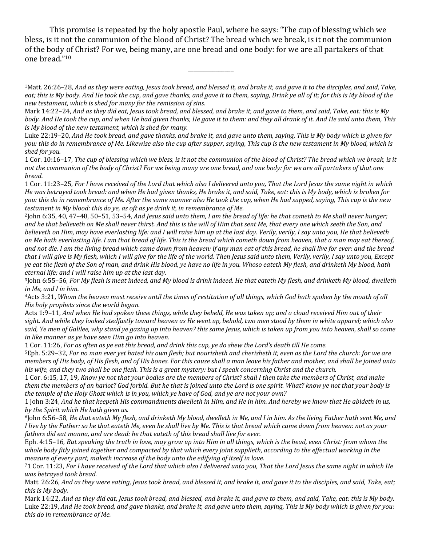This promise is repeated by the holy apostle Paul, where he says: "The cup of blessing which we bless, is it not the communion of the blood of Christ? The bread which we break, is it not the communion of the body of Christ? For we, being many, are one bread and one body: for we are all partakers of that one bread."10

1Matt. 26:26–28, *And as they were eating, Jesus took bread, and blessed it, and brake it, and gave it to the disciples, and said, Take, eat; this is My body. And He took the cup, and gave thanks, and gave it to them, saying, Drink ye all of it; for this is My blood of the new testament, which is shed for many for the remission of sins.*

\_\_\_\_\_\_\_\_\_\_\_\_\_\_\_

Mark 14:22–24, *And as they did eat, Jesus took bread, and blessed, and brake it, and gave to them, and said, Take, eat: this is My body. And He took the cup, and when He had given thanks, He gave it to them: and they all drank of it. And He said unto them, This is My blood of the new testament, which is shed for many.*

Luke 22:19–20, *And He took bread, and gave thanks, and brake it, and gave unto them, saying, This is My body which is given for you: this do in remembrance of Me. Likewise also the cup after supper, saying, This cup is the new testament in My blood, which is shed for you.*

1 Cor. 10:16–17, *The cup of blessing which we bless, is it not the communion of the blood of Christ? The bread which we break, is it not the communion of the body of Christ? For we being many are one bread, and one body: for we are all partakers of that one bread.*

1 Cor. 11:23–25, *For I have received of the Lord that which also I delivered unto you, That the Lord Jesus the same night in which He was betrayed took bread: and when He had given thanks, He brake it, and said, Take, eat: this is My body, which is broken for you: this do in remembrance of Me. After the same manner also He took the cup, when He had supped, saying, This cup is the new testament in My blood: this do ye, as oft as ye drink it, in remembrance of Me.*

2John 6:35, 40, 47–48, 50–51, 53–54, *And Jesus said unto them, I am the bread of life: he that cometh to Me shall never hunger; and he that believeth on Me shall never thirst. And this is the will of Him that sent Me, that every one which seeth the Son, and believeth on Him, may have everlasting life: and I will raise him up at the last day. Verily, verily, I say unto you, He that believeth on Me hath everlasting life. I am that bread of life. This is the bread which cometh down from heaven, that a man may eat thereof, and not die. I am the living bread which came down from heaven: if any man eat of this bread, he shall live for ever: and the bread that I will give is My flesh, which I will give for the life of the world. Then Jesus said unto them, Verily, verily, I say unto you, Except ye eat the flesh of the Son of man, and drink His blood, ye have no life in you. Whoso eateth My flesh, and drinketh My blood, hath eternal life; and I will raise him up at the last day.*

3John 6:55–56, *For My flesh is meat indeed, and My blood is drink indeed. He that eateth My flesh, and drinketh My blood, dwelleth in Me, and I in him.*

4Acts 3:21, *Whom the heaven must receive until the times of restitution of all things, which God hath spoken by the mouth of all His holy prophets since the world began.*

Acts 1:9–11, *And when He had spoken these things, while they beheld, He was taken up; and a cloud received Him out of their sight. And while they looked stedfastly toward heaven as He went up, behold, two men stood by them in white apparel; which also said, Ye men of Galilee, why stand ye gazing up into heaven? this same Jesus, which is taken up from you into heaven, shall so come in like manner as ye have seen Him go into heaven.*

1 Cor. 11:26, *For as often as ye eat this bread, and drink this cup, ye do shew the Lord's death till He come.*

5Eph. 5:29–32, *For no man ever yet hated his own flesh; but nourisheth and cherisheth it, even as the Lord the church: for we are members of His body, of His flesh, and of His bones. For this cause shall a man leave his father and mother, and shall be joined unto his wife, and they two shall be one flesh. This is a great mystery: but I speak concerning Christ and the church.*

1 Cor. 6:15, 17, 19, *Know ye not that your bodies are the members of Christ? shall I then take the members of Christ, and make them the members of an harlot? God forbid. But he that is joined unto the Lord is one spirit. What? know ye not that your body is the temple of the Holy Ghost which is in you, which ye have of God, and ye are not your own?*

1 John 3:24, *And he that keepeth His commandments dwelleth in Him, and He in him. And hereby we know that He abideth in us, by the Spirit which He hath given us.*

6John 6:56–58, *He that eateth My flesh, and drinketh My blood, dwelleth in Me, and I in him. As the living Father hath sent Me, and I live by the Father: so he that eateth Me, even he shall live by Me. This is that bread which came down from heaven: not as your fathers did eat manna, and are dead: he that eateth of this bread shall live for ever.*

Eph. 4:15–16, *But speaking the truth in love, may grow up into Him in all things, which is the head, even Christ: from whom the whole body fitly joined together and compacted by that which every joint supplieth, according to the effectual working in the measure of every part, maketh increase of the body unto the edifying of itself in love.*

71 Cor. 11:23, *For I have received of the Lord that which also I delivered unto you, That the Lord Jesus the same night in which He was betrayed took bread.*

Matt. 26:26, *And as they were eating, Jesus took bread, and blessed it, and brake it, and gave it to the disciples, and said, Take, eat; this is My body.*

Mark 14:22, *And as they did eat, Jesus took bread, and blessed, and brake it, and gave to them, and said, Take, eat: this is My body.* Luke 22:19, *And He took bread, and gave thanks, and brake it, and gave unto them, saying, This is My body which is given for you: this do in remembrance of Me.*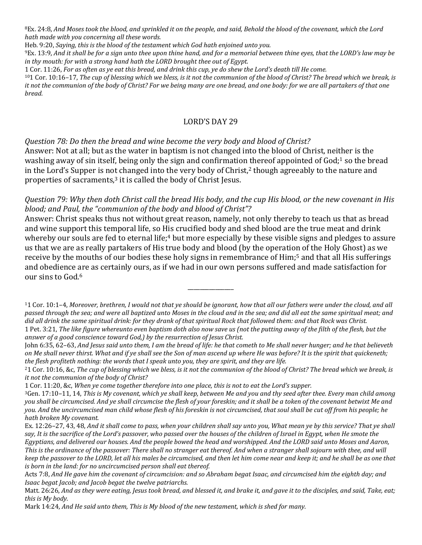8Ex. 24:8, *And Moses took the blood, and sprinkled it on the people, and said, Behold the blood of the covenant, which the Lord hath made with you concerning all these words.*

Heb. 9:20, *Saying, this is the blood of the testament which God hath enjoined unto you.*

9Ex. 13:9, *And it shall be for a sign unto thee upon thine hand, and for a memorial between thine eyes, that the LORD's law may be in thy mouth: for with a strong hand hath the LORD brought thee out of Egypt.*

1 Cor. 11:26, *For as often as ye eat this bread, and drink this cup, ye do shew the Lord's death till He come.* 101 Cor. 10:16–17, *The cup of blessing which we bless, is it not the communion of the blood of Christ? The bread which we break, is* 

*it not the communion of the body of Christ? For we being many are one bread, and one body: for we are all partakers of that one bread.*

## LORD'S DAY 29

*Question 78: Do then the bread and wine become the very body and blood of Christ?* Answer: Not at all; but as the water in baptism is not changed into the blood of Christ, neither is the washing away of sin itself, being only the sign and confirmation thereof appointed of God;1 so the bread in the Lord's Supper is not changed into the very body of Christ,<sup>2</sup> though agreeably to the nature and properties of sacraments,<sup>3</sup> it is called the body of Christ Jesus.

## *Question 79: Why then doth Christ call the bread His body, and the cup His blood, or the new covenant in His blood; and Paul, the "communion of the body and blood of Christ"?*

Answer: Christ speaks thus not without great reason, namely, not only thereby to teach us that as bread and wine support this temporal life, so His crucified body and shed blood are the true meat and drink whereby our souls are fed to eternal life;<sup>4</sup> but more especially by these visible signs and pledges to assure us that we are as really partakers of His true body and blood (by the operation of the Holy Ghost) as we receive by the mouths of our bodies these holy signs in remembrance of Him;<sup>5</sup> and that all His sufferings and obedience are as certainly ours, as if we had in our own persons suffered and made satisfaction for our sins to God.<sup>6</sup>

\_\_\_\_\_\_\_\_\_\_\_\_\_\_\_

*answer of a good conscience toward God,) by the resurrection of Jesus Christ.*

<sup>11</sup> Cor. 10:1–4, *Moreover, brethren, I would not that ye should be ignorant, how that all our fathers were under the cloud, and all passed through the sea; and were all baptized unto Moses in the cloud and in the sea; and did all eat the same spiritual meat; and did all drink the same spiritual drink: for they drank of that spiritual Rock that followed them: and that Rock was Christ.* 1 Pet. 3:21, *The like figure whereunto even baptism doth also now save us (not the putting away of the filth of the flesh, but the* 

John 6:35, 62–63, *And Jesus said unto them, I am the bread of life: he that cometh to Me shall never hunger; and he that believeth on Me shall never thirst. What and if ye shall see the Son of man ascend up where He was before? It is the spirit that quickeneth; the flesh profiteth nothing: the words that I speak unto you, they are spirit, and they are life.*

<sup>21</sup> Cor. 10:16, &c, *The cup of blessing which we bless, is it not the communion of the blood of Christ? The bread which we break, is it not the communion of the body of Christ?*

<sup>1</sup> Cor. 11:20, &c, *When ye come together therefore into one place, this is not to eat the Lord's supper.*

<sup>3</sup>Gen. 17:10–11, 14, *This is My covenant, which ye shall keep, between Me and you and thy seed after thee. Every man child among you shall be circumcised. And ye shall circumcise the flesh of your foreskin; and it shall be a token of the covenant betwixt Me and you. And the uncircumcised man child whose flesh of his foreskin is not circumcised, that soul shall be cut off from his people; he hath broken My covenant.*

Ex. 12:26–27, 43, 48, *And it shall come to pass, when your children shall say unto you, What mean ye by this service? That ye shall say, It is the sacrifice of the Lord's passover, who passed over the houses of the children of Israel in Egypt, when He smote the Egyptians, and delivered our houses. And the people bowed the head and worshipped. And the LORD said unto Moses and Aaron, This is the ordinance of the passover: There shall no stranger eat thereof. And when a stranger shall sojourn with thee, and will keep the passover to the LORD, let all his males be circumcised, and then let him come near and keep it; and he shall be as one that is born in the land: for no uncircumcised person shall eat thereof.*

Acts 7:8, *And He gave him the covenant of circumcision: and so Abraham begat Isaac, and circumcised him the eighth day; and Isaac begat Jacob; and Jacob begat the twelve patriarchs.*

Matt. 26:26, *And as they were eating, Jesus took bread, and blessed it, and brake it, and gave it to the disciples, and said, Take, eat; this is My body.*

Mark 14:24, *And He said unto them, This is My blood of the new testament, which is shed for many.*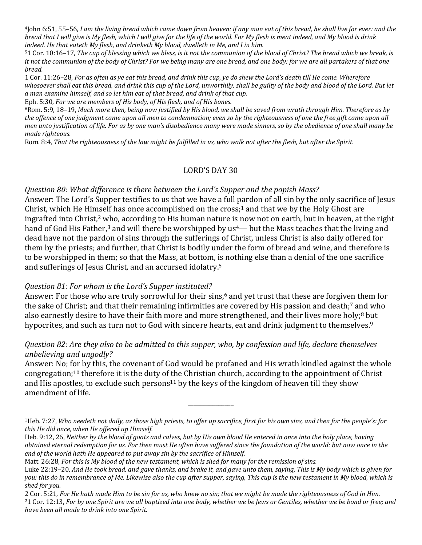4John 6:51, 55–56, *I am the living bread which came down from heaven: if any man eat of this bread, he shall live for ever: and the bread that I will give is My flesh, which I will give for the life of the world. For My flesh is meat indeed, and My blood is drink indeed. He that eateth My flesh, and drinketh My blood, dwelleth in Me, and I in him.*

51 Cor. 10:16–17, *The cup of blessing which we bless, is it not the communion of the blood of Christ? The bread which we break, is it not the communion of the body of Christ? For we being many are one bread, and one body: for we are all partakers of that one bread.*

1 Cor. 11:26–28, *For as often as ye eat this bread, and drink this cup, ye do shew the Lord's death till He come. Wherefore*  whosoever shall eat this bread, and drink this cup of the Lord, unworthily, shall be guilty of the body and blood of the Lord. But let *a man examine himself, and so let him eat of that bread, and drink of that cup.*

Eph. 5:30, *For we are members of His body, of His flesh, and of His bones.*

6Rom. 5:9, 18–19, *Much more then, being now justified by His blood, we shall be saved from wrath through Him. Therefore as by the offence of one judgment came upon all men to condemnation; even so by the righteousness of one the free gift came upon all men unto justification of life. For as by one man's disobedience many were made sinners, so by the obedience of one shall many be made righteous.*

Rom. 8:4, *That the righteousness of the law might be fulfilled in us, who walk not after the flesh, but after the Spirit.*

## LORD'S DAY 30

*Question 80: What difference is there between the Lord's Supper and the popish Mass?*

Answer: The Lord's Supper testifies to us that we have a full pardon of all sin by the only sacrifice of Jesus Christ, which He Himself has once accomplished on the cross;<sup>1</sup> and that we by the Holy Ghost are ingrafted into Christ,<sup>2</sup> who, according to His human nature is now not on earth, but in heaven, at the right hand of God His Father,<sup>3</sup> and will there be worshipped by  $us^4$ — but the Mass teaches that the living and dead have not the pardon of sins through the sufferings of Christ, unless Christ is also daily offered for them by the priests; and further, that Christ is bodily under the form of bread and wine, and therefore is to be worshipped in them; so that the Mass, at bottom, is nothing else than a denial of the one sacrifice and sufferings of Jesus Christ, and an accursed idolatry.5

## *Question 81: For whom is the Lord's Supper instituted?*

Answer: For those who are truly sorrowful for their sins,<sup>6</sup> and yet trust that these are forgiven them for the sake of Christ; and that their remaining infirmities are covered by His passion and death;<sup>7</sup> and who also earnestly desire to have their faith more and more strengthened, and their lives more holy;<sup>8</sup> but hypocrites, and such as turn not to God with sincere hearts, eat and drink judgment to themselves.<sup>9</sup>

## *Question 82: Are they also to be admitted to this supper, who, by confession and life, declare themselves unbelieving and ungodly?*

Answer: No; for by this, the covenant of God would be profaned and His wrath kindled against the whole congregation;10 therefore it is the duty of the Christian church, according to the appointment of Christ and His apostles, to exclude such persons<sup>11</sup> by the keys of the kingdom of heaven till they show amendment of life.

\_\_\_\_\_\_\_\_\_\_\_\_\_\_\_

2 Cor. 5:21, *For He hath made Him to be sin for us, who knew no sin; that we might be made the righteousness of God in Him.* 21 Cor. 12:13, *For by one Spirit are we all baptized into one body, whether we be Jews or Gentiles, whether we be bond or free; and have been all made to drink into one Spirit.*

<sup>1</sup>Heb. 7:27, *Who needeth not daily, as those high priests, to offer up sacrifice, first for his own sins, and then for the people's: for this He did once, when He offered up Himself.*

Heb. 9:12, 26, *Neither by the blood of goats and calves, but by His own blood He entered in once into the holy place, having obtained eternal redemption for us. For then must He often have suffered since the foundation of the world: but now once in the end of the world hath He appeared to put away sin by the sacrifice of Himself.*

Matt. 26:28, *For this is My blood of the new testament, which is shed for many for the remission of sins.*

Luke 22:19–20, *And He took bread, and gave thanks, and brake it, and gave unto them, saying, This is My body which is given for you: this do in remembrance of Me. Likewise also the cup after supper, saying, This cup is the new testament in My blood, which is shed for you.*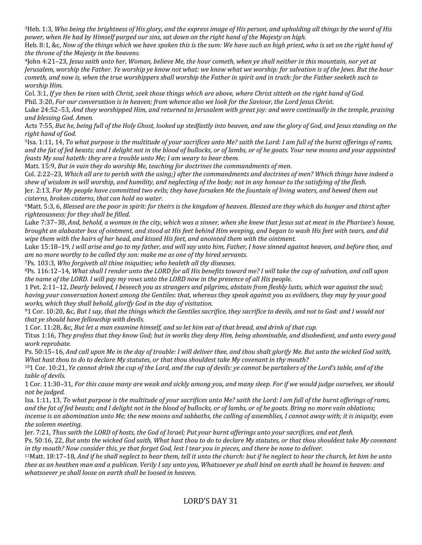3Heb. 1:3, *Who being the brightness of His glory, and the express image of His person, and upholding all things by the word of His power, when He had by Himself purged our sins, sat down on the right hand of the Majesty on high.*

Heb. 8:1, &c, *Now of the things which we have spoken this is the sum: We have such an high priest, who is set on the right hand of the throne of the Majesty in the heavens.*

4John 4:21–23, *Jesus saith unto her, Woman, believe Me, the hour cometh, when ye shall neither in this mountain, nor yet at Jerusalem, worship the Father. Ye worship ye know not what: we know what we worship: for salvation is of the Jews. But the hour cometh, and now is, when the true worshippers shall worship the Father in spirit and in truth: for the Father seeketh such to worship Him.*

Col. 3:1, *If ye then be risen with Christ, seek those things which are above, where Christ sitteth on the right hand of God.* Phil. 3:20, *For our conversation is in heaven; from whence also we look for the Saviour, the Lord Jesus Christ.*

Luke 24:52–53, *And they worshipped Him, and returned to Jerusalem with great joy: and were continually in the temple, praising and blessing God. Amen.*

Acts 7:55, *But he, being full of the Holy Ghost, looked up stedfastly into heaven, and saw the glory of God, and Jesus standing on the right hand of God.*

5Isa. 1:11, 14, *To what purpose is the multitude of your sacrifices unto Me? saith the Lord: I am full of the burnt offerings of rams, and the fat of fed beasts; and I delight not in the blood of bullocks, or of lambs, or of he goats. Your new moons and your appointed feasts My soul hateth: they are a trouble unto Me; I am weary to bear them.*

Matt. 15:9, *But in vain they do worship Me, teaching for doctrines the commandments of men.*

Col. 2:22–23, *Which all are to perish with the using;) after the commandments and doctrines of men? Which things have indeed a shew of wisdom in will worship, and humility, and neglecting of the body; not in any honour to the satisfying of the flesh.* Jer. 2:13, *For My people have committed two evils; they have forsaken Me the fountain of living waters, and hewed them out cisterns, broken cisterns, that can hold no water.*

6Matt. 5:3, 6, *Blessed are the poor in spirit: for theirs is the kingdom of heaven. Blessed are they which do hunger and thirst after righteousness: for they shall be filled.*

Luke 7:37–38, *And, behold, a woman in the city, which was a sinner, when she knew that Jesus sat at meat in the Pharisee's house, brought an alabaster box of ointment, and stood at His feet behind Him weeping, and began to wash His feet with tears, and did wipe them with the hairs of her head, and kissed His feet, and anointed them with the ointment.*

Luke 15:18–19, *I will arise and go to my father, and will say unto him, Father, I have sinned against heaven, and before thee, and am no more worthy to be called thy son: make me as one of thy hired servants.*

7Ps. 103:3, *Who forgiveth all thine iniquities; who healeth all thy diseases.*

8Ps. 116:12–14, *What shall I render unto the LORD for all His benefits toward me? I will take the cup of salvation, and call upon the name of the LORD. I will pay my vows unto the LORD now in the presence of all His people.*

1 Pet. 2:11–12, *Dearly beloved, I beseech you as strangers and pilgrims, abstain from fleshly lusts, which war against the soul; having your conversation honest among the Gentiles: that, whereas they speak against you as evildoers, they may by your good works, which they shall behold, glorify God in the day of visitation.*

91 Cor. 10:20, &c, *But I say, that the things which the Gentiles sacrifice, they sacrifice to devils, and not to God: and I would not that ye should have fellowship with devils.*

1 Cor. 11:28, &c, *But let a man examine himself, and so let him eat of that bread, and drink of that cup.*

Titus 1:16, *They profess that they know God; but in works they deny Him, being abominable, and disobedient, and unto every good work reprobate.*

Ps. 50:15–16, *And call upon Me in the day of trouble: I will deliver thee, and thou shalt glorify Me. But unto the wicked God saith, What hast thou to do to declare My statutes, or that thou shouldest take My covenant in thy mouth?*

101 Cor. 10:21, *Ye cannot drink the cup of the Lord, and the cup of devils: ye cannot be partakers of the Lord's table, and of the table of devils.*

1 Cor. 11:30–31, *For this cause many are weak and sickly among you, and many sleep. For if we would judge ourselves, we should not be judged.*

Isa. 1:11, 13, *To what purpose is the multitude of your sacrifices unto Me? saith the Lord: I am full of the burnt offerings of rams, and the fat of fed beasts; and I delight not in the blood of bullocks, or of lambs, or of he goats. Bring no more vain oblations; incense is an abomination unto Me; the new moons and sabbaths, the calling of assemblies, I cannot away with; it is iniquity, even the solemn meeting.*

Jer. 7:21, *Thus saith the LORD of hosts, the God of Israel; Put your burnt offerings unto your sacrifices, and eat flesh.*

Ps. 50:16, 22, *But unto the wicked God saith, What hast thou to do to declare My statutes, or that thou shouldest take My covenant in thy mouth? Now consider this, ye that forget God, lest I tear you in pieces, and there be none to deliver.*

11Matt. 18:17–18, *And if he shall neglect to hear them, tell it unto the church: but if he neglect to hear the church, let him be unto thee as an heathen man and a publican. Verily I say unto you, Whatsoever ye shall bind on earth shall be bound in heaven: and whatsoever ye shall loose on earth shall be loosed in heaven.*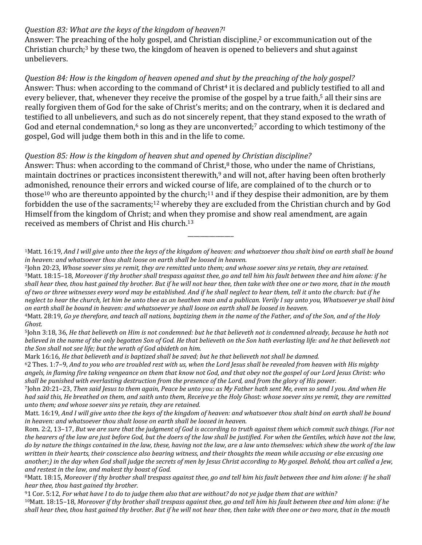## *Question 83: What are the keys of the kingdom of heaven?1*

Answer: The preaching of the holy gospel, and Christian discipline,<sup>2</sup> or excommunication out of the Christian church;3 by these two, the kingdom of heaven is opened to believers and shut against unbelievers.

*Question 84: How is the kingdom of heaven opened and shut by the preaching of the holy gospel?* Answer: Thus: when according to the command of Christ<sup>4</sup> it is declared and publicly testified to all and every believer, that, whenever they receive the promise of the gospel by a true faith,<sup>5</sup> all their sins are really forgiven them of God for the sake of Christ's merits; and on the contrary, when it is declared and testified to all unbelievers, and such as do not sincerely repent, that they stand exposed to the wrath of God and eternal condemnation, $6$  so long as they are unconverted;<sup>7</sup> according to which testimony of the gospel, God will judge them both in this and in the life to come.

## *Question 85: How is the kingdom of heaven shut and opened by Christian discipline?*

Answer: Thus: when according to the command of Christ, $8$  those, who under the name of Christians, maintain doctrines or practices inconsistent therewith,<sup>9</sup> and will not, after having been often brotherly admonished, renounce their errors and wicked course of life, are complained of to the church or to those<sup>10</sup> who are thereunto appointed by the church;<sup>11</sup> and if they despise their admonition, are by them forbidden the use of the sacraments;<sup>12</sup> whereby they are excluded from the Christian church and by God Himself from the kingdom of Christ; and when they promise and show real amendment, are again received as members of Christ and His church.13

\_\_\_\_\_\_\_\_\_\_\_\_\_\_\_

4Matt. 28:19, *Go ye therefore, and teach all nations, baptizing them in the name of the Father, and of the Son, and of the Holy Ghost.*

5John 3:18, 36, *He that believeth on Him is not condemned: but he that believeth not is condemned already, because he hath not believed in the name of the only begotten Son of God. He that believeth on the Son hath everlasting life: and he that believeth not the Son shall not see life; but the wrath of God abideth on him.*

Mark 16:16, *He that believeth and is baptized shall be saved; but he that believeth not shall be damned.*

62 Thes. 1:7–9, *And to you who are troubled rest with us, when the Lord Jesus shall be revealed from heaven with His mighty angels, in flaming fire taking vengeance on them that know not God, and that obey not the gospel of our Lord Jesus Christ: who shall be punished with everlasting destruction from the presence of the Lord, and from the glory of His power.*

7John 20:21–23, *Then said Jesus to them again, Peace be unto you: as My Father hath sent Me, even so send I you. And when He had said this, He breathed on them, and saith unto them, Receive ye the Holy Ghost: whose soever sins ye remit, they are remitted unto them; and whose soever sins ye retain, they are retained.*

Matt. 16:19, *And I will give unto thee the keys of the kingdom of heaven: and whatsoever thou shalt bind on earth shall be bound in heaven: and whatsoever thou shalt loose on earth shall be loosed in heaven.*

Rom. 2:2, 13–17, *But we are sure that the judgment of God is according to truth against them which commit such things. (For not the hearers of the law are just before God, but the doers of the law shall be justified. For when the Gentiles, which have not the law, do by nature the things contained in the law, these, having not the law, are a law unto themselves: which shew the work of the law written in their hearts, their conscience also bearing witness, and their thoughts the mean while accusing or else excusing one another;) in the day when God shall judge the secrets of men by Jesus Christ according to My gospel. Behold, thou art called a Jew, and restest in the law, and makest thy boast of God.*

8Matt. 18:15, *Moreover if thy brother shall trespass against thee, go and tell him his fault between thee and him alone: if he shall hear thee, thou hast gained thy brother.*

91 Cor. 5:12, *For what have I to do to judge them also that are without? do not ye judge them that are within?* 10Matt. 18:15–18, *Moreover if thy brother shall trespass against thee, go and tell him his fault between thee and him alone: if he shall hear thee, thou hast gained thy brother. But if he will not hear thee, then take with thee one or two more, that in the mouth* 

<sup>1</sup>Matt. 16:19, *And I will give unto thee the keys of the kingdom of heaven: and whatsoever thou shalt bind on earth shall be bound in heaven: and whatsoever thou shalt loose on earth shall be loosed in heaven.*

<sup>2</sup>John 20:23, *Whose soever sins ye remit, they are remitted unto them; and whose soever sins ye retain, they are retained.* 3Matt. 18:15–18, *Moreover if thy brother shall trespass against thee, go and tell him his fault between thee and him alone: if he shall hear thee, thou hast gained thy brother. But if he will not hear thee, then take with thee one or two more, that in the mouth of two or three witnesses every word may be established. And if he shall neglect to hear them, tell it unto the church: but if he neglect to hear the church, let him be unto thee as an heathen man and a publican. Verily I say unto you, Whatsoever ye shall bind on earth shall be bound in heaven: and whatsoever ye shall loose on earth shall be loosed in heaven.*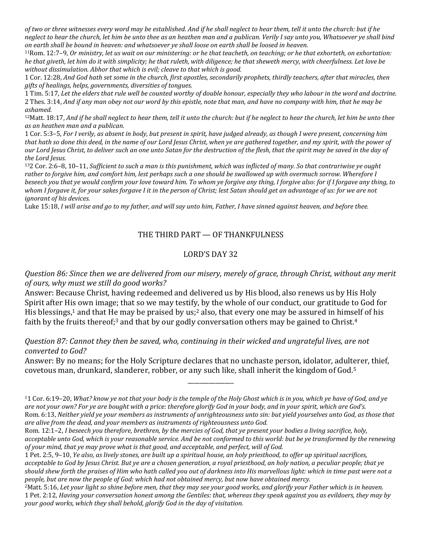*of two or three witnesses every word may be established. And if he shall neglect to hear them, tell it unto the church: but if he neglect to hear the church, let him be unto thee as an heathen man and a publican. Verily I say unto you, Whatsoever ye shall bind on earth shall be bound in heaven: and whatsoever ye shall loose on earth shall be loosed in heaven.*

11Rom. 12:7–9, *Or ministry, let us wait on our ministering: or he that teacheth, on teaching; or he that exhorteth, on exhortation: he that giveth, let him do it with simplicity; he that ruleth, with diligence; he that sheweth mercy, with cheerfulness. Let love be without dissimulation. Abhor that which is evil; cleave to that which is good.*

1 Cor. 12:28, *And God hath set some in the church, first apostles, secondarily prophets, thirdly teachers, after that miracles, then gifts of healings, helps, governments, diversities of tongues.*

1 Tim. 5:17, *Let the elders that rule well be counted worthy of double honour, especially they who labour in the word and doctrine.* 2 Thes. 3:14, *And if any man obey not our word by this epistle, note that man, and have no company with him, that he may be ashamed.*

12Matt. 18:17, *And if he shall neglect to hear them, tell it unto the church: but if he neglect to hear the church, let him be unto thee as an heathen man and a publican.*

1 Cor. 5:3–5, *For I verily, as absent in body, but present in spirit, have judged already, as though I were present, concerning him that hath so done this deed, in the name of our Lord Jesus Christ, when ye are gathered together, and my spirit, with the power of our Lord Jesus Christ, to deliver such an one unto Satan for the destruction of the flesh, that the spirit may be saved in the day of the Lord Jesus.*

132 Cor. 2:6–8, 10–11, *Sufficient to such a man is this punishment, which was inflicted of many. So that contrariwise ye ought*  rather to forgive him, and comfort him, lest perhaps such a one should be swallowed up with overmuch sorrow. Wherefore I *beseech you that ye would confirm your love toward him. To whom ye forgive any thing, I forgive also: for if I forgave any thing, to whom I forgave it, for your sakes forgave I it in the person of Christ; lest Satan should get an advantage of us: for we are not ignorant of his devices.*

Luke 15:18, *I will arise and go to my father, and will say unto him, Father, I have sinned against heaven, and before thee.*

## THE THIRD PART — OF THANKFULNESS

#### LORD'S DAY 32

#### *Question 86: Since then we are delivered from our misery, merely of grace, through Christ, without any merit of ours, why must we still do good works?*

Answer: Because Christ, having redeemed and delivered us by His blood, also renews us by His Holy Spirit after His own image; that so we may testify, by the whole of our conduct, our gratitude to God for His blessings,<sup>1</sup> and that He may be praised by us;<sup>2</sup> also, that every one may be assured in himself of his faith by the fruits thereof;<sup>3</sup> and that by our godly conversation others may be gained to Christ.<sup>4</sup>

#### *Question 87: Cannot they then be saved, who, continuing in their wicked and ungrateful lives, are not converted to God?*

Answer: By no means; for the Holy Scripture declares that no unchaste person, idolator, adulterer, thief, covetous man, drunkard, slanderer, robber, or any such like, shall inherit the kingdom of God.5

\_\_\_\_\_\_\_\_\_\_\_\_\_\_\_

Rom. 12:1–2, *I beseech you therefore, brethren, by the mercies of God, that ye present your bodies a living sacrifice, holy, acceptable unto God, which is your reasonable service. And be not conformed to this world: but be ye transformed by the renewing of your mind, that ye may prove what is that good, and acceptable, and perfect, will of God.*

1 Pet. 2:5, 9–10, *Ye also, as lively stones, are built up a spiritual house, an holy priesthood, to offer up spiritual sacrifices, acceptable to God by Jesus Christ. But ye are a chosen generation, a royal priesthood, an holy nation, a peculiar people; that ye should shew forth the praises of Him who hath called you out of darkness into His marvellous light: which in time past were not a people, but are now the people of God: which had not obtained mercy, but now have obtained mercy.*

2Matt. 5:16, *Let your light so shine before men, that they may see your good works, and glorify your Father which is in heaven.* 1 Pet. 2:12, *Having your conversation honest among the Gentiles: that, whereas they speak against you as evildoers, they may by your good works, which they shall behold, glorify God in the day of visitation.*

<sup>11</sup> Cor. 6:19–20, *What? know ye not that your body is the temple of the Holy Ghost which is in you, which ye have of God, and ye are not your own? For ye are bought with a price: therefore glorify God in your body, and in your spirit, which are God's.* Rom. 6:13, *Neither yield ye your members as instruments of unrighteousness unto sin: but yield yourselves unto God, as those that are alive from the dead, and your members as instruments of righteousness unto God.*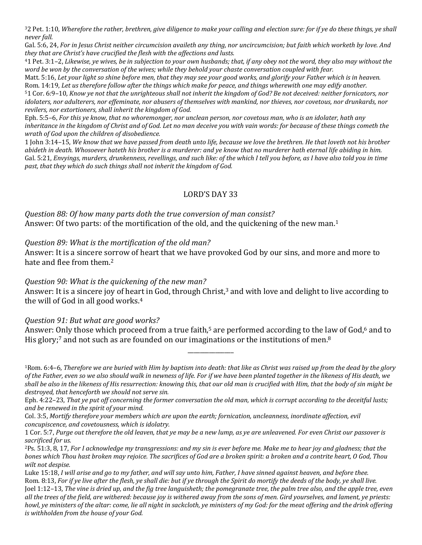32 Pet. 1:10, *Wherefore the rather, brethren, give diligence to make your calling and election sure: for if ye do these things, ye shall never fall.*

Gal. 5:6, 24, *For in Jesus Christ neither circumcision availeth any thing, nor uncircumcision; but faith which worketh by love. And they that are Christ's have crucified the flesh with the affections and lusts.*

41 Pet. 3:1–2, *Likewise, ye wives, be in subjection to your own husbands; that, if any obey not the word, they also may without the word be won by the conversation of the wives; while they behold your chaste conversation coupled with fear.*

Matt. 5:16, *Let your light so shine before men, that they may see your good works, and glorify your Father which is in heaven.* Rom. 14:19, *Let us therefore follow after the things which make for peace, and things wherewith one may edify another.*

51 Cor. 6:9–10, *Know ye not that the unrighteous shall not inherit the kingdom of God? Be not deceived: neither fornicators, nor idolaters, nor adulterers, nor effeminate, nor abusers of themselves with mankind, nor thieves, nor covetous, nor drunkards, nor revilers, nor extortioners, shall inherit the kingdom of God.*

Eph. 5:5–6, *For this ye know, that no whoremonger, nor unclean person, nor covetous man, who is an idolater, hath any inheritance in the kingdom of Christ and of God. Let no man deceive you with vain words: for because of these things cometh the wrath of God upon the children of disobedience.*

1 John 3:14–15, *We know that we have passed from death unto life, because we love the brethren. He that loveth not his brother abideth in death. Whosoever hateth his brother is a murderer: and ye know that no murderer hath eternal life abiding in him.* Gal. 5:21, *Envyings, murders, drunkenness, revellings, and such like: of the which I tell you before, as I have also told you in time past, that they which do such things shall not inherit the kingdom of God.*

## LORD'S DAY 33

*Question 88: Of how many parts doth the true conversion of man consist?* Answer: Of two parts: of the mortification of the old, and the quickening of the new man.<sup>1</sup>

#### *Question 89: What is the mortification of the old man?*

Answer: It is a sincere sorrow of heart that we have provoked God by our sins, and more and more to hate and flee from them.2

## *Question 90: What is the quickening of the new man?*

Answer: It is a sincere joy of heart in God, through Christ,<sup>3</sup> and with love and delight to live according to the will of God in all good works.4

## *Question 91: But what are good works?*

Answer: Only those which proceed from a true faith,<sup>5</sup> are performed according to the law of God,<sup>6</sup> and to His glory;<sup>7</sup> and not such as are founded on our imaginations or the institutions of men.<sup>8</sup>

1Rom. 6:4–6, *Therefore we are buried with Him by baptism into death: that like as Christ was raised up from the dead by the glory of the Father, even so we also should walk in newness of life. For if we have been planted together in the likeness of His death, we shall be also in the likeness of His resurrection: knowing this, that our old man is crucified with Him, that the body of sin might be destroyed, that henceforth we should not serve sin.*

Eph. 4:22–23, *That ye put off concerning the former conversation the old man, which is corrupt according to the deceitful lusts; and be renewed in the spirit of your mind.*

Col. 3:5, *Mortify therefore your members which are upon the earth; fornication, uncleanness, inordinate affection, evil concupiscence, and covetousness, which is idolatry.*

<sup>1</sup> Cor. 5:7, *Purge out therefore the old leaven, that ye may be a new lump, as ye are unleavened. For even Christ our passover is sacrificed for us.*

<sup>2</sup>Ps. 51:3, 8, 17, *For I acknowledge my transgressions: and my sin is ever before me. Make me to hear joy and gladness; that the bones which Thou hast broken may rejoice. The sacrifices of God are a broken spirit: a broken and a contrite heart, O God, Thou wilt not despise.*

Luke 15:18, *I will arise and go to my father, and will say unto him, Father, I have sinned against heaven, and before thee.* Rom. 8:13, *For if ye live after the flesh, ye shall die: but if ye through the Spirit do mortify the deeds of the body, ye shall live.* Joel 1:12–13, *The vine is dried up, and the fig tree languisheth; the pomegranate tree, the palm tree also, and the apple tree, even all the trees of the field, are withered: because joy is withered away from the sons of men. Gird yourselves, and lament, ye priests:*  howl, ye ministers of the altar: come, lie all night in sackcloth, ye ministers of my God: for the meat offering and the drink offering *is withholden from the house of your God.*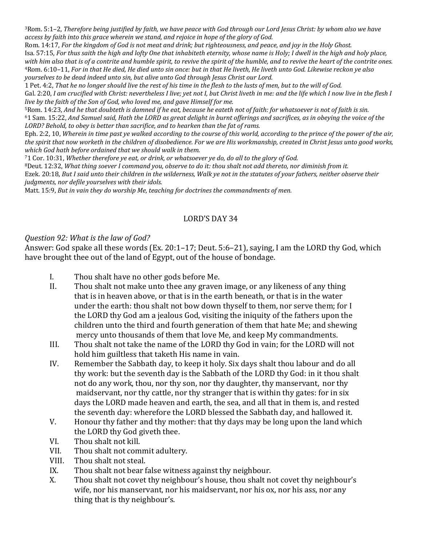3Rom. 5:1–2, *Therefore being justified by faith, we have peace with God through our Lord Jesus Christ: by whom also we have access by faith into this grace wherein we stand, and rejoice in hope of the glory of God.*

Rom. 14:17, *For the kingdom of God is not meat and drink; but righteousness, and peace, and joy in the Holy Ghost.* Isa. 57:15, *For thus saith the high and lofty One that inhabiteth eternity, whose name is Holy; I dwell in the high and holy place, with him also that is of a contrite and humble spirit, to revive the spirit of the humble, and to revive the heart of the contrite ones.* 4Rom. 6:10–11, *For in that He died, He died unto sin once: but in that He liveth, He liveth unto God. Likewise reckon ye also yourselves to be dead indeed unto sin, but alive unto God through Jesus Christ our Lord.*

1 Pet. 4:2, *That he no longer should live the rest of his time in the flesh to the lusts of men, but to the will of God.*

Gal. 2:20, *I am crucified with Christ: nevertheless I live; yet not I, but Christ liveth in me: and the life which I now live in the flesh I live by the faith of the Son of God, who loved me, and gave Himself for me.*

5Rom. 14:23, *And he that doubteth is damned if he eat, because he eateth not of faith: for whatsoever is not of faith is sin.* 61 Sam. 15:22, *And Samuel said, Hath the LORD as great delight in burnt offerings and sacrifices, as in obeying the voice of the LORD? Behold, to obey is better than sacrifice, and to hearken than the fat of rams.*

Eph. 2:2, 10, *Wherein in time past ye walked according to the course of this world, according to the prince of the power of the air, the spirit that now worketh in the children of disobedience. For we are His workmanship, created in Christ Jesus unto good works, which God hath before ordained that we should walk in them.*

71 Cor. 10:31, *Whether therefore ye eat, or drink, or whatsoever ye do, do all to the glory of God.*

8Deut. 12:32, *What thing soever I command you, observe to do it: thou shalt not add thereto, nor diminish from it.* Ezek. 20:18, *But I said unto their children in the wilderness, Walk ye not in the statutes of your fathers, neither observe their judgments, nor defile yourselves with their idols.*

Matt. 15:9, *But in vain they do worship Me, teaching for doctrines the commandments of men.*

## LORD'S DAY 34

#### *Question 92: What is the law of God?*

Answer: God spake all these words (Ex. 20:1–17; Deut. 5:6–21), saying, I am the LORD thy God, which have brought thee out of the land of Egypt, out of the house of bondage.

- I. Thou shalt have no other gods before Me.<br>II. Thou shalt not make unto thee any graven
- Thou shalt not make unto thee any graven image, or any likeness of any thing that is in heaven above, or that is in the earth beneath, or that is in the water under the earth: thou shalt not bow down thyself to them, nor serve them; for I the LORD thy God am a jealous God, visiting the iniquity of the fathers upon the children unto the third and fourth generation of them that hate Me; and shewing mercy unto thousands of them that love Me, and keep My commandments.
- III. Thou shalt not take the name of the LORD thy God in vain; for the LORD will not hold him guiltless that taketh His name in vain.
- IV. Remember the Sabbath day, to keep it holy. Six days shalt thou labour and do all thy work: but the seventh day is the Sabbath of the LORD thy God: in it thou shalt not do any work, thou, nor thy son, nor thy daughter, thy manservant, nor thy maidservant, nor thy cattle, nor thy stranger that is within thy gates: for in six days the LORD made heaven and earth, the sea, and all that in them is, and rested the seventh day: wherefore the LORD blessed the Sabbath day, and hallowed it.
- V. Honour thy father and thy mother: that thy days may be long upon the land which the LORD thy God giveth thee.
- 
- VI. Thou shalt not kill.<br>VII. Thou shalt not com VII. Thou shalt not commit adultery.<br>VIII. Thou shalt not steal.
- VIII. Thou shalt not steal.<br>IX. Thou shalt not bear f
- IX. Thou shalt not bear false witness against thy neighbour.<br>X. Thou shalt not covet thy neighbour's house, thou shalt no
- Thou shalt not covet thy neighbour's house, thou shalt not covet thy neighbour's wife, nor his manservant, nor his maidservant, nor his ox, nor his ass, nor any thing that is thy neighbour's.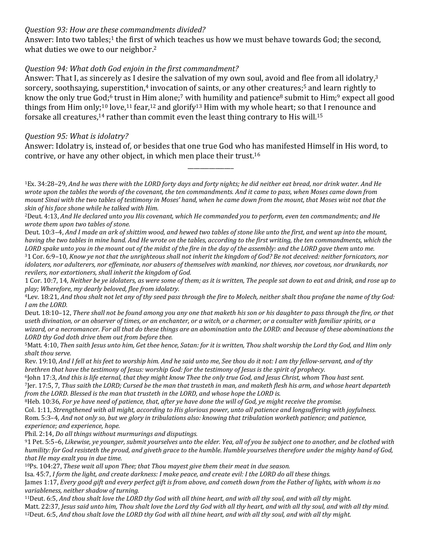## *Question 93: How are these commandments divided?*

Answer: Into two tables;<sup>1</sup> the first of which teaches us how we must behave towards God; the second, what duties we owe to our neighbor.<sup>2</sup>

## *Question 94: What doth God enjoin in the first commandment?*

Answer: That I, as sincerely as I desire the salvation of my own soul, avoid and flee from all idolatry,<sup>3</sup> sorcery, soothsaying, superstition,<sup>4</sup> invocation of saints, or any other creatures;<sup>5</sup> and learn rightly to know the only true God;<sup>6</sup> trust in Him alone;<sup>7</sup> with humility and patience<sup>8</sup> submit to Him;<sup>9</sup> expect all good things from Him only;<sup>10</sup> love,<sup>11</sup> fear,<sup>12</sup> and glorify<sup>13</sup> Him with my whole heart; so that I renounce and forsake all creatures, $^{\rm 14}$  rather than commit even the least thing contrary to His will. $^{\rm 15}$ 

## *Question 95: What is idolatry?*

Answer: Idolatry is, instead of, or besides that one true God who has manifested Himself in His word, to contrive, or have any other object, in which men place their trust.16

\_\_\_\_\_\_\_\_\_\_\_\_\_\_\_

1Ex. 34:28–29, *And he was there with the LORD forty days and forty nights; he did neither eat bread, nor drink water. And He wrote upon the tables the words of the covenant, the ten commandments. And it came to pass, when Moses came down from mount Sinai with the two tables of testimony in Moses' hand, when he came down from the mount, that Moses wist not that the skin of his face shone while he talked with Him.*

2Deut. 4:13, *And He declared unto you His covenant, which He commanded you to perform, even ten commandments; and He wrote them upon two tables of stone.*

Deut. 10:3–4, *And I made an ark of shittim wood, and hewed two tables of stone like unto the first, and went up into the mount, having the two tables in mine hand. And He wrote on the tables, according to the first writing, the ten commandments, which the LORD spake unto you in the mount out of the midst of the fire in the day of the assembly: and the LORD gave them unto me.* 31 Cor. 6:9–10, *Know ye not that the unrighteous shall not inherit the kingdom of God? Be not deceived: neither fornicators, nor idolaters, nor adulterers, nor effeminate, nor abusers of themselves with mankind, nor thieves, nor covetous, nor drunkards, nor revilers, nor extortioners, shall inherit the kingdom of God.*

1 Cor. 10:7, 14, *Neither be ye idolaters, as were some of them; as it is written, The people sat down to eat and drink, and rose up to play; Wherefore, my dearly beloved, flee from idolatry.*

4Lev. 18:21, *And thou shalt not let any of thy seed pass through the fire to Molech, neither shalt thou profane the name of thy God: I am the LORD.*

Deut. 18:10–12, *There shall not be found among you any one that maketh his son or his daughter to pass through the fire, or that useth divination, or an observer of times, or an enchanter, or a witch, or a charmer, or a consulter with familiar spirits, or a wizard, or a necromancer. For all that do these things are an abomination unto the LORD: and because of these abominations the LORD thy God doth drive them out from before thee.*

5Matt. 4:10, *Then saith Jesus unto him, Get thee hence, Satan: for it is written, Thou shalt worship the Lord thy God, and Him only shalt thou serve.*

Rev. 19:10, *And I fell at his feet to worship him. And he said unto me, See thou do it not: I am thy fellow-servant, and of thy brethren that have the testimony of Jesus: worship God: for the testimony of Jesus is the spirit of prophecy.*

6John 17:3, *And this is life eternal, that they might know Thee the only true God, and Jesus Christ, whom Thou hast sent.*

7Jer. 17:5, 7, *Thus saith the LORD; Cursed be the man that trusteth in man, and maketh flesh his arm, and whose heart departeth from the LORD. Blessed is the man that trusteth in the LORD, and whose hope the LORD is.*

8Heb. 10:36, *For ye have need of patience, that, after ye have done the will of God, ye might receive the promise.*

Col. 1:11, *Strengthened with all might, according to His glorious power, unto all patience and longsuffering with joyfulness.*

Rom. 5:3–4, *And not only so, but we glory in tribulations also: knowing that tribulation worketh patience; and patience, experience; and experience, hope.*

Phil. 2:14, *Do all things without murmurings and disputings.*

91 Pet. 5:5–6, *Likewise, ye younger, submit yourselves unto the elder. Yea, all of you be subject one to another, and be clothed with humility: for God resisteth the proud, and giveth grace to the humble. Humble yourselves therefore under the mighty hand of God, that He may exalt you in due time.*

10Ps. 104:27, *These wait all upon Thee; that Thou mayest give them their meat in due season.*

Isa. 45:7, *I form the light, and create darkness: I make peace, and create evil: I the LORD do all these things.*

James 1:17, *Every good gift and every perfect gift is from above, and cometh down from the Father of lights, with whom is no variableness, neither shadow of turning.*

11Deut. 6:5, *And thou shalt love the LORD thy God with all thine heart, and with all thy soul, and with all thy might.* Matt. 22:37, *Jesus said unto him, Thou shalt love the Lord thy God with all thy heart, and with all thy soul, and with all thy mind.* 12Deut. 6:5, *And thou shalt love the LORD thy God with all thine heart, and with all thy soul, and with all thy might.*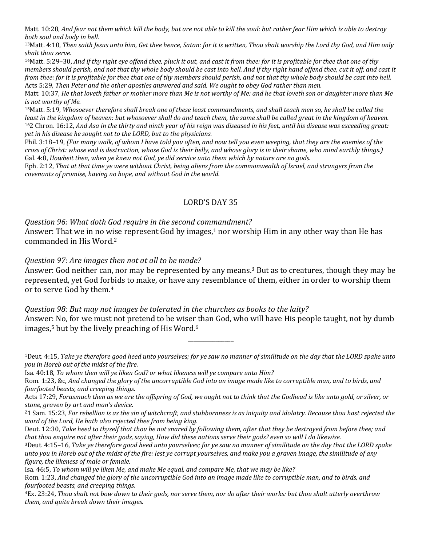Matt. 10:28, *And fear not them which kill the body, but are not able to kill the soul: but rather fear Him which is able to destroy both soul and body in hell.*

13Matt. 4:10, *Then saith Jesus unto him, Get thee hence, Satan: for it is written, Thou shalt worship the Lord thy God, and Him only shalt thou serve.*

14Matt. 5:29–30, *And if thy right eye offend thee, pluck it out, and cast it from thee: for it is profitable for thee that one of thy members should perish, and not that thy whole body should be cast into hell. And if thy right hand offend thee, cut it off, and cast it from thee: for it is profitable for thee that one of thy members should perish, and not that thy whole body should be cast into hell.* Acts 5:29, *Then Peter and the other apostles answered and said, We ought to obey God rather than men.*

Matt. 10:37, *He that loveth father or mother more than Me is not worthy of Me: and he that loveth son or daughter more than Me is not worthy of Me.*

15Matt. 5:19, *Whosoever therefore shall break one of these least commandments, and shall teach men so, he shall be called the least in the kingdom of heaven: but whosoever shall do and teach them, the same shall be called great in the kingdom of heaven.* 162 Chron. 16:12, *And Asa in the thirty and ninth year of his reign was diseased in his feet, until his disease was exceeding great: yet in his disease he sought not to the LORD, but to the physicians.*

Phil. 3:18–19, *(For many walk, of whom I have told you often, and now tell you even weeping, that they are the enemies of the cross of Christ: whose end is destruction, whose God is their belly, and whose glory is in their shame, who mind earthly things.)* Gal. 4:8, *Howbeit then, when ye knew not God, ye did service unto them which by nature are no gods.*

Eph. 2:12, *That at that time ye were without Christ, being aliens from the commonwealth of Israel, and strangers from the covenants of promise, having no hope, and without God in the world.*

#### LORD'S DAY 35

*Question 96: What doth God require in the second commandment?*

Answer: That we in no wise represent God by images, $1$  nor worship Him in any other way than He has commanded in His Word.2

*Question 97: Are images then not at all to be made?*

Answer: God neither can, nor may be represented by any means.3 But as to creatures, though they may be represented, yet God forbids to make, or have any resemblance of them, either in order to worship them or to serve God by them.4

*Question 98: But may not images be tolerated in the churches as books to the laity?* Answer: No, for we must not pretend to be wiser than God, who will have His people taught, not by dumb images,<sup>5</sup> but by the lively preaching of His Word.<sup>6</sup>

1Deut. 4:15, *Take ye therefore good heed unto yourselves; for ye saw no manner of similitude on the day that the LORD spake unto you in Horeb out of the midst of the fire.*

\_\_\_\_\_\_\_\_\_\_\_\_\_\_\_

Isa. 46:5, *To whom will ye liken Me, and make Me equal, and compare Me, that we may be like?*

Isa. 40:18, *To whom then will ye liken God? or what likeness will ye compare unto Him?*

Rom. 1:23, &c, *And changed the glory of the uncorruptible God into an image made like to corruptible man, and to birds, and fourfooted beasts, and creeping things.*

Acts 17:29, *Forasmuch then as we are the offspring of God, we ought not to think that the Godhead is like unto gold, or silver, or stone, graven by art and man's device.*

<sup>21</sup> Sam. 15:23, *For rebellion is as the sin of witchcraft, and stubbornness is as iniquity and idolatry. Because thou hast rejected the word of the Lord, He hath also rejected thee from being king.*

Deut. 12:30, *Take heed to thyself that thou be not snared by following them, after that they be destroyed from before thee; and that thou enquire not after their gods, saying, How did these nations serve their gods? even so will I do likewise.*

<sup>3</sup>Deut. 4:15–16, *Take ye therefore good heed unto yourselves; for ye saw no manner of similitude on the day that the LORD spake unto you in Horeb out of the midst of the fire: lest ye corrupt yourselves, and make you a graven image, the similitude of any figure, the likeness of male or female.*

Rom. 1:23, *And changed the glory of the uncorruptible God into an image made like to corruptible man, and to birds, and fourfooted beasts, and creeping things.*

<sup>4</sup>Ex. 23:24, *Thou shalt not bow down to their gods, nor serve them, nor do after their works: but thou shalt utterly overthrow them, and quite break down their images.*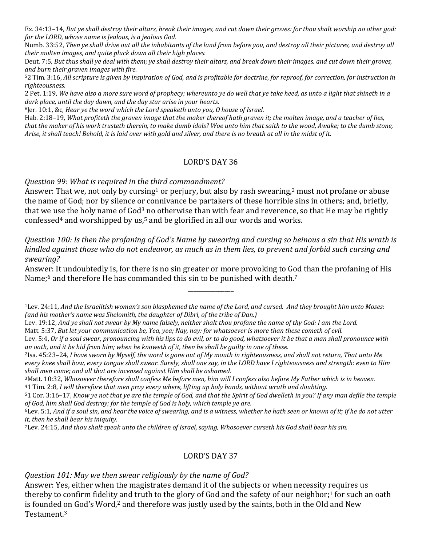Ex. 34:13–14, *But ye shall destroy their altars, break their images, and cut down their groves: for thou shalt worship no other god: for the LORD, whose name is Jealous, is a jealous God.*

Numb. 33:52, *Then ye shall drive out all the inhabitants of the land from before you, and destroy all their pictures, and destroy all their molten images, and quite pluck down all their high places.*

Deut. 7:5, *But thus shall ye deal with them; ye shall destroy their altars, and break down their images, and cut down their groves, and burn their graven images with fire.*

52 Tim. 3:16, *All scripture is given by inspiration of God, and is profitable for doctrine, for reproof, for correction, for instruction in righteousness.*

2 Pet. 1:19, *We have also a more sure word of prophecy; whereunto ye do well that ye take heed, as unto a light that shineth in a dark place, until the day dawn, and the day star arise in your hearts.*

6Jer. 10:1, &c, *Hear ye the word which the Lord speaketh unto you, O house of Israel.*

Hab. 2:18–19, *What profiteth the graven image that the maker thereof hath graven it; the molten image, and a teacher of lies, that the maker of his work trusteth therein, to make dumb idols? Woe unto him that saith to the wood, Awake; to the dumb stone, Arise, it shall teach! Behold, it is laid over with gold and silver, and there is no breath at all in the midst of it.*

## LORD'S DAY 36

*Question 99: What is required in the third commandment?*

Answer: That we, not only by cursing<sup>1</sup> or perjury, but also by rash swearing,<sup>2</sup> must not profane or abuse the name of God; nor by silence or connivance be partakers of these horrible sins in others; and, briefly, that we use the holy name of God<sup>3</sup> no otherwise than with fear and reverence, so that He may be rightly  $confessed<sup>4</sup>$  and worshipped by us,<sup>5</sup> and be glorified in all our words and works.

*Question 100: Is then the profaning of God's Name by swearing and cursing so heinous a sin that His wrath is kindled against those who do not endeavor, as much as in them lies, to prevent and forbid such cursing and swearing?*

Answer: It undoubtedly is, for there is no sin greater or more provoking to God than the profaning of His Name; $^6$  and therefore He has commanded this  $\sin$  to be punished with death. $^7$ 

\_\_\_\_\_\_\_\_\_\_\_\_\_\_\_

Matt. 5:37, *But let your communication be, Yea, yea; Nay, nay: for whatsoever is more than these cometh of evil.*

6Lev. 5:1, *And if a soul sin, and hear the voice of swearing, and is a witness, whether he hath seen or known of it; if he do not utter it, then he shall bear his iniquity.*

7Lev. 24:15, *And thou shalt speak unto the children of Israel, saying, Whosoever curseth his God shall bear his sin.*

## LORD'S DAY 37

*Question 101: May we then swear religiously by the name of God?*

Answer: Yes, either when the magistrates demand it of the subjects or when necessity requires us thereby to confirm fidelity and truth to the glory of God and the safety of our neighbor;<sup>1</sup> for such an oath is founded on God's Word,<sup>2</sup> and therefore was justly used by the saints, both in the Old and New Testament.3

<sup>1</sup>Lev. 24:11, *And the Israelitish woman's son blasphemed the name of the Lord, and cursed. And they brought him unto Moses: (and his mother's name was Shelomith, the daughter of Dibri, of the tribe of Dan.)*

Lev. 19:12, *And ye shall not swear by My name falsely, neither shalt thou profane the name of thy God: I am the Lord.*

Lev. 5:4, *Or if a soul swear, pronouncing with his lips to do evil, or to do good, whatsoever it be that a man shall pronounce with an oath, and it be hid from him; when he knoweth of it, then he shall be guilty in one of these.*

<sup>2</sup>Isa. 45:23–24, *I have sworn by Myself, the word is gone out of My mouth in righteousness, and shall not return, That unto Me every knee shall bow, every tongue shall swear. Surely, shall one say, in the LORD have I righteousness and strength: even to Him shall men come; and all that are incensed against Him shall be ashamed.*

<sup>3</sup>Matt. 10:32, *Whosoever therefore shall confess Me before men, him will I confess also before My Father which is in heaven.* 41 Tim. 2:8, *I will therefore that men pray every where, lifting up holy hands, without wrath and doubting.*

<sup>51</sup> Cor. 3:16–17, *Know ye not that ye are the temple of God, and that the Spirit of God dwelleth in you? If any man defile the temple of God, him shall God destroy; for the temple of God is holy, which temple ye are.*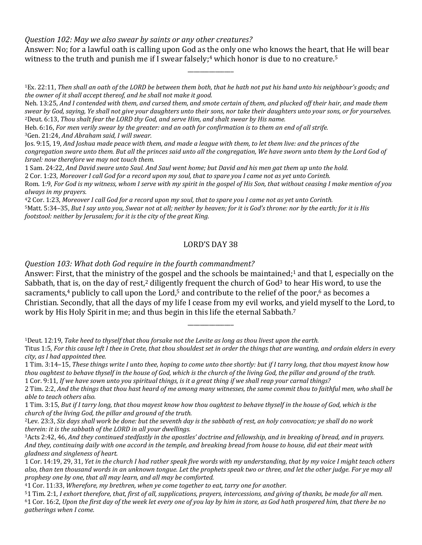#### *Question 102: May we also swear by saints or any other creatures?*

Answer: No; for a lawful oath is calling upon God as the only one who knows the heart, that He will bear witness to the truth and punish me if I swear falsely;<sup>4</sup> which honor is due to no creature.<sup>5</sup>

\_\_\_\_\_\_\_\_\_\_\_\_\_\_\_

1Ex. 22:11, *Then shall an oath of the LORD be between them both, that he hath not put his hand unto his neighbour's goods; and the owner of it shall accept thereof, and he shall not make it good.*

Neh. 13:25, *And I contended with them, and cursed them, and smote certain of them, and plucked off their hair, and made them swear by God, saying, Ye shall not give your daughters unto their sons, nor take their daughters unto your sons, or for yourselves.* 2Deut. 6:13, *Thou shalt fear the LORD thy God, and serve Him, and shalt swear by His name.*

Heb. 6:16, *For men verily swear by the greater: and an oath for confirmation is to them an end of all strife.* 3Gen. 21:24, *And Abraham said, I will swear.*

Jos. 9:15, 19, *And Joshua made peace with them, and made a league with them, to let them live: and the princes of the congregation sware unto them. But all the princes said unto all the congregation, We have sworn unto them by the Lord God of Israel: now therefore we may not touch them.*

1 Sam. 24:22, *And David sware unto Saul. And Saul went home; but David and his men gat them up unto the hold.* 2 Cor. 1:23, *Moreover I call God for a record upon my soul, that to spare you I came not as yet unto Corinth.*

Rom. 1:9, *For God is my witness, whom I serve with my spirit in the gospel of His Son, that without ceasing I make mention of you always in my prayers.*

42 Cor. 1:23, *Moreover I call God for a record upon my soul, that to spare you I came not as yet unto Corinth.* 5Matt. 5:34–35, *But I say unto you, Swear not at all; neither by heaven; for it is God's throne: nor by the earth; for it is His footstool: neither by Jerusalem; for it is the city of the great King.*

## LORD'S DAY 38

*Question 103: What doth God require in the fourth commandment?*

Answer: First, that the ministry of the gospel and the schools be maintained;1 and that I, especially on the Sabbath, that is, on the day of rest,<sup>2</sup> diligently frequent the church of God<sup>3</sup> to hear His word, to use the sacraments,<sup>4</sup> publicly to call upon the Lord,<sup>5</sup> and contribute to the relief of the poor,<sup>6</sup> as becomes a Christian. Secondly, that all the days of my life I cease from my evil works, and yield myself to the Lord, to work by His Holy Spirit in me; and thus begin in this life the eternal Sabbath.<sup>7</sup>

<sup>1</sup>Deut. 12:19, *Take heed to thyself that thou forsake not the Levite as long as thou livest upon the earth.*

Titus 1:5, *For this cause left I thee in Crete, that thou shouldest set in order the things that are wanting, and ordain elders in every city, as I had appointed thee.*

<sup>1</sup> Tim. 3:14–15, *These things write I unto thee, hoping to come unto thee shortly: but if I tarry long, that thou mayest know how thou oughtest to behave thyself in the house of God, which is the church of the living God, the pillar and ground of the truth.* 1 Cor. 9:11, *If we have sown unto you spiritual things, is it a great thing if we shall reap your carnal things?*

<sup>2</sup> Tim. 2:2, *And the things that thou hast heard of me among many witnesses, the same commit thou to faithful men, who shall be able to teach others also.*

<sup>1</sup> Tim. 3:15, *But if I tarry long, that thou mayest know how thou oughtest to behave thyself in the house of God, which is the church of the living God, the pillar and ground of the truth.*

<sup>2</sup>Lev. 23:3, *Six days shall work be done: but the seventh day is the sabbath of rest, an holy convocation; ye shall do no work therein: it is the sabbath of the LORD in all your dwellings.*

<sup>3</sup>Acts 2:42, 46, *And they continued stedfastly in the apostles' doctrine and fellowship, and in breaking of bread, and in prayers. And they, continuing daily with one accord in the temple, and breaking bread from house to house, did eat their meat with gladness and singleness of heart.*

<sup>1</sup> Cor. 14:19, 29, 31, *Yet in the church I had rather speak five words with my understanding, that by my voice I might teach others also, than ten thousand words in an unknown tongue. Let the prophets speak two or three, and let the other judge. For ye may all prophesy one by one, that all may learn, and all may be comforted.*

<sup>41</sup> Cor. 11:33, *Wherefore, my brethren, when ye come together to eat, tarry one for another.*

<sup>51</sup> Tim. 2:1, *I exhort therefore, that, first of all, supplications, prayers, intercessions, and giving of thanks, be made for all men.* 61 Cor. 16:2, *Upon the first day of the week let every one of you lay by him in store, as God hath prospered him, that there be no gatherings when I come.*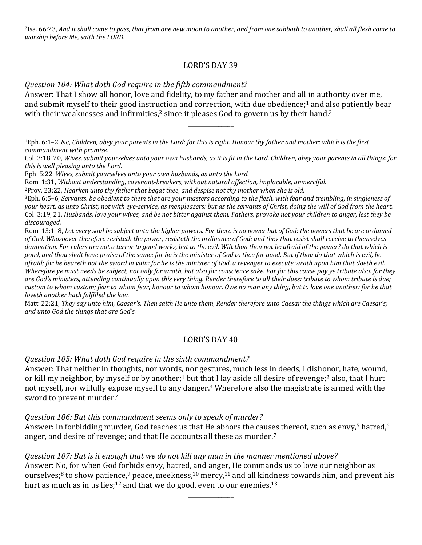7Isa. 66:23, *And it shall come to pass, that from one new moon to another, and from one sabbath to another, shall all flesh come to worship before Me, saith the LORD.*

#### LORD'S DAY 39

*Question 104: What doth God require in the fifth commandment?*

Answer: That I show all honor, love and fidelity, to my father and mother and all in authority over me, and submit myself to their good instruction and correction, with due obedience;<sup>1</sup> and also patiently bear with their weaknesses and infirmities, $2$  since it pleases God to govern us by their hand. $3$ 

\_\_\_\_\_\_\_\_\_\_\_\_\_\_\_

1Eph. 6:1–2, &c, *Children, obey your parents in the Lord: for this is right. Honour thy father and mother; which is the first commandment with promise.*

Col. 3:18, 20, *Wives, submit yourselves unto your own husbands, as it is fit in the Lord. Children, obey your parents in all things: for this is well pleasing unto the Lord.*

Eph. 5:22, *Wives, submit yourselves unto your own husbands, as unto the Lord.*

Rom. 1:31, *Without understanding, covenant-breakers, without natural affection, implacable, unmerciful.*

2Prov. 23:22, *Hearken unto thy father that begat thee, and despise not thy mother when she is old.*

3Eph. 6:5–6, *Servants, be obedient to them that are your masters according to the flesh, with fear and trembling, in singleness of your heart, as unto Christ; not with eye-service, as menpleasers; but as the servants of Christ, doing the will of God from the heart.* Col. 3:19, 21, *Husbands, love your wives, and be not bitter against them. Fathers, provoke not your children to anger, lest they be discouraged.*

Rom. 13:1–8, *Let every soul be subject unto the higher powers. For there is no power but of God: the powers that be are ordained of God. Whosoever therefore resisteth the power, resisteth the ordinance of God: and they that resist shall receive to themselves damnation. For rulers are not a terror to good works, but to the evil. Wilt thou then not be afraid of the power? do that which is good, and thou shalt have praise of the same: for he is the minister of God to thee for good. But if thou do that which is evil, be afraid; for he beareth not the sword in vain: for he is the minister of God, a revenger to execute wrath upon him that doeth evil. Wherefore ye must needs be subject, not only for wrath, but also for conscience sake. For for this cause pay ye tribute also: for they are God's ministers, attending continually upon this very thing. Render therefore to all their dues: tribute to whom tribute is due; custom to whom custom; fear to whom fear; honour to whom honour. Owe no man any thing, but to love one another: for he that loveth another hath fulfilled the law.*

Matt. 22:21, *They say unto him, Caesar's. Then saith He unto them, Render therefore unto Caesar the things which are Caesar's; and unto God the things that are God's.*

## LORD'S DAY 40

*Question 105: What doth God require in the sixth commandment?*

Answer: That neither in thoughts, nor words, nor gestures, much less in deeds, I dishonor, hate, wound, or kill my neighbor, by myself or by another;<sup>1</sup> but that I lay aside all desire of revenge;<sup>2</sup> also, that I hurt not myself, nor wilfully expose myself to any danger.<sup>3</sup> Wherefore also the magistrate is armed with the sword to prevent murder.4

#### *Question 106: But this commandment seems only to speak of murder?*

Answer: In forbidding murder, God teaches us that He abhors the causes thereof, such as envy,<sup>5</sup> hatred,<sup>6</sup> anger, and desire of revenge; and that He accounts all these as murder.<sup>7</sup>

## *Question 107: But is it enough that we do not kill any man in the manner mentioned above?*

Answer: No, for when God forbids envy, hatred, and anger, He commands us to love our neighbor as ourselves;<sup>8</sup> to show patience,<sup>9</sup> peace, meekness,<sup>10</sup> mercy,<sup>11</sup> and all kindness towards him, and prevent his hurt as much as in us lies;<sup>12</sup> and that we do good, even to our enemies.<sup>13</sup>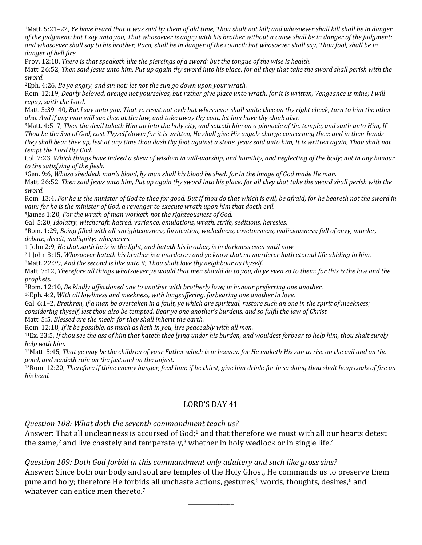1Matt. 5:21–22, *Ye have heard that it was said by them of old time, Thou shalt not kill; and whosoever shall kill shall be in danger of the judgment: but I say unto you, That whosoever is angry with his brother without a cause shall be in danger of the judgment: and whosoever shall say to his brother, Raca, shall be in danger of the council: but whosoever shall say, Thou fool, shall be in danger of hell fire.*

Prov. 12:18, *There is that speaketh like the piercings of a sword: but the tongue of the wise is health.*

Matt. 26:52, *Then said Jesus unto him, Put up again thy sword into his place: for all they that take the sword shall perish with the sword.*

2Eph. 4:26, *Be ye angry, and sin not: let not the sun go down upon your wrath.*

Rom. 12:19, *Dearly beloved, avenge not yourselves, but rather give place unto wrath: for it is written, Vengeance is mine; I will repay, saith the Lord.*

Matt. 5:39–40, *But I say unto you, That ye resist not evil: but whosoever shall smite thee on thy right cheek, turn to him the other also. And if any man will sue thee at the law, and take away thy coat, let him have thy cloak also.*

3Matt. 4:5–7, *Then the devil taketh Him up into the holy city, and setteth him on a pinnacle of the temple, and saith unto Him, If Thou be the Son of God, cast Thyself down: for it is written, He shall give His angels charge concerning thee: and in their hands they shall bear thee up, lest at any time thou dash thy foot against a stone. Jesus said unto him, It is written again, Thou shalt not tempt the Lord thy God.*

Col. 2:23, *Which things have indeed a shew of wisdom in will-worship, and humility, and neglecting of the body; not in any honour to the satisfying of the flesh.*

4Gen. 9:6, *Whoso sheddeth man's blood, by man shall his blood be shed: for in the image of God made He man.*

Matt. 26:52, *Then said Jesus unto him, Put up again thy sword into his place: for all they that take the sword shall perish with the sword.*

Rom. 13:4, *For he is the minister of God to thee for good. But if thou do that which is evil, be afraid; for he beareth not the sword in vain: for he is the minister of God, a revenger to execute wrath upon him that doeth evil.*

5James 1:20, *For the wrath of man worketh not the righteousness of God.*

Gal. 5:20, *Idolatry, witchcraft, hatred, variance, emulations, wrath, strife, seditions, heresies.*

6Rom. 1:29, *Being filled with all unrighteousness, fornication, wickedness, covetousness, maliciousness; full of envy, murder, debate, deceit, malignity; whisperers.*

1 John 2:9, *He that saith he is in the light, and hateth his brother, is in darkness even until now.*

71 John 3:15, *Whosoever hateth his brother is a murderer: and ye know that no murderer hath eternal life abiding in him.*

8Matt. 22:39, *And the second is like unto it, Thou shalt love thy neighbour as thyself.*

Matt. 7:12, *Therefore all things whatsoever ye would that men should do to you, do ye even so to them: for this is the law and the prophets.*

9Rom. 12:10, *Be kindly affectioned one to another with brotherly love; in honour preferring one another.*

10Eph. 4:2, *With all lowliness and meekness, with longsuffering, forbearing one another in love.*

Gal. 6:1–2, *Brethren, if a man be overtaken in a fault, ye which are spiritual, restore such an one in the spirit of meekness; considering thyself, lest thou also be tempted. Bear ye one another's burdens, and so fulfil the law of Christ.*

Matt. 5:5, *Blessed are the meek: for they shall inherit the earth.*

Rom. 12:18, *If it be possible, as much as lieth in you, live peaceably with all men.*

11Ex. 23:5, *If thou see the ass of him that hateth thee lying under his burden, and wouldest forbear to help him, thou shalt surely help with him.*

12Matt. 5:45, *That ye may be the children of your Father which is in heaven: for He maketh His sun to rise on the evil and on the good, and sendeth rain on the just and on the unjust.*

13Rom. 12:20, *Therefore if thine enemy hunger, feed him; if he thirst, give him drink: for in so doing thou shalt heap coals of fire on his head.*

## LORD'S DAY 41

*Question 108: What doth the seventh commandment teach us?*

Answer: That all uncleanness is accursed of God;<sup>1</sup> and that therefore we must with all our hearts detest the same,<sup>2</sup> and live chastely and temperately,<sup>3</sup> whether in holy wedlock or in single life.<sup>4</sup>

#### *Question 109: Doth God forbid in this commandment only adultery and such like gross sins?*

Answer: Since both our body and soul are temples of the Holy Ghost, He commands us to preserve them pure and holy; therefore He forbids all unchaste actions, gestures,<sup>5</sup> words, thoughts, desires,<sup>6</sup> and whatever can entice men thereto.<sup>7</sup>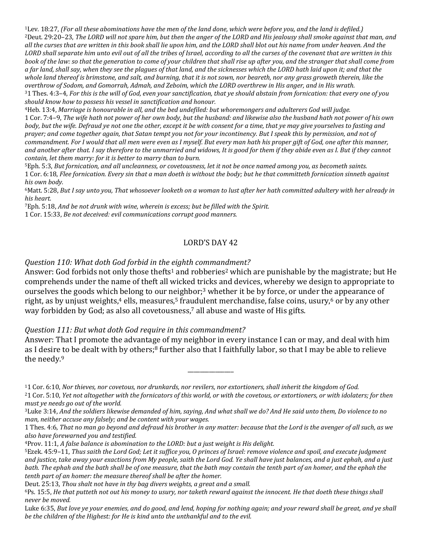1Lev. 18:27, *(For all these abominations have the men of the land done, which were before you, and the land is defiled.)* 2Deut. 29:20–23, *The LORD will not spare him, but then the anger of the LORD and His jealousy shall smoke against that man, and all the curses that are written in this book shall lie upon him, and the LORD shall blot out his name from under heaven. And the LORD shall separate him unto evil out of all the tribes of Israel, according to all the curses of the covenant that are written in this book of the law: so that the generation to come of your children that shall rise up after you, and the stranger that shall come from a far land, shall say, when they see the plagues of that land, and the sicknesses which the LORD hath laid upon it; and that the whole land thereof is brimstone, and salt, and burning, that it is not sown, nor beareth, nor any grass groweth therein, like the overthrow of Sodom, and Gomorrah, Admah, and Zeboim, which the LORD overthrew in His anger, and in His wrath.* 31 Thes. 4:3–4, *For this is the will of God, even your sanctification, that ye should abstain from fornication: that every one of you should know how to possess his vessel in sanctification and honour.*

4Heb. 13:4, *Marriage is honourable in all, and the bed undefiled: but whoremongers and adulterers God will judge.* 1 Cor. 7:4–9, *The wife hath not power of her own body, but the husband: and likewise also the husband hath not power of his own body, but the wife. Defraud ye not one the other, except it be with consent for a time, that ye may give yourselves to fasting and prayer; and come together again, that Satan tempt you not for your incontinency. But I speak this by permission, and not of commandment. For I would that all men were even as I myself. But every man hath his proper gift of God, one after this manner, and another after that. I say therefore to the unmarried and widows, It is good for them if they abide even as I. But if they cannot contain, let them marry: for it is better to marry than to burn.*

5Eph. 5:3, *But fornication, and all uncleanness, or covetousness, let it not be once named among you, as becometh saints.* 1 Cor. 6:18, *Flee fornication. Every sin that a man doeth is without the body; but he that committeth fornication sinneth against his own body.*

6Matt. 5:28, *But I say unto you, That whosoever looketh on a woman to lust after her hath committed adultery with her already in his heart.*

7Eph. 5:18, *And be not drunk with wine, wherein is excess; but be filled with the Spirit.*

1 Cor. 15:33, *Be not deceived: evil communications corrupt good manners.*

## LORD'S DAY 42

#### *Question 110: What doth God forbid in the eighth commandment?*

Answer: God forbids not only those thefts<sup>1</sup> and robberies<sup>2</sup> which are punishable by the magistrate; but He comprehends under the name of theft all wicked tricks and devices, whereby we design to appropriate to ourselves the goods which belong to our neighbor;<sup>3</sup> whether it be by force, or under the appearance of right, as by unjust weights,<sup>4</sup> ells, measures,<sup>5</sup> fraudulent merchandise, false coins, usury,<sup>6</sup> or by any other way forbidden by God; as also all covetousness,<sup>7</sup> all abuse and waste of His gifts.

#### *Question 111: But what doth God require in this commandment?*

Answer: That I promote the advantage of my neighbor in every instance I can or may, and deal with him as I desire to be dealt with by others;<sup>8</sup> further also that I faithfully labor, so that I may be able to relieve the needy.9

11 Cor. 6:10, *Nor thieves, nor covetous, nor drunkards, nor revilers, nor extortioners, shall inherit the kingdom of God.*

21 Cor. 5:10, *Yet not altogether with the fornicators of this world, or with the covetous, or extortioners, or with idolaters; for then must ye needs go out of the world.*

<sup>3</sup>Luke 3:14, *And the soldiers likewise demanded of him, saying, And what shall we do? And He said unto them, Do violence to no man, neither accuse any falsely; and be content with your wages.*

<sup>1</sup> Thes. 4:6, *That no man go beyond and defraud his brother in any matter: because that the Lord is the avenger of all such, as we also have forewarned you and testified.*

<sup>4</sup>Prov. 11:1, *A false balance is abomination to the LORD: but a just weight is His delight.*

<sup>5</sup>Ezek. 45:9–11, *Thus saith the Lord God; Let it suffice you, O princes of Israel: remove violence and spoil, and execute judgment and justice, take away your exactions from My people, saith the Lord God. Ye shall have just balances, and a just ephah, and a just bath. The ephah and the bath shall be of one measure, that the bath may contain the tenth part of an homer, and the ephah the tenth part of an homer: the measure thereof shall be after the homer.*

Deut. 25:13, *Thou shalt not have in thy bag divers weights, a great and a small.*

<sup>6</sup>Ps. 15:5, *He that putteth not out his money to usury, nor taketh reward against the innocent. He that doeth these things shall never be moved.*

Luke 6:35, *But love ye your enemies, and do good, and lend, hoping for nothing again; and your reward shall be great, and ye shall be the children of the Highest: for He is kind unto the unthankful and to the evil.*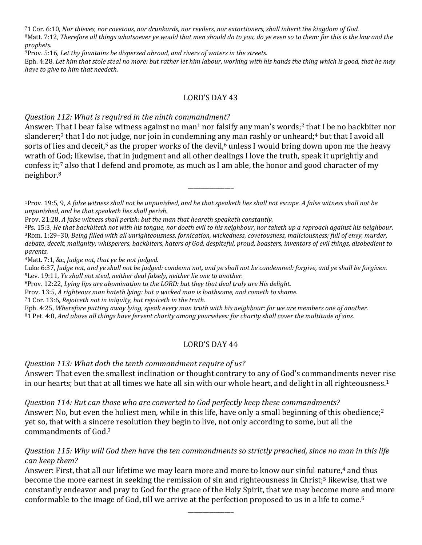71 Cor. 6:10, *Nor thieves, nor covetous, nor drunkards, nor revilers, nor extortioners, shall inherit the kingdom of God.* 8Matt. 7:12, *Therefore all things whatsoever ye would that men should do to you, do ye even so to them: for this is the law and the prophets.*

9Prov. 5:16, *Let thy fountains be dispersed abroad, and rivers of waters in the streets.*

Eph. 4:28, *Let him that stole steal no more: but rather let him labour, working with his hands the thing which is good, that he may have to give to him that needeth.*

## LORD'S DAY 43

#### *Question 112: What is required in the ninth commandment?*

Answer: That I bear false witness against no man<sup>1</sup> nor falsify any man's words;<sup>2</sup> that I be no backbiter nor slanderer;<sup>3</sup> that I do not judge, nor join in condemning any man rashly or unheard;<sup>4</sup> but that I avoid all sorts of lies and deceit,<sup>5</sup> as the proper works of the devil,<sup>6</sup> unless I would bring down upon me the heavy wrath of God; likewise, that in judgment and all other dealings I love the truth, speak it uprightly and confess it;<sup>7</sup> also that I defend and promote, as much as I am able, the honor and good character of my neighbor.8

\_\_\_\_\_\_\_\_\_\_\_\_\_\_\_

1Prov. 19:5, 9, *A false witness shall not be unpunished, and he that speaketh lies shall not escape. A false witness shall not be unpunished, and he that speaketh lies shall perish.*

2Ps. 15:3, *He that backbiteth not with his tongue, nor doeth evil to his neighbour, nor taketh up a reproach against his neighbour.* 3Rom. 1:29–30, *Being filled with all unrighteousness, fornication, wickedness, covetousness, maliciousness; full of envy, murder, debate, deceit, malignity; whisperers, backbiters, haters of God, despiteful, proud, boasters, inventors of evil things, disobedient to parents.*

4Matt. 7:1, &c, *Judge not, that ye be not judged.*

Luke 6:37, *Judge not, and ye shall not be judged: condemn not, and ye shall not be condemned: forgive, and ye shall be forgiven.* 5Lev. 19:11, *Ye shall not steal, neither deal falsely, neither lie one to another.*

6Prov. 12:22, *Lying lips are abomination to the LORD: but they that deal truly are His delight.*

Prov. 13:5, *A righteous man hateth lying: but a wicked man is loathsome, and cometh to shame.*

71 Cor. 13:6, *Rejoiceth not in iniquity, but rejoiceth in the truth.*

Eph. 4:25, *Wherefore putting away lying, speak every man truth with his neighbour: for we are members one of another.* 81 Pet. 4:8, *And above all things have fervent charity among yourselves: for charity shall cover the multitude of sins.*

## LORD'S DAY 44

*Question 113: What doth the tenth commandment require of us?* Answer: That even the smallest inclination or thought contrary to any of God's commandments never rise in our hearts; but that at all times we hate all sin with our whole heart, and delight in all righteousness.1

*Question 114: But can those who are converted to God perfectly keep these commandments?* Answer: No, but even the holiest men, while in this life, have only a small beginning of this obedience;  $2^2$ yet so, that with a sincere resolution they begin to live, not only according to some, but all the commandments of God.3

## *Question 115: Why will God then have the ten commandments so strictly preached, since no man in this life can keep them?*

Answer: First, that all our lifetime we may learn more and more to know our sinful nature,<sup>4</sup> and thus become the more earnest in seeking the remission of sin and righteousness in Christ;5 likewise, that we constantly endeavor and pray to God for the grace of the Holy Spirit, that we may become more and more conformable to the image of God, till we arrive at the perfection proposed to us in a life to come.6

Prov. 21:28, *A false witness shall perish: but the man that heareth speaketh constantly.*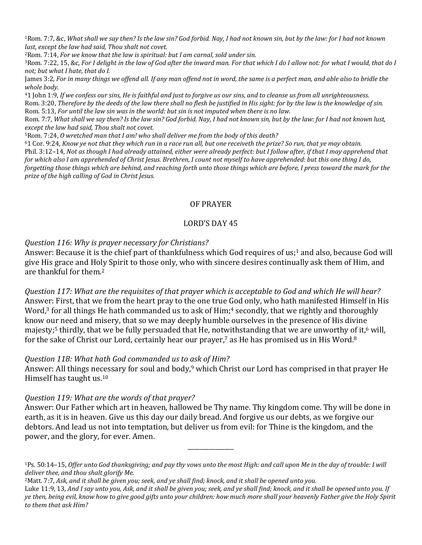1Rom. 7:7, &c, *What shall we say then? Is the law sin? God forbid. Nay, I had not known sin, but by the law: for I had not known lust, except the law had said, Thou shalt not covet.*

2Rom. 7:14, *For we know that the law is spiritual: but I am carnal, sold under sin.*

3Rom. 7:22, 15, &c, *For I delight in the law of God after the inward man. For that which I do I allow not: for what I would, that do I not; but what I hate, that do I.*

James 3:2, *For in many things we offend all. If any man offend not in word, the same is a perfect man, and able also to bridle the whole body.*

41 John 1:9, *If we confess our sins, He is faithful and just to forgive us our sins, and to cleanse us from all unrighteousness.* Rom. 3:20, *Therefore by the deeds of the law there shall no flesh be justified in His sight: for by the law is the knowledge of sin.* Rom. 5:13, *For until the law sin was in the world: but sin is not imputed when there is no law.*

Rom. 7:7, *What shall we say then? Is the law sin? God forbid. Nay, I had not known sin, but by the law: for I had not known lust, except the law had said, Thou shalt not covet.*

5Rom. 7:24, *O wretched man that I am! who shall deliver me from the body of this death?*

61 Cor. 9:24, *Know ye not that they which run in a race run all, but one receiveth the prize? So run, that ye may obtain.* Phil. 3:12–14, *Not as though I had already attained, either were already perfect: but I follow after, if that I may apprehend that for which also I am apprehended of Christ Jesus. Brethren, I count not myself to have apprehended: but this one thing I do, forgetting those things which are behind, and reaching forth unto those things which are before, I press toward the mark for the prize of the high calling of God in Christ Jesus.*

#### OF PRAYER

## LORD'S DAY 45

*Question 116: Why is prayer necessary for Christians?*

Answer: Because it is the chief part of thankfulness which God requires of us;<sup>1</sup> and also, because God will give His grace and Holy Spirit to those only, who with sincere desires continually ask them of Him, and are thankful for them.2

*Question 117: What are the requisites of that prayer which is acceptable to God and which He will hear?* Answer: First, that we from the heart pray to the one true God only, who hath manifested Himself in His Word,<sup>3</sup> for all things He hath commanded us to ask of Him;<sup>4</sup> secondly, that we rightly and thoroughly know our need and misery, that so we may deeply humble ourselves in the presence of His divine majesty;<sup>5</sup> thirdly, that we be fully persuaded that He, notwithstanding that we are unworthy of it,<sup>6</sup> will, for the sake of Christ our Lord, certainly hear our prayer,<sup>7</sup> as He has promised us in His Word.<sup>8</sup>

#### *Question 118: What hath God commanded us to ask of Him?*

Answer: All things necessary for soul and body,<sup>9</sup> which Christ our Lord has comprised in that prayer He Himself has taught us.10

#### *Question 119: What are the words of that prayer?*

Answer: Our Father which art in heaven, hallowed be Thy name. Thy kingdom come. Thy will be done in earth, as it is in heaven. Give us this day our daily bread. And forgive us our debts, as we forgive our debtors. And lead us not into temptation, but deliver us from evil: for Thine is the kingdom, and the power, and the glory, for ever. Amen.

\_\_\_\_\_\_\_\_\_\_\_\_\_\_\_

1Ps. 50:14–15, *Offer unto God thanksgiving; and pay thy vows unto the most High: and call upon Me in the day of trouble: I will deliver thee, and thou shalt glorify Me.*

2Matt. 7:7, *Ask, and it shall be given you; seek, and ye shall find; knock, and it shall be opened unto you.*

Luke 11:9, 13, *And I say unto you, Ask, and it shall be given you; seek, and ye shall find; knock, and it shall be opened unto you. If ye then, being evil, know how to give good gifts unto your children: how much more shall your heavenly Father give the Holy Spirit to them that ask Him?*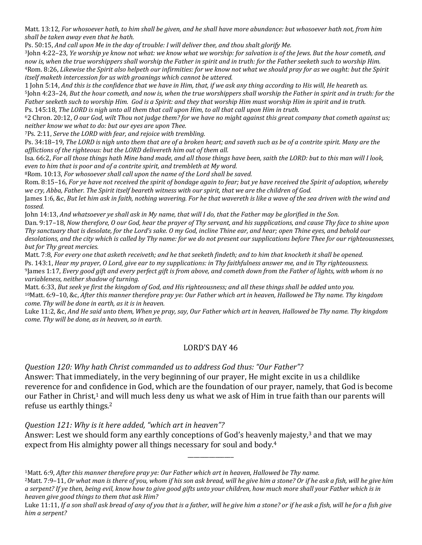Matt. 13:12, *For whosoever hath, to him shall be given, and he shall have more abundance: but whosoever hath not, from him shall be taken away even that he hath.*

Ps. 50:15, *And call upon Me in the day of trouble: I will deliver thee, and thou shalt glorify Me.*

3John 4:22–23, *Ye worship ye know not what: we know what we worship: for salvation is of the Jews. But the hour cometh, and now is, when the true worshippers shall worship the Father in spirit and in truth: for the Father seeketh such to worship Him.* 4Rom. 8:26, *Likewise the Spirit also helpeth our infirmities: for we know not what we should pray for as we ought: but the Spirit itself maketh intercession for us with groanings which cannot be uttered.*

1 John 5:14, *And this is the confidence that we have in Him, that, if we ask any thing according to His will, He heareth us.*

5John 4:23–24, *But the hour cometh, and now is, when the true worshippers shall worship the Father in spirit and in truth: for the Father seeketh such to worship Him. God is a Spirit: and they that worship Him must worship Him in spirit and in truth.* Ps. 145:18, *The LORD is nigh unto all them that call upon Him, to all that call upon Him in truth.*

62 Chron. 20:12, *O our God, wilt Thou not judge them? for we have no might against this great company that cometh against us; neither know we what to do: but our eyes are upon Thee.*

7Ps. 2:11, *Serve the LORD with fear, and rejoice with trembling.*

Ps. 34:18–19, *The LORD is nigh unto them that are of a broken heart; and saveth such as be of a contrite spirit. Many are the afflictions of the righteous: but the LORD delivereth him out of them all.*

Isa. 66:2, *For all those things hath Mine hand made, and all those things have been, saith the LORD: but to this man will I look, even to him that is poor and of a contrite spirit, and trembleth at My word.*

8Rom. 10:13, *For whosoever shall call upon the name of the Lord shall be saved.*

Rom. 8:15–16, *For ye have not received the spirit of bondage again to fear; but ye have received the Spirit of adoption, whereby we cry, Abba, Father. The Spirit itself beareth witness with our spirit, that we are the children of God.*

James 1:6, &c, *But let him ask in faith, nothing wavering. For he that wavereth is like a wave of the sea driven with the wind and tossed.*

John 14:13, *And whatsoever ye shall ask in My name, that will I do, that the Father may be glorified in the Son.*

Dan. 9:17–18, *Now therefore, O our God, hear the prayer of Thy servant, and his supplications, and cause Thy face to shine upon Thy sanctuary that is desolate, for the Lord's sake. O my God, incline Thine ear, and hear; open Thine eyes, and behold our desolations, and the city which is called by Thy name: for we do not present our supplications before Thee for our righteousnesses, but for Thy great mercies.*

Matt. 7:8, *For every one that asketh receiveth; and he that seeketh findeth; and to him that knocketh it shall be opened.*

Ps. 143:1, *Hear my prayer, O Lord, give ear to my supplications: in Thy faithfulness answer me, and in Thy righteousness.* 9James 1:17, *Every good gift and every perfect gift is from above, and cometh down from the Father of lights, with whom is no variableness, neither shadow of turning.*

Matt. 6:33, *But seek ye first the kingdom of God, and His righteousness; and all these things shall be added unto you.* 10Matt. 6:9–10, &c, *After this manner therefore pray ye: Our Father which art in heaven, Hallowed be Thy name. Thy kingdom come. Thy will be done in earth, as it is in heaven.*

Luke 11:2, &c, *And He said unto them, When ye pray, say, Our Father which art in heaven, Hallowed be Thy name. Thy kingdom come. Thy will be done, as in heaven, so in earth.*

## LORD'S DAY 46

*Question 120: Why hath Christ commanded us to address God thus: "Our Father"?*

Answer: That immediately, in the very beginning of our prayer, He might excite in us a childlike reverence for and confidence in God, which are the foundation of our prayer, namely, that God is become our Father in Christ,<sup>1</sup> and will much less deny us what we ask of Him in true faith than our parents will refuse us earthly things.2

*Question 121: Why is it here added, "which art in heaven"?*

Answer: Lest we should form any earthly conceptions of God's heavenly majesty,<sup>3</sup> and that we may expect from His almighty power all things necessary for soul and body.4

1Matt. 6:9, *After this manner therefore pray ye: Our Father which art in heaven, Hallowed be Thy name.*

2Matt. 7:9–11, *Or what man is there of you, whom if his son ask bread, will he give him a stone? Or if he ask a fish, will he give him a serpent? If ye then, being evil, know how to give good gifts unto your children, how much more shall your Father which is in heaven give good things to them that ask Him?*

\_\_\_\_\_\_\_\_\_\_\_\_\_\_\_

Luke 11:11, *If a son shall ask bread of any of you that is a father, will he give him a stone? or if he ask a fish, will he for a fish give him a serpent?*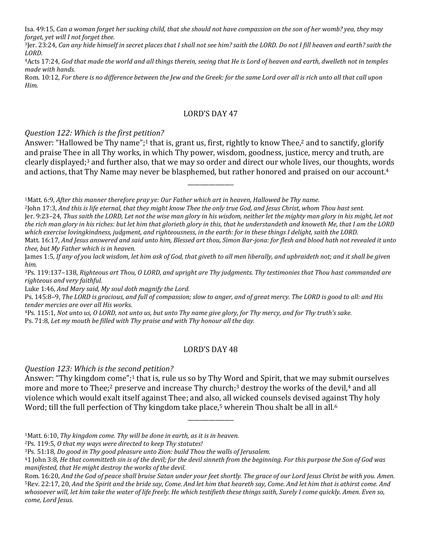Isa. 49:15, *Can a woman forget her sucking child, that she should not have compassion on the son of her womb? yea, they may forget, yet will I not forget thee.*

3Jer. 23:24, *Can any hide himself in secret places that I shall not see him? saith the LORD. Do not I fill heaven and earth? saith the LORD.*

4Acts 17:24, *God that made the world and all things therein, seeing that He is Lord of heaven and earth, dwelleth not in temples made with hands.*

Rom. 10:12, *For there is no difference between the Jew and the Greek: for the same Lord over all is rich unto all that call upon Him.*

#### LORD'S DAY 47

#### *Question 122: Which is the first petition?*

Answer: "Hallowed be Thy name";<sup>1</sup> that is, grant us, first, rightly to know Thee,<sup>2</sup> and to sanctify, glorify and praise Thee in all Thy works, in which Thy power, wisdom, goodness, justice, mercy and truth, are clearly displayed;3 and further also, that we may so order and direct our whole lives, our thoughts, words and actions, that Thy Name may never be blasphemed, but rather honored and praised on our account.<sup>4</sup>

\_\_\_\_\_\_\_\_\_\_\_\_\_\_\_

2John 17:3, *And this is life eternal, that they might know Thee the only true God, and Jesus Christ, whom Thou hast sent.* Jer. 9:23–24, *Thus saith the LORD, Let not the wise man glory in his wisdom, neither let the mighty man glory in his might, let not the rich man glory in his riches: but let him that glorieth glory in this, that he understandeth and knoweth Me, that I am the LORD which exercise lovingkindness, judgment, and righteousness, in the earth: for in these things I delight, saith the LORD.*

Matt. 16:17, *And Jesus answered and said unto him, Blessed art thou, Simon Bar-jona: for flesh and blood hath not revealed it unto thee, but My Father which is in heaven.*

James 1:5, *If any of you lack wisdom, let him ask of God, that giveth to all men liberally, and upbraideth not; and it shall be given him.*

3Ps. 119:137–138, *Righteous art Thou, O LORD, and upright are Thy judgments. Thy testimonies that Thou hast commanded are righteous and very faithful.*

Luke 1:46, *And Mary said, My soul doth magnify the Lord.*

Ps. 145:8–9, *The LORD is gracious, and full of compassion; slow to anger, and of great mercy. The LORD is good to all: and His tender mercies are over all His works.*

4Ps. 115:1, *Not unto us, O LORD, not unto us, but unto Thy name give glory, for Thy mercy, and for Thy truth's sake.* Ps. 71:8, *Let my mouth be filled with Thy praise and with Thy honour all the day.*

#### LORD'S DAY 48

*Question 123: Which is the second petition?*

Answer: "Thy kingdom come";<sup>1</sup> that is, rule us so by Thy Word and Spirit, that we may submit ourselves more and more to Thee;<sup>2</sup> preserve and increase Thy church;<sup>3</sup> destroy the works of the devil,<sup>4</sup> and all violence which would exalt itself against Thee; and also, all wicked counsels devised against Thy holy Word; till the full perfection of Thy kingdom take place,<sup>5</sup> wherein Thou shalt be all in all.<sup>6</sup>

<sup>1</sup>Matt. 6:9, *After this manner therefore pray ye: Our Father which art in heaven, Hallowed be Thy name.*

<sup>1</sup>Matt. 6:10, *Thy kingdom come. Thy will be done in earth, as it is in heaven.*

<sup>2</sup>Ps. 119:5, *O that my ways were directed to keep Thy statutes!*

<sup>3</sup>Ps. 51:18, *Do good in Thy good pleasure unto Zion: build Thou the walls of Jerusalem.*

<sup>41</sup> John 3:8, *He that committeth sin is of the devil; for the devil sinneth from the beginning. For this purpose the Son of God was manifested, that He might destroy the works of the devil.*

Rom. 16:20, *And the God of peace shall bruise Satan under your feet shortly. The grace of our Lord Jesus Christ be with you. Amen.* 5Rev. 22:17, 20, *And the Spirit and the bride say, Come. And let him that heareth say, Come. And let him that is athirst come. And whosoever will, let him take the water of life freely. He which testifieth these things saith, Surely I come quickly. Amen. Even so, come, Lord Jesus.*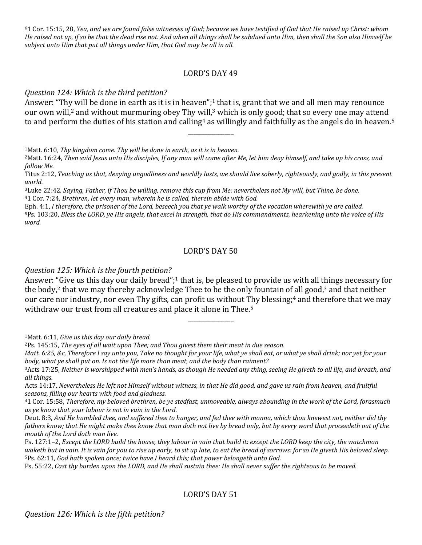61 Cor. 15:15, 28, *Yea, and we are found false witnesses of God; because we have testified of God that He raised up Christ: whom He raised not up, if so be that the dead rise not. And when all things shall be subdued unto Him, then shall the Son also Himself be subject unto Him that put all things under Him, that God may be all in all.*

#### LORD'S DAY 49

#### *Question 124: Which is the third petition?*

Answer: "Thy will be done in earth as it is in heaven";<sup>1</sup> that is, grant that we and all men may renounce our own will,<sup>2</sup> and without murmuring obey Thy will,<sup>3</sup> which is only good; that so every one may attend to and perform the duties of his station and calling<sup>4</sup> as willingly and faithfully as the angels do in heaven.<sup>5</sup>

\_\_\_\_\_\_\_\_\_\_\_\_\_\_\_

1Matt. 6:10, *Thy kingdom come. Thy will be done in earth, as it is in heaven.*

2Matt. 16:24, *Then said Jesus unto His disciples, If any man will come after Me, let him deny himself, and take up his cross, and follow Me.*

Titus 2:12, *Teaching us that, denying ungodliness and worldly lusts, we should live soberly, righteously, and godly, in this present world.*

3Luke 22:42, *Saying, Father, if Thou be willing, remove this cup from Me: nevertheless not My will, but Thine, be done.* 41 Cor. 7:24, *Brethren, let every man, wherein he is called, therein abide with God.*

Eph. 4:1, *I therefore, the prisoner of the Lord, beseech you that ye walk worthy of the vocation wherewith ye are called.* 5Ps. 103:20, *Bless the LORD, ye His angels, that excel in strength, that do His commandments, hearkening unto the voice of His word.*

#### LORD'S DAY 50

*Question 125: Which is the fourth petition?*

Answer: "Give us this day our daily bread";<sup>1</sup> that is, be pleased to provide us with all things necessary for the body,<sup>2</sup> that we may thereby acknowledge Thee to be the only fountain of all good,<sup>3</sup> and that neither our care nor industry, nor even Thy gifts, can profit us without Thy blessing;<sup>4</sup> and therefore that we may withdraw our trust from all creatures and place it alone in Thee.<sup>5</sup>

\_\_\_\_\_\_\_\_\_\_\_\_\_\_\_

1Matt. 6:11, *Give us this day our daily bread.*

*Matt. 6:25, &c, Therefore I say unto you, Take no thought for your life, what ye shall eat, or what ye shall drink; nor yet for your body, what ye shall put on. Is not the life more than meat, and the body than raiment?*

Acts 14:17, *Nevertheless He left not Himself without witness, in that He did good, and gave us rain from heaven, and fruitful seasons, filling our hearts with food and gladness.*

<sup>2</sup>Ps. 145:15, *The eyes of all wait upon Thee; and Thou givest them their meat in due season.*

<sup>3</sup>Acts 17:25, *Neither is worshipped with men's hands, as though He needed any thing, seeing He giveth to all life, and breath, and all things.*

<sup>41</sup> Cor. 15:58, *Therefore, my beloved brethren, be ye stedfast, unmoveable, always abounding in the work of the Lord, forasmuch as ye know that your labour is not in vain in the Lord.*

Deut. 8:3, *And He humbled thee, and suffered thee to hunger, and fed thee with manna, which thou knewest not, neither did thy fathers know; that He might make thee know that man doth not live by bread only, but by every word that proceedeth out of the mouth of the Lord doth man live.*

Ps. 127:1–2, *Except the LORD build the house, they labour in vain that build it: except the LORD keep the city, the watchman waketh but in vain. It is vain for you to rise up early, to sit up late, to eat the bread of sorrows: for so He giveth His beloved sleep.* 5Ps. 62:11, *God hath spoken once; twice have I heard this; that power belongeth unto God.*

Ps. 55:22, *Cast thy burden upon the LORD, and He shall sustain thee: He shall never suffer the righteous to be moved.*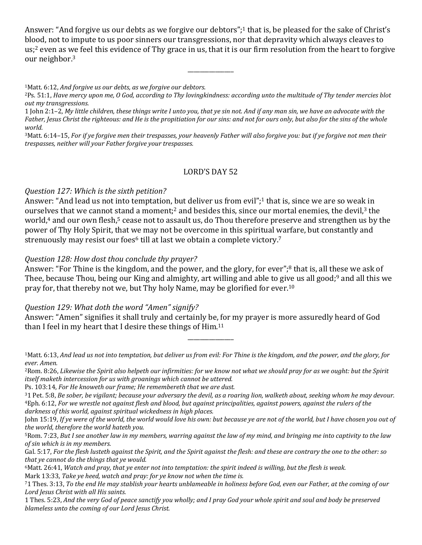Answer: "And forgive us our debts as we forgive our debtors";<sup>1</sup> that is, be pleased for the sake of Christ's blood, not to impute to us poor sinners our transgressions, nor that depravity which always cleaves to us;2 even as we feel this evidence of Thy grace in us, that it is our firm resolution from the heart to forgive our neighbor.3

\_\_\_\_\_\_\_\_\_\_\_\_\_\_\_

1Matt. 6:12, *And forgive us our debts, as we forgive our debtors.*

3Matt. 6:14–15, *For if ye forgive men their trespasses, your heavenly Father will also forgive you: but if ye forgive not men their trespasses, neither will your Father forgive your trespasses.*

## LORD'S DAY 52

## *Question 127: Which is the sixth petition?*

Answer: "And lead us not into temptation, but deliver us from evil";<sup>1</sup> that is, since we are so weak in ourselves that we cannot stand a moment;<sup>2</sup> and besides this, since our mortal enemies, the devil,<sup>3</sup> the world, $\pmb{^4}$  and our own flesh, $\pmb{^5}$  cease not to assault us, do Thou therefore preserve and strengthen us by the power of Thy Holy Spirit, that we may not be overcome in this spiritual warfare, but constantly and strenuously may resist our foes<sup>6</sup> till at last we obtain a complete victory.<sup>7</sup>

## *Question 128: How dost thou conclude thy prayer?*

Answer: "For Thine is the kingdom, and the power, and the glory, for ever";<sup>8</sup> that is, all these we ask of Thee, because Thou, being our King and almighty, art willing and able to give us all good;<sup>9</sup> and all this we pray for, that thereby not we, but Thy holy Name, may be glorified for ever.10

## *Question 129: What doth the word "Amen" signify?*

Answer: "Amen" signifies it shall truly and certainly be, for my prayer is more assuredly heard of God than I feel in my heart that I desire these things of Him.<sup>11</sup>

<sup>2</sup>Ps. 51:1, *Have mercy upon me, O God, according to Thy lovingkindness: according unto the multitude of Thy tender mercies blot out my transgressions.*

<sup>1</sup> John 2:1–2, *My little children, these things write I unto you, that ye sin not. And if any man sin, we have an advocate with the Father, Jesus Christ the righteous: and He is the propitiation for our sins: and not for ours only, but also for the sins of the whole world.*

<sup>1</sup>Matt. 6:13, *And lead us not into temptation, but deliver us from evil: For Thine is the kingdom, and the power, and the glory, for ever. Amen.*

<sup>2</sup>Rom. 8:26, *Likewise the Spirit also helpeth our infirmities: for we know not what we should pray for as we ought: but the Spirit itself maketh intercession for us with groanings which cannot be uttered.*

Ps. 103:14, *For He knoweth our frame; He remembereth that we are dust.*

<sup>31</sup> Pet. 5:8, *Be sober, be vigilant; because your adversary the devil, as a roaring lion, walketh about, seeking whom he may devour.* 4Eph. 6:12, *For we wrestle not against flesh and blood, but against principalities, against powers, against the rulers of the darkness of this world, against spiritual wickedness in high places.*

John 15:19, *If ye were of the world, the world would love his own: but because ye are not of the world, but I have chosen you out of the world, therefore the world hateth you.*

<sup>5</sup>Rom. 7:23, *But I see another law in my members, warring against the law of my mind, and bringing me into captivity to the law of sin which is in my members.*

Gal. 5:17, *For the flesh lusteth against the Spirit, and the Spirit against the flesh: and these are contrary the one to the other: so that ye cannot do the things that ye would.*

<sup>6</sup>Matt. 26:41, *Watch and pray, that ye enter not into temptation: the spirit indeed is willing, but the flesh is weak.* Mark 13:33, *Take ye heed, watch and pray: for ye know not when the time is.*

<sup>71</sup> Thes. 3:13, *To the end He may stablish your hearts unblameable in holiness before God, even our Father, at the coming of our Lord Jesus Christ with all His saints.*

<sup>1</sup> Thes. 5:23, *And the very God of peace sanctify you wholly; and I pray God your whole spirit and soul and body be preserved blameless unto the coming of our Lord Jesus Christ.*